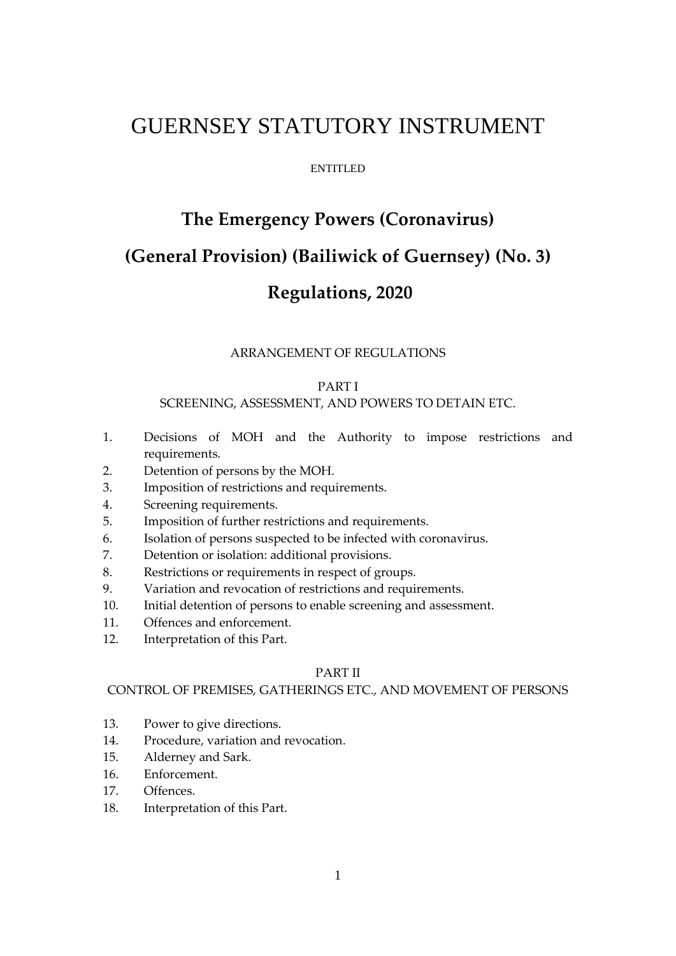# GUERNSEY STATUTORY INSTRUMENT

#### ENTITLED

# **The Emergency Powers (Coronavirus) (General Provision) (Bailiwick of Guernsey) (No. 3)**

# **Regulations, 2020**

#### ARRANGEMENT OF REGULATIONS

# PART I

#### SCREENING, ASSESSMENT, AND POWERS TO DETAIN ETC.

- 1. Decisions of MOH and the Authority to impose restrictions and requirements.
- 2. Detention of persons by the MOH.
- 3. Imposition of restrictions and requirements.
- 4. Screening requirements.
- 5. Imposition of further restrictions and requirements.
- 6. Isolation of persons suspected to be infected with coronavirus.
- 7. Detention or isolation: additional provisions.
- 8. Restrictions or requirements in respect of groups.
- 9. Variation and revocation of restrictions and requirements.
- 10. Initial detention of persons to enable screening and assessment.
- 11. Offences and enforcement.
- 12. Interpretation of this Part.

#### PART II

# CONTROL OF PREMISES, GATHERINGS ETC., AND MOVEMENT OF PERSONS

- 13. Power to give directions.
- 14. Procedure, variation and revocation.
- 15. Alderney and Sark.
- 16. Enforcement.
- 17. Offences.
- 18. Interpretation of this Part.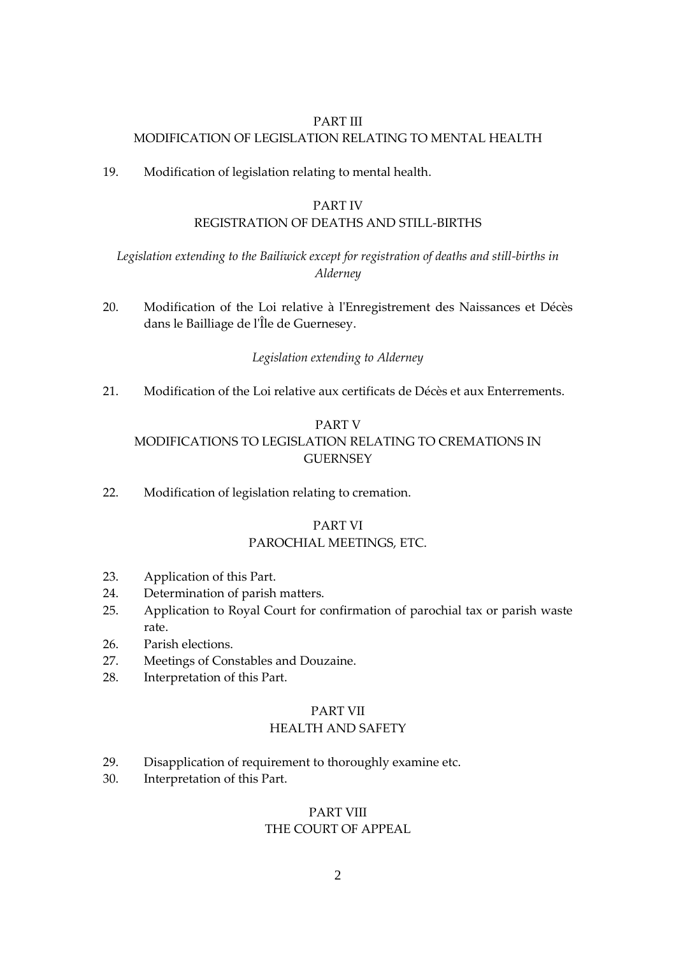# PART III MODIFICATION OF LEGISLATION RELATING TO MENTAL HEALTH

19. Modification of legislation relating to mental health.

# PART IV

# REGISTRATION OF DEATHS AND STILL-BIRTHS

# *Legislation extending to the Bailiwick except for registration of deaths and still-births in Alderney*

20. Modification of the Loi relative à l'Enregistrement des Naissances et Décès dans le Bailliage de l'Île de Guernesey.

# *Legislation extending to Alderney*

21. Modification of the Loi relative aux certificats de Décès et aux Enterrements.

# PART V MODIFICATIONS TO LEGISLATION RELATING TO CREMATIONS IN **GUERNSEY**

22. Modification of legislation relating to cremation.

# PART VI PAROCHIAL MEETINGS, ETC.

- 23. Application of this Part.
- 24. Determination of parish matters.
- 25. Application to Royal Court for confirmation of parochial tax or parish waste rate.
- 26. Parish elections.
- 27. Meetings of Constables and Douzaine.
- 28. Interpretation of this Part.

#### PART VII

# HEALTH AND SAFETY

- 29. Disapplication of requirement to thoroughly examine etc.
- 30. Interpretation of this Part.

# PART VIII

# THE COURT OF APPEAL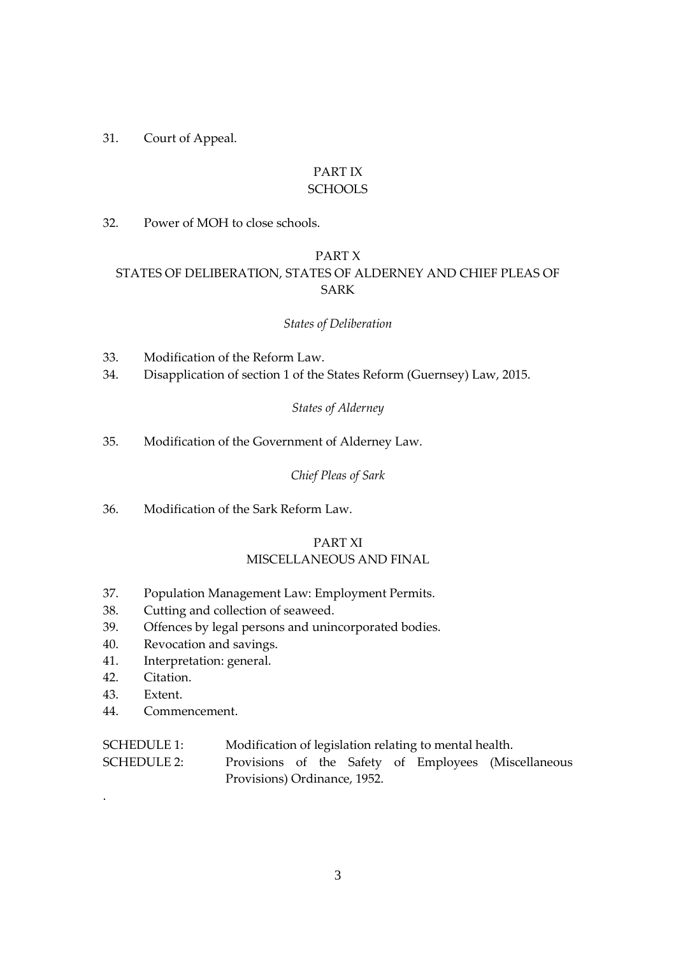# 31. Court of Appeal.

# PART IX **SCHOOLS**

32. Power of MOH to close schools.

# PART X

# STATES OF DELIBERATION, STATES OF ALDERNEY AND CHIEF PLEAS OF SARK

# *States of Deliberation*

- 33. Modification of the Reform Law.
- 34. Disapplication of section 1 of the States Reform (Guernsey) Law, 2015.

# *States of Alderney*

35. Modification of the Government of Alderney Law.

# *Chief Pleas of Sark*

36. Modification of the Sark Reform Law.

# PART XI MISCELLANEOUS AND FINAL

- 37. Population Management Law: Employment Permits.
- 38. Cutting and collection of seaweed.
- 39. Offences by legal persons and unincorporated bodies.
- 40. Revocation and savings.
- 41. Interpretation: general.
- 42. Citation.
- 43. Extent.

.

44. Commencement.

| <b>SCHEDULE 1:</b> | Modification of legislation relating to mental health. |  |  |  |  |  |                                                      |  |
|--------------------|--------------------------------------------------------|--|--|--|--|--|------------------------------------------------------|--|
| <b>SCHEDULE 2:</b> |                                                        |  |  |  |  |  | Provisions of the Safety of Employees (Miscellaneous |  |
|                    | Provisions) Ordinance, 1952.                           |  |  |  |  |  |                                                      |  |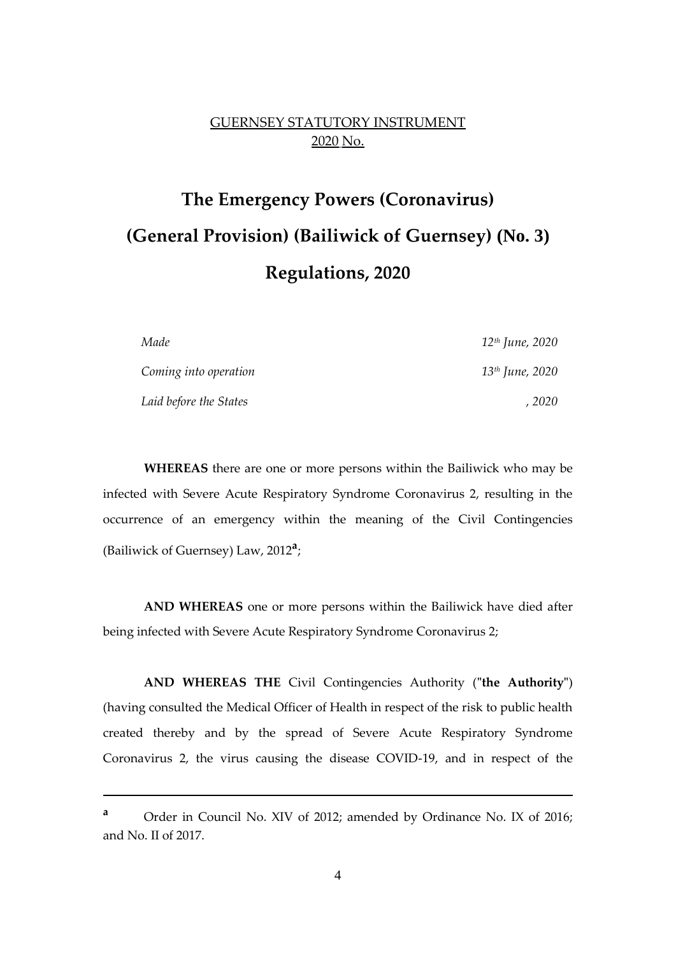# GUERNSEY STATUTORY INSTRUMENT 2020 No.

# **The Emergency Powers (Coronavirus) (General Provision) (Bailiwick of Guernsey) (No. 3) Regulations, 2020**

| Made                   | 12 <sup>th</sup> June, 2020 |
|------------------------|-----------------------------|
| Coming into operation  | 13 <sup>th</sup> June, 2020 |
| Laid before the States | . 2020                      |

**WHEREAS** there are one or more persons within the Bailiwick who may be infected with Severe Acute Respiratory Syndrome Coronavirus 2, resulting in the occurrence of an emergency within the meaning of the Civil Contingencies (Bailiwick of Guernsey) Law, 2012**<sup>a</sup>** ;

**AND WHEREAS** one or more persons within the Bailiwick have died after being infected with Severe Acute Respiratory Syndrome Coronavirus 2;

**AND WHEREAS THE** Civil Contingencies Authority (**"the Authority"**) (having consulted the Medical Officer of Health in respect of the risk to public health created thereby and by the spread of Severe Acute Respiratory Syndrome Coronavirus 2, the virus causing the disease COVID-19, and in respect of the

1

**<sup>a</sup>** Order in Council No. XIV of 2012; amended by Ordinance No. IX of 2016; and No. II of 2017.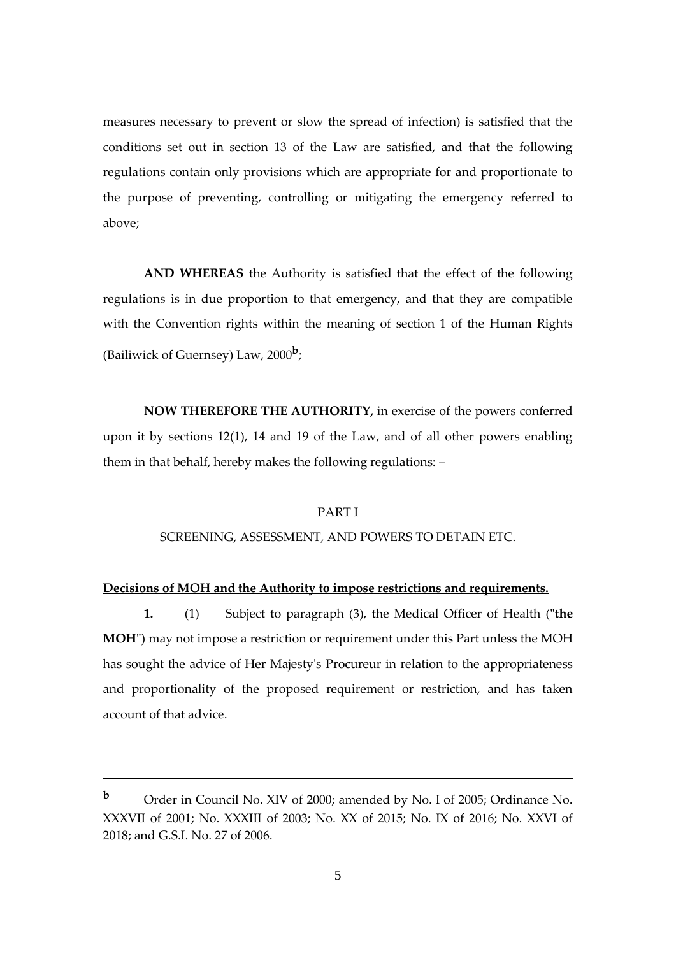measures necessary to prevent or slow the spread of infection) is satisfied that the conditions set out in section 13 of the Law are satisfied, and that the following regulations contain only provisions which are appropriate for and proportionate to the purpose of preventing, controlling or mitigating the emergency referred to above;

**AND WHEREAS** the Authority is satisfied that the effect of the following regulations is in due proportion to that emergency, and that they are compatible with the Convention rights within the meaning of section 1 of the Human Rights (Bailiwick of Guernsey) Law, 2000**<sup>b</sup>** ;

**NOW THEREFORE THE AUTHORITY,** in exercise of the powers conferred upon it by sections 12(1), 14 and 19 of the Law, and of all other powers enabling them in that behalf, hereby makes the following regulations: –

#### PART I

#### SCREENING, ASSESSMENT, AND POWERS TO DETAIN ETC.

#### **Decisions of MOH and the Authority to impose restrictions and requirements.**

**1.** (1) Subject to paragraph (3), the Medical Officer of Health (**"the MOH"**) may not impose a restriction or requirement under this Part unless the MOH has sought the advice of Her Majesty's Procureur in relation to the appropriateness and proportionality of the proposed requirement or restriction, and has taken account of that advice.

<u>.</u>

**<sup>b</sup>** Order in Council No. XIV of 2000; amended by No. I of 2005; Ordinance No. XXXVII of 2001; No. XXXIII of 2003; No. XX of 2015; No. IX of 2016; No. XXVI of 2018; and G.S.I. No. 27 of 2006.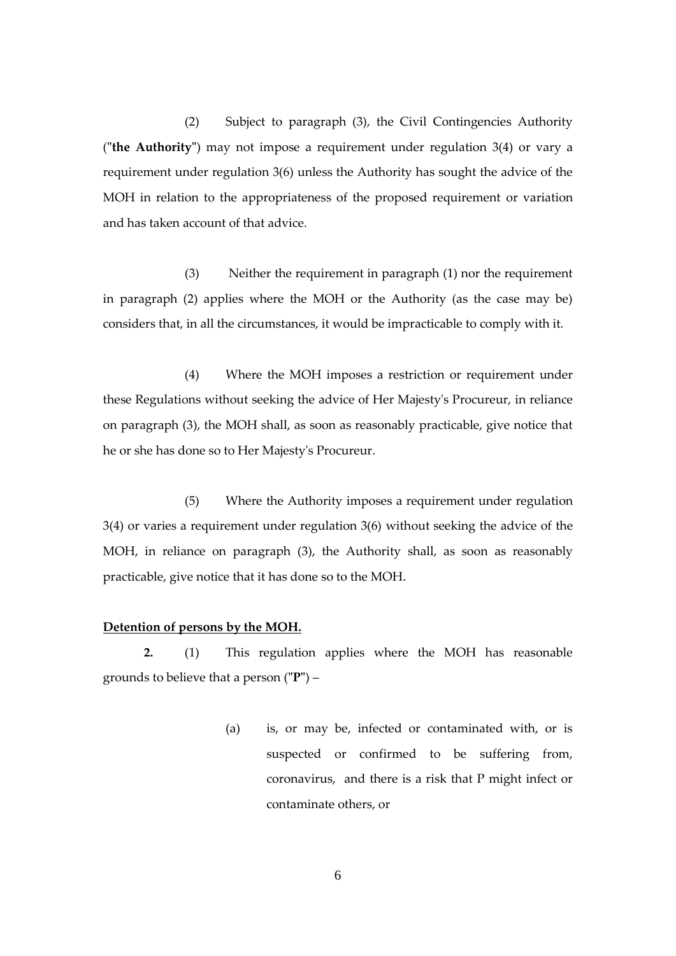(2) Subject to paragraph (3), the Civil Contingencies Authority (**"the Authority"**) may not impose a requirement under regulation 3(4) or vary a requirement under regulation 3(6) unless the Authority has sought the advice of the MOH in relation to the appropriateness of the proposed requirement or variation and has taken account of that advice.

(3) Neither the requirement in paragraph (1) nor the requirement in paragraph (2) applies where the MOH or the Authority (as the case may be) considers that, in all the circumstances, it would be impracticable to comply with it.

(4) Where the MOH imposes a restriction or requirement under these Regulations without seeking the advice of Her Majesty's Procureur, in reliance on paragraph (3), the MOH shall, as soon as reasonably practicable, give notice that he or she has done so to Her Majesty's Procureur.

(5) Where the Authority imposes a requirement under regulation 3(4) or varies a requirement under regulation 3(6) without seeking the advice of the MOH, in reliance on paragraph (3), the Authority shall, as soon as reasonably practicable, give notice that it has done so to the MOH.

#### **Detention of persons by the MOH.**

**2.** (1) This regulation applies where the MOH has reasonable grounds to believe that a person (**"P"**) –

> (a) is, or may be, infected or contaminated with, or is suspected or confirmed to be suffering from, coronavirus, and there is a risk that P might infect or contaminate others, or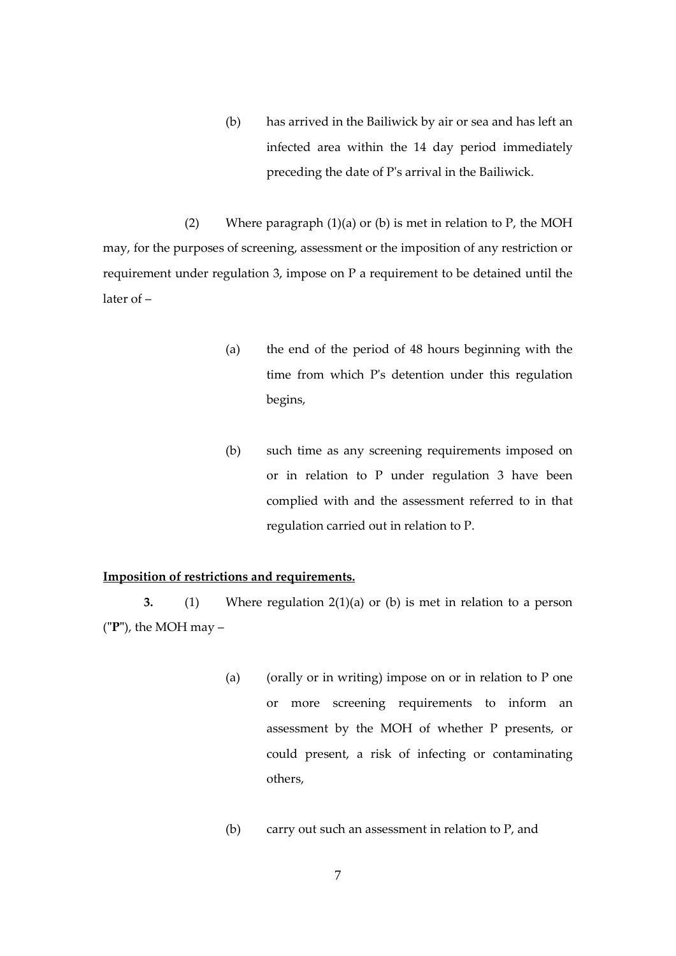(b) has arrived in the Bailiwick by air or sea and has left an infected area within the 14 day period immediately preceding the date of P's arrival in the Bailiwick.

(2) Where paragraph  $(1)(a)$  or  $(b)$  is met in relation to P, the MOH may, for the purposes of screening, assessment or the imposition of any restriction or requirement under regulation 3, impose on P a requirement to be detained until the later of –

- (a) the end of the period of 48 hours beginning with the time from which P's detention under this regulation begins,
- (b) such time as any screening requirements imposed on or in relation to P under regulation 3 have been complied with and the assessment referred to in that regulation carried out in relation to P.

# **Imposition of restrictions and requirements.**

**3.** (1) Where regulation 2(1)(a) or (b) is met in relation to a person (**"P"**), the MOH may –

- (a) (orally or in writing) impose on or in relation to P one or more screening requirements to inform an assessment by the MOH of whether P presents, or could present, a risk of infecting or contaminating others,
- (b) carry out such an assessment in relation to P, and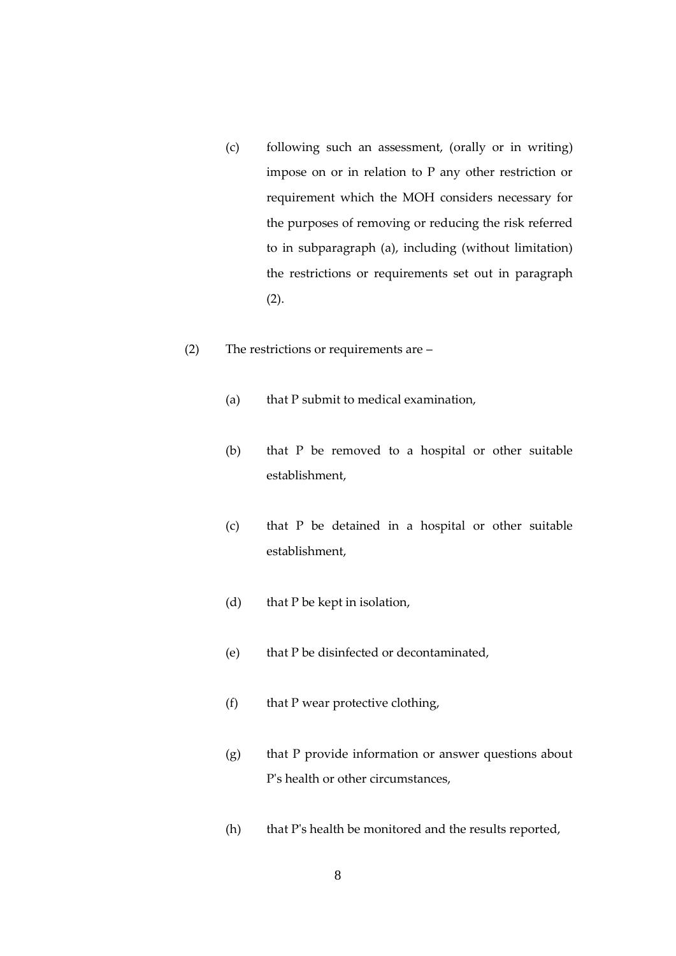- (c) following such an assessment, (orally or in writing) impose on or in relation to P any other restriction or requirement which the MOH considers necessary for the purposes of removing or reducing the risk referred to in subparagraph (a), including (without limitation) the restrictions or requirements set out in paragraph (2).
- (2) The restrictions or requirements are
	- (a) that P submit to medical examination,
	- (b) that P be removed to a hospital or other suitable establishment,
	- (c) that P be detained in a hospital or other suitable establishment,
	- (d) that P be kept in isolation,
	- (e) that P be disinfected or decontaminated,
	- (f) that P wear protective clothing,
	- (g) that P provide information or answer questions about P's health or other circumstances,
	- (h) that P's health be monitored and the results reported,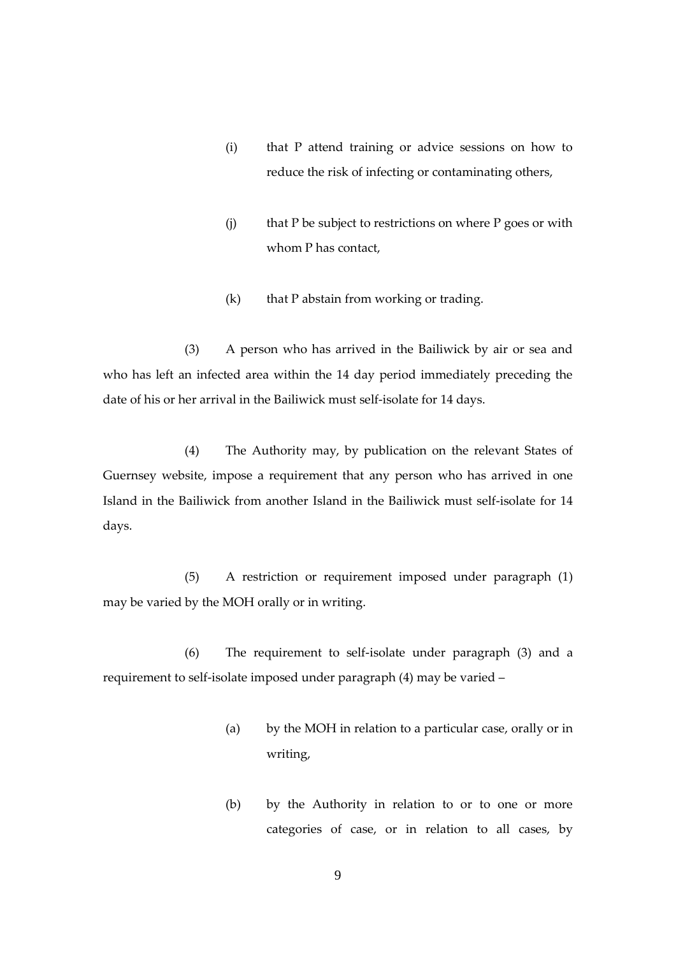- (i) that P attend training or advice sessions on how to reduce the risk of infecting or contaminating others,
- (j) that P be subject to restrictions on where P goes or with whom P has contact,
- $(k)$  that P abstain from working or trading.

(3) A person who has arrived in the Bailiwick by air or sea and who has left an infected area within the 14 day period immediately preceding the date of his or her arrival in the Bailiwick must self-isolate for 14 days.

(4) The Authority may, by publication on the relevant States of Guernsey website, impose a requirement that any person who has arrived in one Island in the Bailiwick from another Island in the Bailiwick must self-isolate for 14 days.

(5) A restriction or requirement imposed under paragraph (1) may be varied by the MOH orally or in writing.

(6) The requirement to self-isolate under paragraph (3) and a requirement to self-isolate imposed under paragraph (4) may be varied –

- (a) by the MOH in relation to a particular case, orally or in writing,
- (b) by the Authority in relation to or to one or more categories of case, or in relation to all cases, by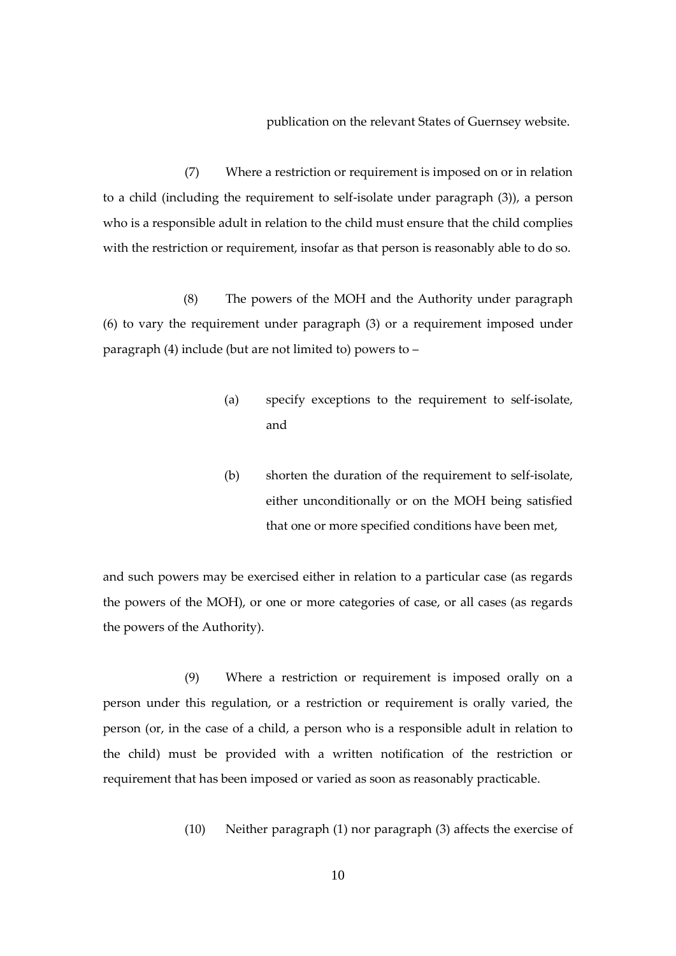publication on the relevant States of Guernsey website.

(7) Where a restriction or requirement is imposed on or in relation to a child (including the requirement to self-isolate under paragraph (3)), a person who is a responsible adult in relation to the child must ensure that the child complies with the restriction or requirement, insofar as that person is reasonably able to do so.

(8) The powers of the MOH and the Authority under paragraph (6) to vary the requirement under paragraph (3) or a requirement imposed under paragraph (4) include (but are not limited to) powers to –

- (a) specify exceptions to the requirement to self-isolate, and
- (b) shorten the duration of the requirement to self-isolate, either unconditionally or on the MOH being satisfied that one or more specified conditions have been met,

and such powers may be exercised either in relation to a particular case (as regards the powers of the MOH), or one or more categories of case, or all cases (as regards the powers of the Authority).

(9) Where a restriction or requirement is imposed orally on a person under this regulation, or a restriction or requirement is orally varied, the person (or, in the case of a child, a person who is a responsible adult in relation to the child) must be provided with a written notification of the restriction or requirement that has been imposed or varied as soon as reasonably practicable.

(10) Neither paragraph (1) nor paragraph (3) affects the exercise of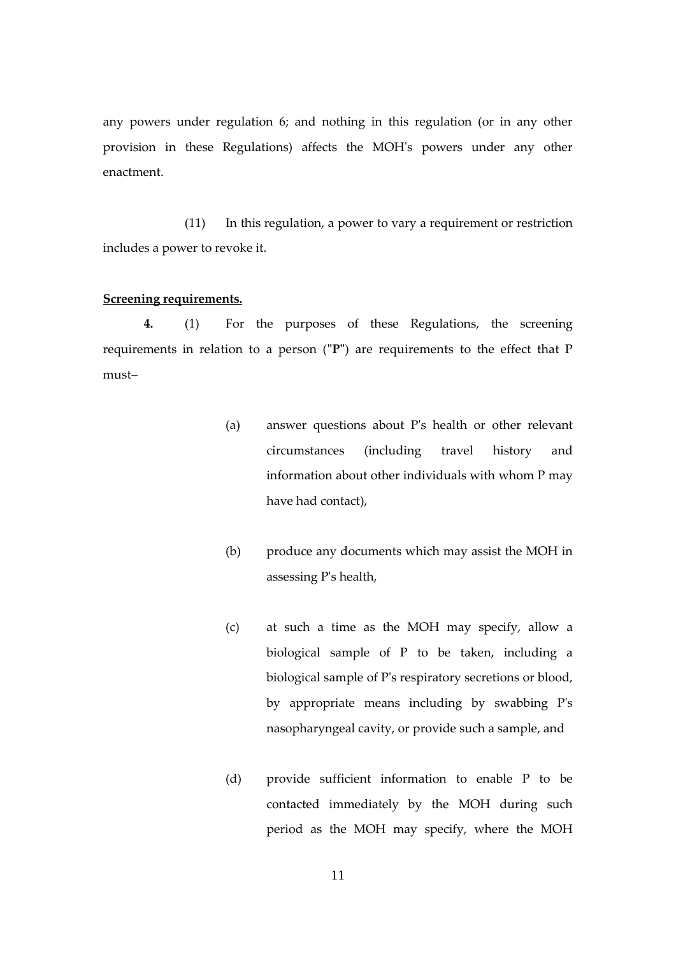any powers under regulation 6; and nothing in this regulation (or in any other provision in these Regulations) affects the MOH's powers under any other enactment.

(11) In this regulation, a power to vary a requirement or restriction includes a power to revoke it.

# **Screening requirements.**

**4.** (1) For the purposes of these Regulations, the screening requirements in relation to a person (**"P"**) are requirements to the effect that P must–

- (a) answer questions about P's health or other relevant circumstances (including travel history and information about other individuals with whom P may have had contact),
- (b) produce any documents which may assist the MOH in assessing P's health,
- (c) at such a time as the MOH may specify, allow a biological sample of P to be taken, including a biological sample of P's respiratory secretions or blood, by appropriate means including by swabbing P's nasopharyngeal cavity, or provide such a sample, and
- (d) provide sufficient information to enable P to be contacted immediately by the MOH during such period as the MOH may specify, where the MOH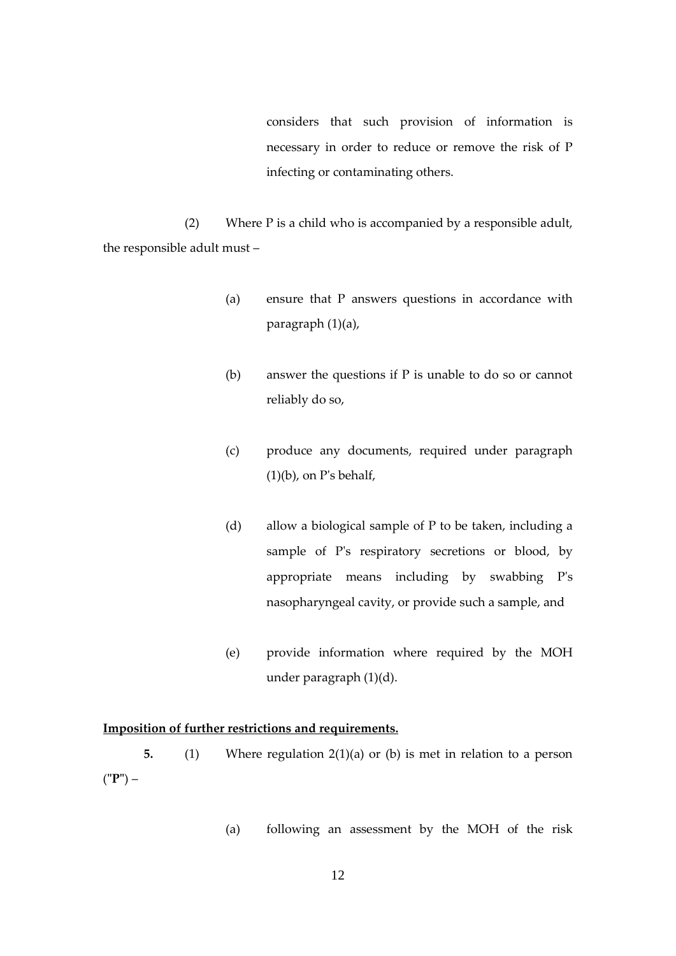considers that such provision of information is necessary in order to reduce or remove the risk of P infecting or contaminating others.

(2) Where P is a child who is accompanied by a responsible adult, the responsible adult must –

- (a) ensure that P answers questions in accordance with paragraph (1)(a),
- (b) answer the questions if P is unable to do so or cannot reliably do so,
- (c) produce any documents, required under paragraph  $(1)(b)$ , on P's behalf,
- (d) allow a biological sample of P to be taken, including a sample of P's respiratory secretions or blood, by appropriate means including by swabbing P's nasopharyngeal cavity, or provide such a sample, and
- (e) provide information where required by the MOH under paragraph (1)(d).

#### **Imposition of further restrictions and requirements.**

**5.** (1) Where regulation 2(1)(a) or (b) is met in relation to a person (**"P"**) –

(a) following an assessment by the MOH of the risk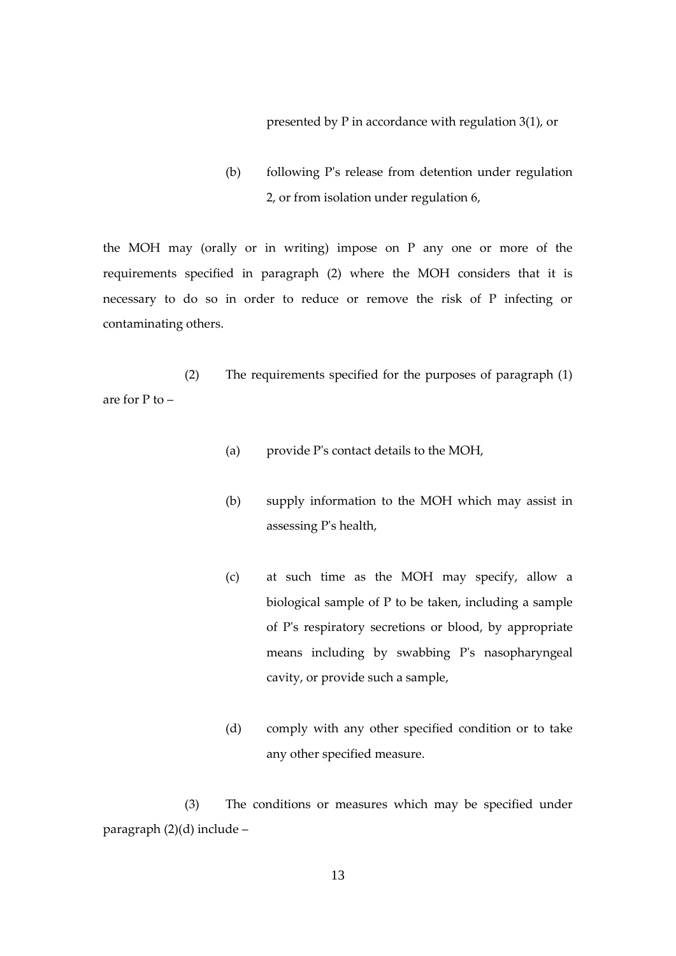presented by P in accordance with regulation 3(1), or

(b) following P's release from detention under regulation 2, or from isolation under regulation 6,

the MOH may (orally or in writing) impose on P any one or more of the requirements specified in paragraph (2) where the MOH considers that it is necessary to do so in order to reduce or remove the risk of P infecting or contaminating others.

(2) The requirements specified for the purposes of paragraph (1) are for P to –

- (a) provide P's contact details to the MOH,
- (b) supply information to the MOH which may assist in assessing P's health,
- (c) at such time as the MOH may specify, allow a biological sample of P to be taken, including a sample of P's respiratory secretions or blood, by appropriate means including by swabbing P's nasopharyngeal cavity, or provide such a sample,
- (d) comply with any other specified condition or to take any other specified measure.

(3) The conditions or measures which may be specified under paragraph (2)(d) include –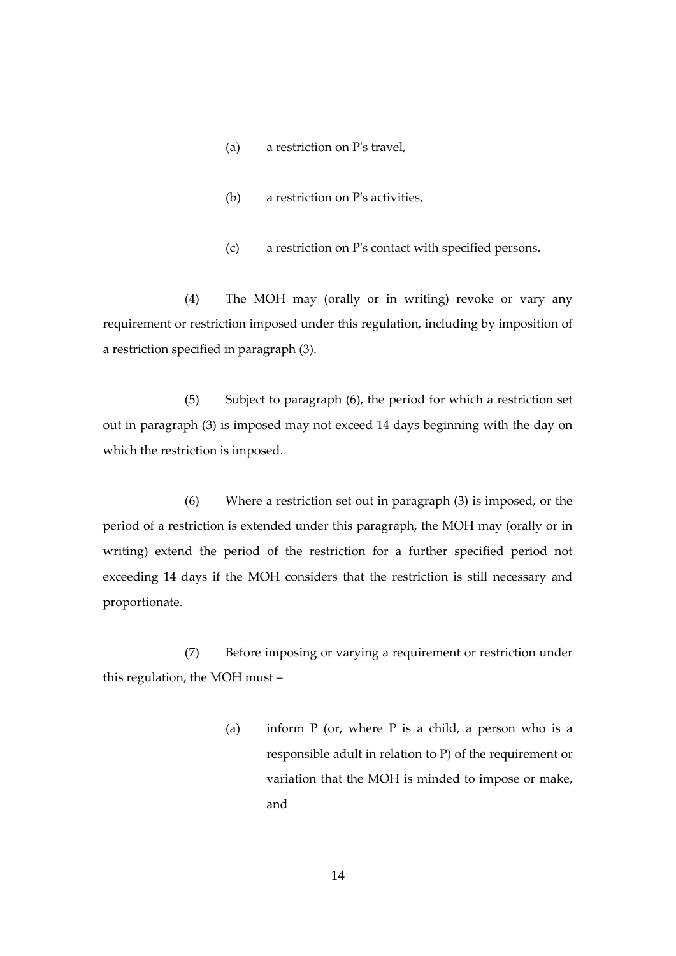- (a) a restriction on P's travel,
- (b) a restriction on P's activities,
- (c) a restriction on P's contact with specified persons.

(4) The MOH may (orally or in writing) revoke or vary any requirement or restriction imposed under this regulation, including by imposition of a restriction specified in paragraph (3).

(5) Subject to paragraph (6), the period for which a restriction set out in paragraph (3) is imposed may not exceed 14 days beginning with the day on which the restriction is imposed.

(6) Where a restriction set out in paragraph (3) is imposed, or the period of a restriction is extended under this paragraph, the MOH may (orally or in writing) extend the period of the restriction for a further specified period not exceeding 14 days if the MOH considers that the restriction is still necessary and proportionate.

(7) Before imposing or varying a requirement or restriction under this regulation, the MOH must –

> (a) inform  $P$  (or, where  $P$  is a child, a person who is a responsible adult in relation to P) of the requirement or variation that the MOH is minded to impose or make, and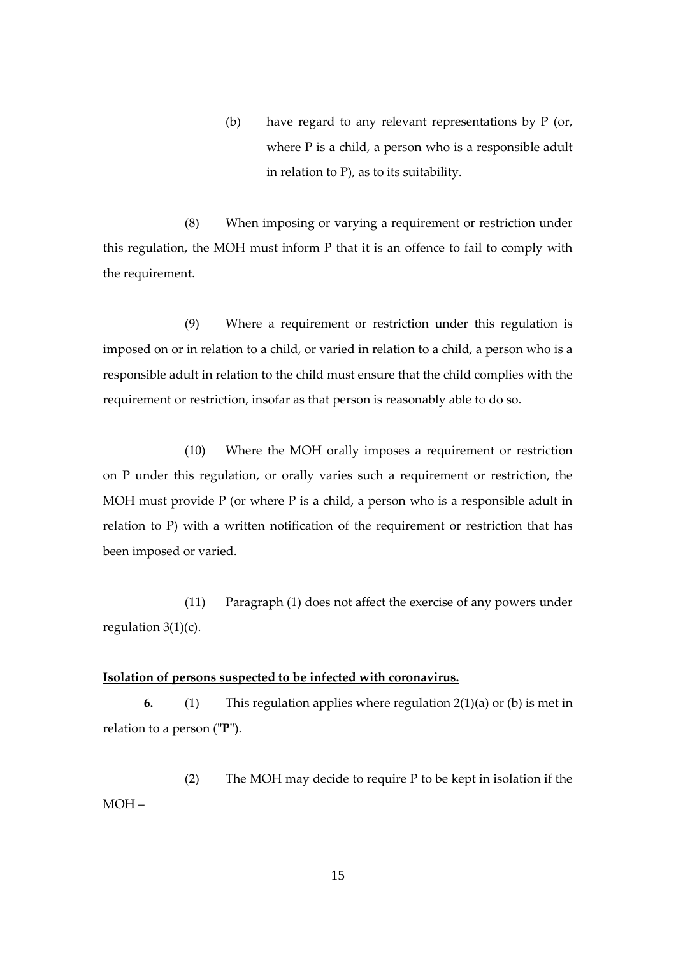(b) have regard to any relevant representations by P (or, where P is a child, a person who is a responsible adult in relation to P), as to its suitability.

(8) When imposing or varying a requirement or restriction under this regulation, the MOH must inform P that it is an offence to fail to comply with the requirement.

(9) Where a requirement or restriction under this regulation is imposed on or in relation to a child, or varied in relation to a child, a person who is a responsible adult in relation to the child must ensure that the child complies with the requirement or restriction, insofar as that person is reasonably able to do so.

(10) Where the MOH orally imposes a requirement or restriction on P under this regulation, or orally varies such a requirement or restriction, the MOH must provide P (or where P is a child, a person who is a responsible adult in relation to P) with a written notification of the requirement or restriction that has been imposed or varied.

(11) Paragraph (1) does not affect the exercise of any powers under regulation  $3(1)(c)$ .

#### **Isolation of persons suspected to be infected with coronavirus.**

**6.** (1) This regulation applies where regulation 2(1)(a) or (b) is met in relation to a person (**"P"**).

(2) The MOH may decide to require P to be kept in isolation if the MOH –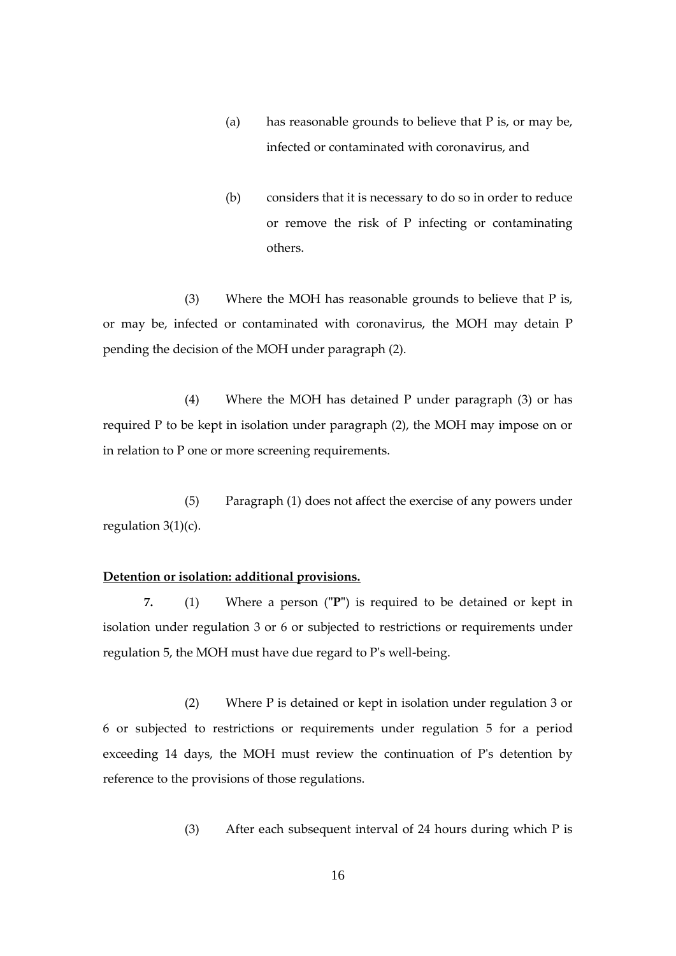- (a) has reasonable grounds to believe that P is, or may be, infected or contaminated with coronavirus, and
- (b) considers that it is necessary to do so in order to reduce or remove the risk of P infecting or contaminating others.

(3) Where the MOH has reasonable grounds to believe that P is, or may be, infected or contaminated with coronavirus, the MOH may detain P pending the decision of the MOH under paragraph (2).

(4) Where the MOH has detained P under paragraph (3) or has required P to be kept in isolation under paragraph (2), the MOH may impose on or in relation to P one or more screening requirements.

(5) Paragraph (1) does not affect the exercise of any powers under regulation  $3(1)(c)$ .

#### **Detention or isolation: additional provisions.**

**7.** (1) Where a person (**"P"**) is required to be detained or kept in isolation under regulation 3 or 6 or subjected to restrictions or requirements under regulation 5, the MOH must have due regard to P's well-being.

(2) Where P is detained or kept in isolation under regulation 3 or 6 or subjected to restrictions or requirements under regulation 5 for a period exceeding 14 days, the MOH must review the continuation of P's detention by reference to the provisions of those regulations.

(3) After each subsequent interval of 24 hours during which P is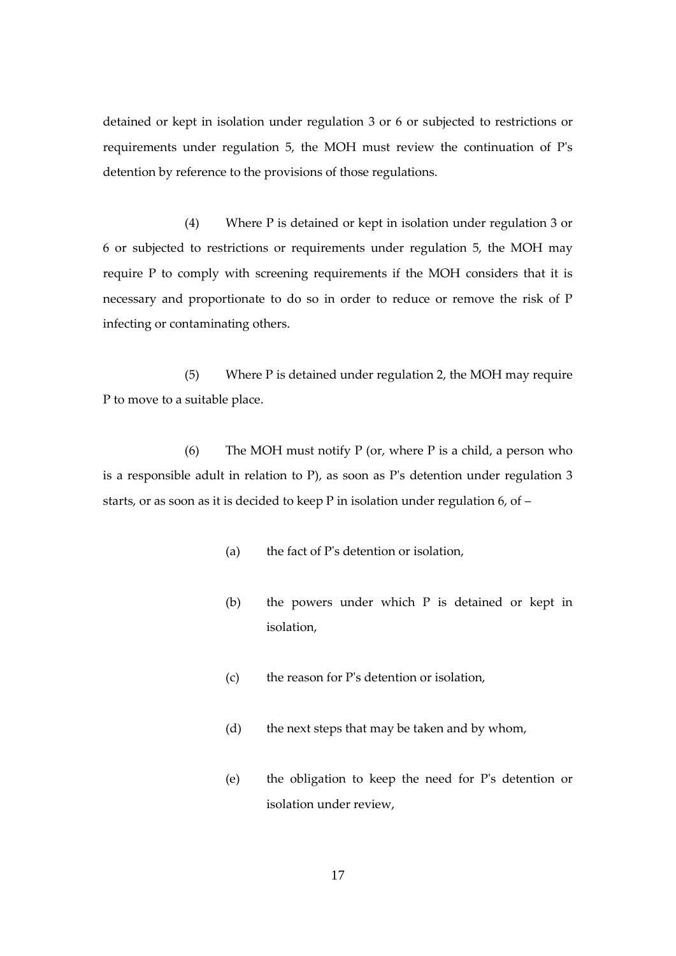detained or kept in isolation under regulation 3 or 6 or subjected to restrictions or requirements under regulation 5, the MOH must review the continuation of P's detention by reference to the provisions of those regulations.

(4) Where P is detained or kept in isolation under regulation 3 or 6 or subjected to restrictions or requirements under regulation 5, the MOH may require P to comply with screening requirements if the MOH considers that it is necessary and proportionate to do so in order to reduce or remove the risk of P infecting or contaminating others.

(5) Where P is detained under regulation 2, the MOH may require P to move to a suitable place.

(6) The MOH must notify  $P$  (or, where  $P$  is a child, a person who is a responsible adult in relation to P), as soon as P's detention under regulation 3 starts, or as soon as it is decided to keep P in isolation under regulation 6, of –

- (a) the fact of P's detention or isolation,
- (b) the powers under which P is detained or kept in isolation,
- (c) the reason for P's detention or isolation,
- (d) the next steps that may be taken and by whom,
- (e) the obligation to keep the need for P's detention or isolation under review,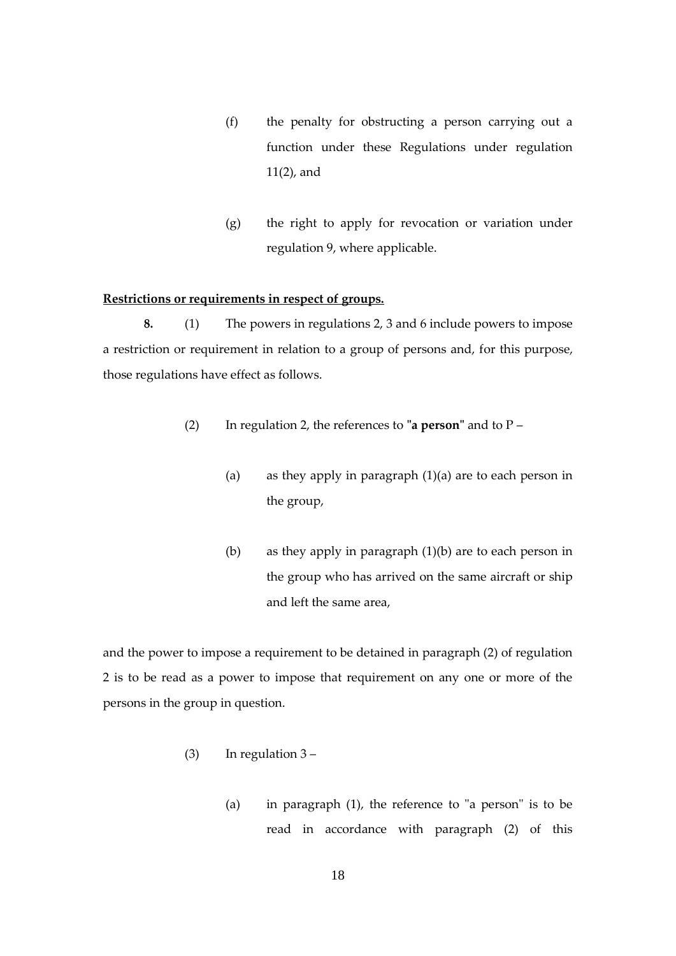- (f) the penalty for obstructing a person carrying out a function under these Regulations under regulation 11(2), and
- (g) the right to apply for revocation or variation under regulation 9, where applicable.

#### **Restrictions or requirements in respect of groups.**

**8.** (1) The powers in regulations 2, 3 and 6 include powers to impose a restriction or requirement in relation to a group of persons and, for this purpose, those regulations have effect as follows.

- (2) In regulation 2, the references to **"a person"** and to P
	- (a) as they apply in paragraph (1)(a) are to each person in the group,
	- (b) as they apply in paragraph (1)(b) are to each person in the group who has arrived on the same aircraft or ship and left the same area,

and the power to impose a requirement to be detained in paragraph (2) of regulation 2 is to be read as a power to impose that requirement on any one or more of the persons in the group in question.

- (3) In regulation 3
	- (a) in paragraph (1), the reference to "a person" is to be read in accordance with paragraph (2) of this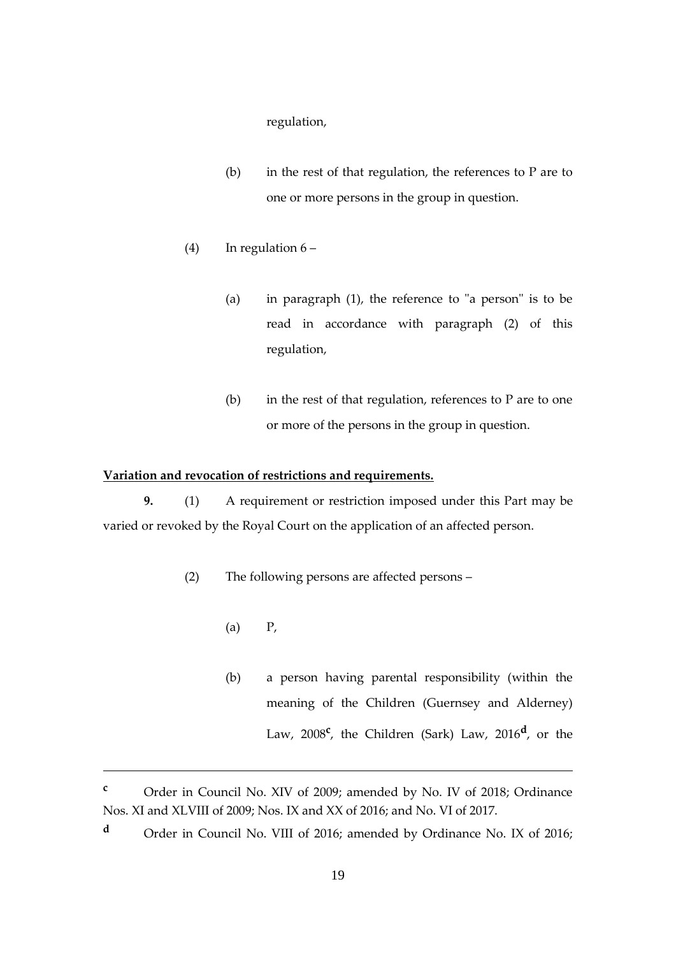regulation,

- (b) in the rest of that regulation, the references to  $P$  are to one or more persons in the group in question.
- (4) In regulation  $6 -$ 
	- (a) in paragraph (1), the reference to "a person" is to be read in accordance with paragraph (2) of this regulation,
	- (b) in the rest of that regulation, references to  $P$  are to one or more of the persons in the group in question.

# **Variation and revocation of restrictions and requirements.**

**9.** (1) A requirement or restriction imposed under this Part may be varied or revoked by the Royal Court on the application of an affected person.

- (2) The following persons are affected persons
	- $\left( \text{a} \right)$  P,

1

(b) a person having parental responsibility (within the meaning of the Children (Guernsey and Alderney) Law, 2008**<sup>c</sup>** , the Children (Sark) Law, 2016**<sup>d</sup>** , or the

**<sup>d</sup>** Order in Council No. VIII of 2016; amended by Ordinance No. IX of 2016;

**<sup>c</sup>** Order in Council No. XIV of 2009; amended by No. IV of 2018; Ordinance Nos. XI and XLVIII of 2009; Nos. IX and XX of 2016; and No. VI of 2017.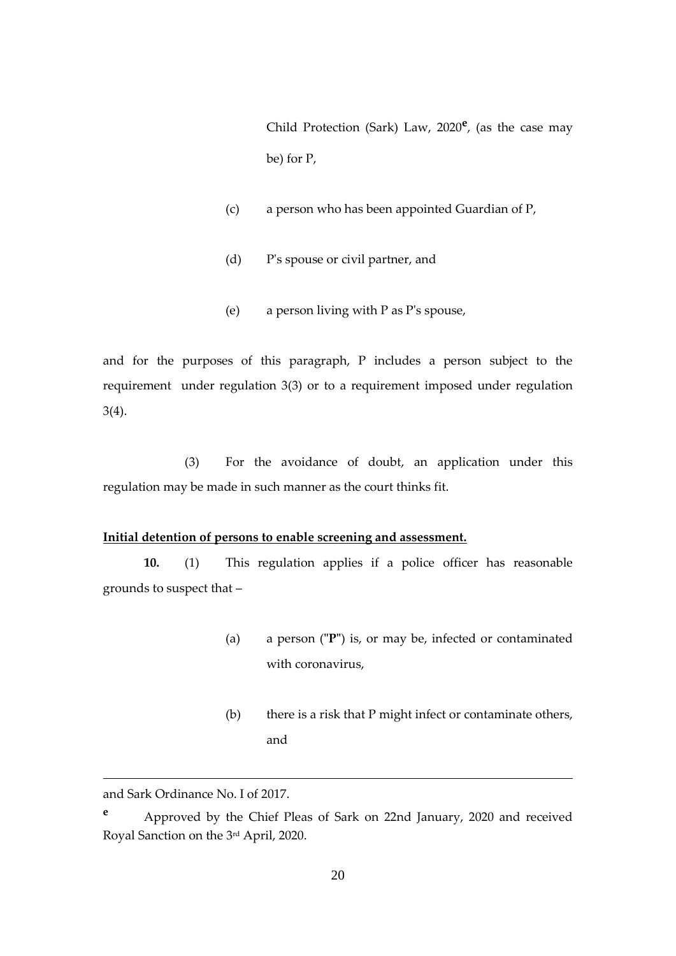Child Protection (Sark) Law, 2020**<sup>e</sup>** , (as the case may be) for P,

- (c) a person who has been appointed Guardian of P,
- (d) P's spouse or civil partner, and
- (e) a person living with P as P's spouse,

and for the purposes of this paragraph, P includes a person subject to the requirement under regulation 3(3) or to a requirement imposed under regulation 3(4).

(3) For the avoidance of doubt, an application under this regulation may be made in such manner as the court thinks fit.

# **Initial detention of persons to enable screening and assessment.**

**10.** (1) This regulation applies if a police officer has reasonable grounds to suspect that –

- (a) a person (**"P"**) is, or may be, infected or contaminated with coronavirus,
- (b) there is a risk that P might infect or contaminate others, and

<u>.</u>

and Sark Ordinance No. I of 2017.

**<sup>e</sup>** Approved by the Chief Pleas of Sark on 22nd January, 2020 and received Royal Sanction on the 3rd April, 2020.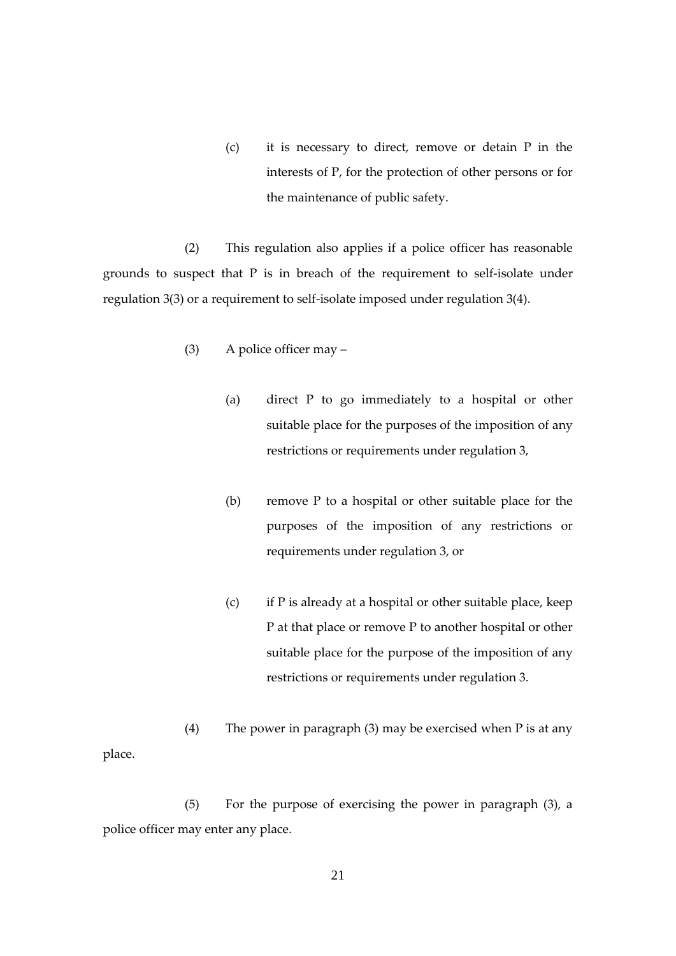(c) it is necessary to direct, remove or detain P in the interests of P, for the protection of other persons or for the maintenance of public safety.

(2) This regulation also applies if a police officer has reasonable grounds to suspect that P is in breach of the requirement to self-isolate under regulation 3(3) or a requirement to self-isolate imposed under regulation 3(4).

- (3) A police officer may
	- (a) direct P to go immediately to a hospital or other suitable place for the purposes of the imposition of any restrictions or requirements under regulation 3,
	- (b) remove P to a hospital or other suitable place for the purposes of the imposition of any restrictions or requirements under regulation 3, or
	- (c) if P is already at a hospital or other suitable place, keep P at that place or remove P to another hospital or other suitable place for the purpose of the imposition of any restrictions or requirements under regulation 3.

(4) The power in paragraph (3) may be exercised when P is at any place.

(5) For the purpose of exercising the power in paragraph (3), a police officer may enter any place.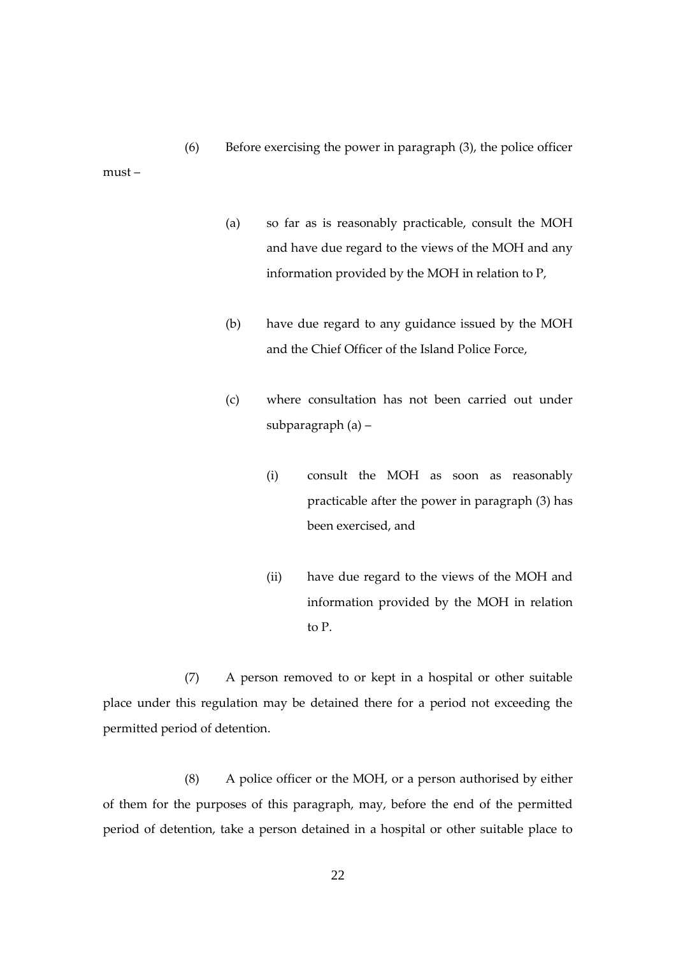must –

- (a) so far as is reasonably practicable, consult the MOH and have due regard to the views of the MOH and any information provided by the MOH in relation to P,
- (b) have due regard to any guidance issued by the MOH and the Chief Officer of the Island Police Force,
- (c) where consultation has not been carried out under subparagraph (a) –
	- (i) consult the MOH as soon as reasonably practicable after the power in paragraph (3) has been exercised, and
	- (ii) have due regard to the views of the MOH and information provided by the MOH in relation to P.

(7) A person removed to or kept in a hospital or other suitable place under this regulation may be detained there for a period not exceeding the permitted period of detention.

(8) A police officer or the MOH, or a person authorised by either of them for the purposes of this paragraph, may, before the end of the permitted period of detention, take a person detained in a hospital or other suitable place to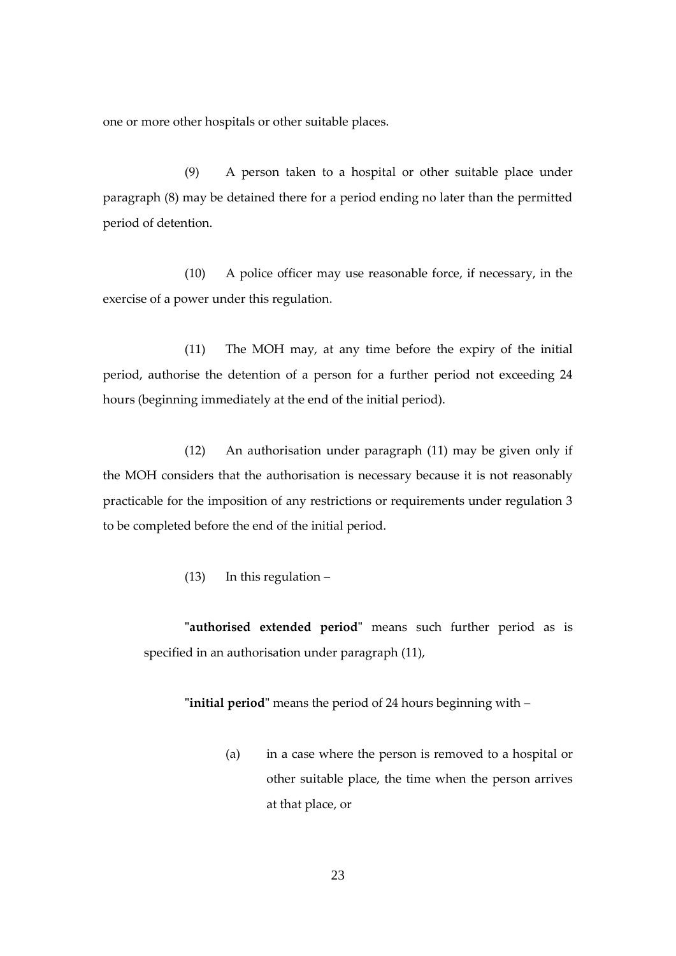one or more other hospitals or other suitable places.

(9) A person taken to a hospital or other suitable place under paragraph (8) may be detained there for a period ending no later than the permitted period of detention.

(10) A police officer may use reasonable force, if necessary, in the exercise of a power under this regulation.

(11) The MOH may, at any time before the expiry of the initial period, authorise the detention of a person for a further period not exceeding 24 hours (beginning immediately at the end of the initial period).

(12) An authorisation under paragraph (11) may be given only if the MOH considers that the authorisation is necessary because it is not reasonably practicable for the imposition of any restrictions or requirements under regulation 3 to be completed before the end of the initial period.

(13) In this regulation –

**"authorised extended period"** means such further period as is specified in an authorisation under paragraph (11),

**"initial period"** means the period of 24 hours beginning with –

(a) in a case where the person is removed to a hospital or other suitable place, the time when the person arrives at that place, or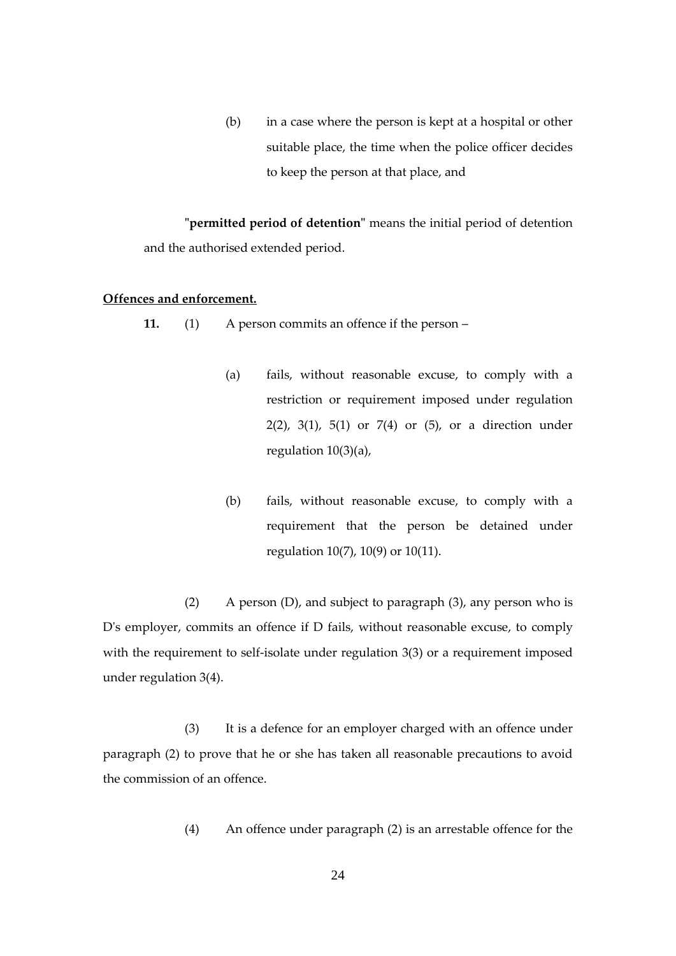(b) in a case where the person is kept at a hospital or other suitable place, the time when the police officer decides to keep the person at that place, and

**"permitted period of detention"** means the initial period of detention and the authorised extended period.

#### **Offences and enforcement.**

**11.** (1) A person commits an offence if the person –

- (a) fails, without reasonable excuse, to comply with a restriction or requirement imposed under regulation 2(2), 3(1), 5(1) or 7(4) or (5), or a direction under regulation 10(3)(a),
- (b) fails, without reasonable excuse, to comply with a requirement that the person be detained under regulation 10(7), 10(9) or 10(11).

(2) A person (D), and subject to paragraph (3), any person who is D's employer, commits an offence if D fails, without reasonable excuse, to comply with the requirement to self-isolate under regulation 3(3) or a requirement imposed under regulation 3(4).

(3) It is a defence for an employer charged with an offence under paragraph (2) to prove that he or she has taken all reasonable precautions to avoid the commission of an offence.

(4) An offence under paragraph (2) is an arrestable offence for the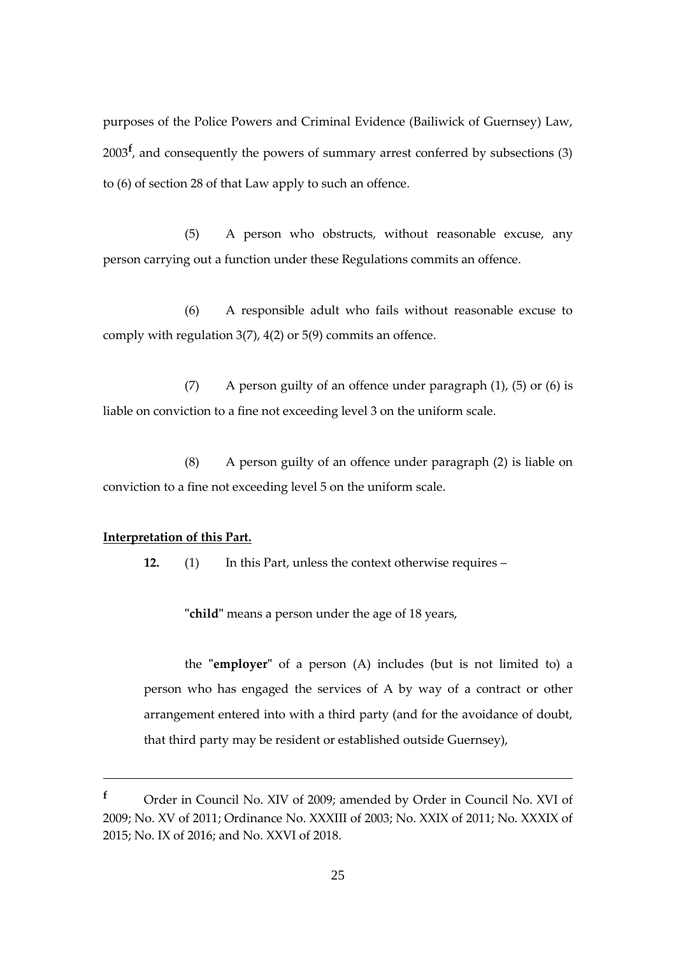purposes of the Police Powers and Criminal Evidence (Bailiwick of Guernsey) Law, 2003**<sup>f</sup>** , and consequently the powers of summary arrest conferred by subsections (3) to (6) of section 28 of that Law apply to such an offence.

(5) A person who obstructs, without reasonable excuse, any person carrying out a function under these Regulations commits an offence.

(6) A responsible adult who fails without reasonable excuse to comply with regulation 3(7), 4(2) or 5(9) commits an offence.

(7) A person guilty of an offence under paragraph  $(1)$ ,  $(5)$  or  $(6)$  is liable on conviction to a fine not exceeding level 3 on the uniform scale.

(8) A person guilty of an offence under paragraph (2) is liable on conviction to a fine not exceeding level 5 on the uniform scale.

#### **Interpretation of this Part.**

<u>.</u>

**12.** (1) In this Part, unless the context otherwise requires –

**"child"** means a person under the age of 18 years,

the **"employer"** of a person (A) includes (but is not limited to) a person who has engaged the services of A by way of a contract or other arrangement entered into with a third party (and for the avoidance of doubt, that third party may be resident or established outside Guernsey),

**<sup>f</sup>** Order in Council No. XIV of 2009; amended by Order in Council No. XVI of 2009; No. XV of 2011; Ordinance No. XXXIII of 2003; No. XXIX of 2011; No. XXXIX of 2015; No. IX of 2016; and No. XXVI of 2018.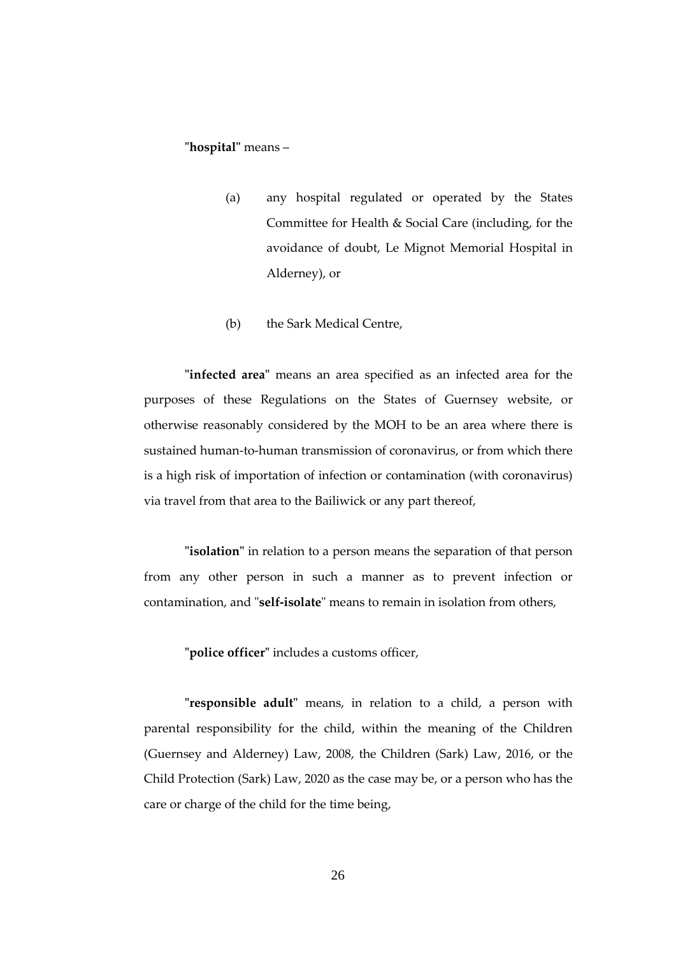# **"hospital"** means –

- (a) any hospital regulated or operated by the States Committee for Health & Social Care (including, for the avoidance of doubt, Le Mignot Memorial Hospital in Alderney), or
- (b) the Sark Medical Centre,

**"infected area"** means an area specified as an infected area for the purposes of these Regulations on the States of Guernsey website, or otherwise reasonably considered by the MOH to be an area where there is sustained human-to-human transmission of coronavirus, or from which there is a high risk of importation of infection or contamination (with coronavirus) via travel from that area to the Bailiwick or any part thereof,

**"isolation"** in relation to a person means the separation of that person from any other person in such a manner as to prevent infection or contamination, and "**self-isolate**" means to remain in isolation from others,

**"police officer"** includes a customs officer,

**"responsible adult"** means, in relation to a child, a person with parental responsibility for the child, within the meaning of the Children (Guernsey and Alderney) Law, 2008, the Children (Sark) Law, 2016, or the Child Protection (Sark) Law, 2020 as the case may be, or a person who has the care or charge of the child for the time being,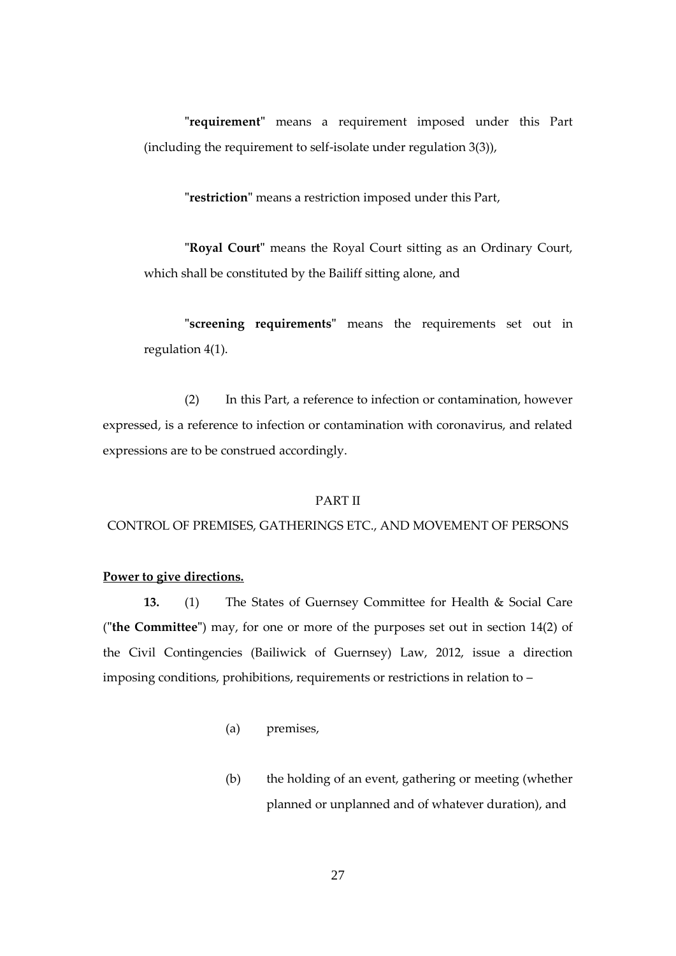**"requirement"** means a requirement imposed under this Part (including the requirement to self-isolate under regulation 3(3)),

**"restriction"** means a restriction imposed under this Part,

**"Royal Court"** means the Royal Court sitting as an Ordinary Court, which shall be constituted by the Bailiff sitting alone, and

**"screening requirements"** means the requirements set out in regulation 4(1).

(2) In this Part, a reference to infection or contamination, however expressed, is a reference to infection or contamination with coronavirus, and related expressions are to be construed accordingly.

#### PART II

#### CONTROL OF PREMISES, GATHERINGS ETC., AND MOVEMENT OF PERSONS

#### **Power to give directions.**

**13.** (1) The States of Guernsey Committee for Health & Social Care (**"the Committee"**) may, for one or more of the purposes set out in section 14(2) of the Civil Contingencies (Bailiwick of Guernsey) Law, 2012, issue a direction imposing conditions, prohibitions, requirements or restrictions in relation to –

- (a) premises,
- (b) the holding of an event, gathering or meeting (whether planned or unplanned and of whatever duration), and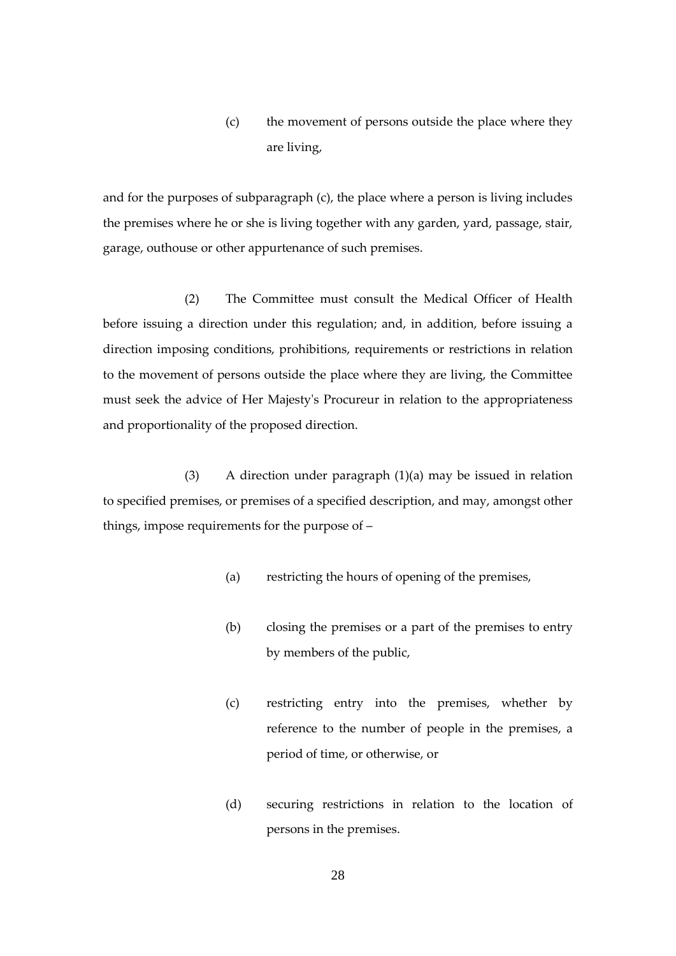(c) the movement of persons outside the place where they are living,

and for the purposes of subparagraph (c), the place where a person is living includes the premises where he or she is living together with any garden, yard, passage, stair, garage, outhouse or other appurtenance of such premises.

(2) The Committee must consult the Medical Officer of Health before issuing a direction under this regulation; and, in addition, before issuing a direction imposing conditions, prohibitions, requirements or restrictions in relation to the movement of persons outside the place where they are living, the Committee must seek the advice of Her Majesty's Procureur in relation to the appropriateness and proportionality of the proposed direction.

(3) A direction under paragraph (1)(a) may be issued in relation to specified premises, or premises of a specified description, and may, amongst other things, impose requirements for the purpose of –

- (a) restricting the hours of opening of the premises,
- (b) closing the premises or a part of the premises to entry by members of the public,
- (c) restricting entry into the premises, whether by reference to the number of people in the premises, a period of time, or otherwise, or
- (d) securing restrictions in relation to the location of persons in the premises.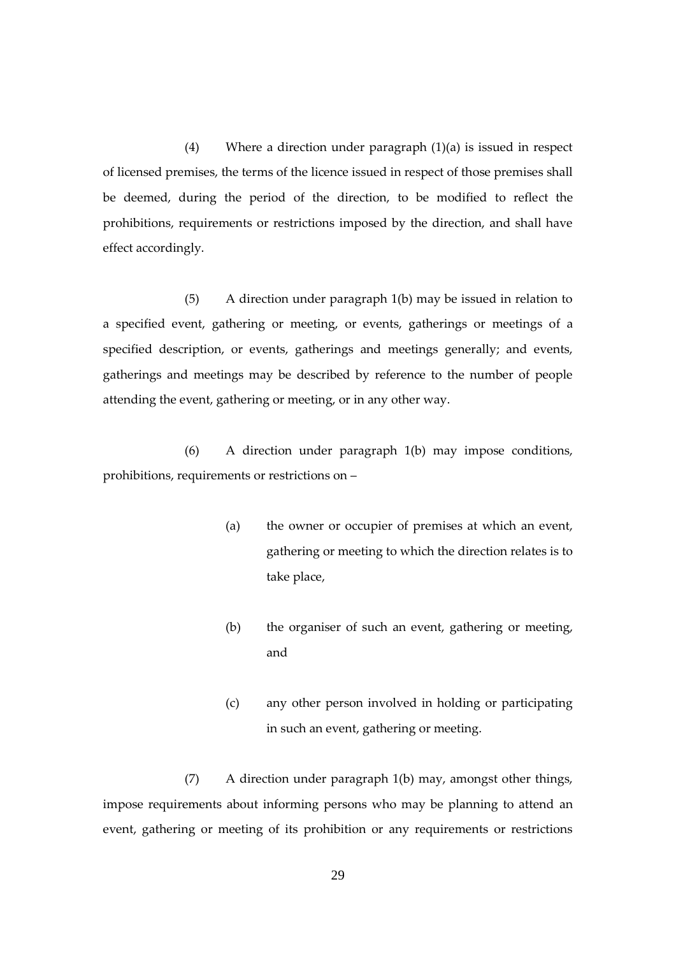(4) Where a direction under paragraph (1)(a) is issued in respect of licensed premises, the terms of the licence issued in respect of those premises shall be deemed, during the period of the direction, to be modified to reflect the prohibitions, requirements or restrictions imposed by the direction, and shall have effect accordingly.

(5) A direction under paragraph 1(b) may be issued in relation to a specified event, gathering or meeting, or events, gatherings or meetings of a specified description, or events, gatherings and meetings generally; and events, gatherings and meetings may be described by reference to the number of people attending the event, gathering or meeting, or in any other way.

(6) A direction under paragraph 1(b) may impose conditions, prohibitions, requirements or restrictions on –

- (a) the owner or occupier of premises at which an event, gathering or meeting to which the direction relates is to take place,
- (b) the organiser of such an event, gathering or meeting, and
- (c) any other person involved in holding or participating in such an event, gathering or meeting.

(7) A direction under paragraph 1(b) may, amongst other things, impose requirements about informing persons who may be planning to attend an event, gathering or meeting of its prohibition or any requirements or restrictions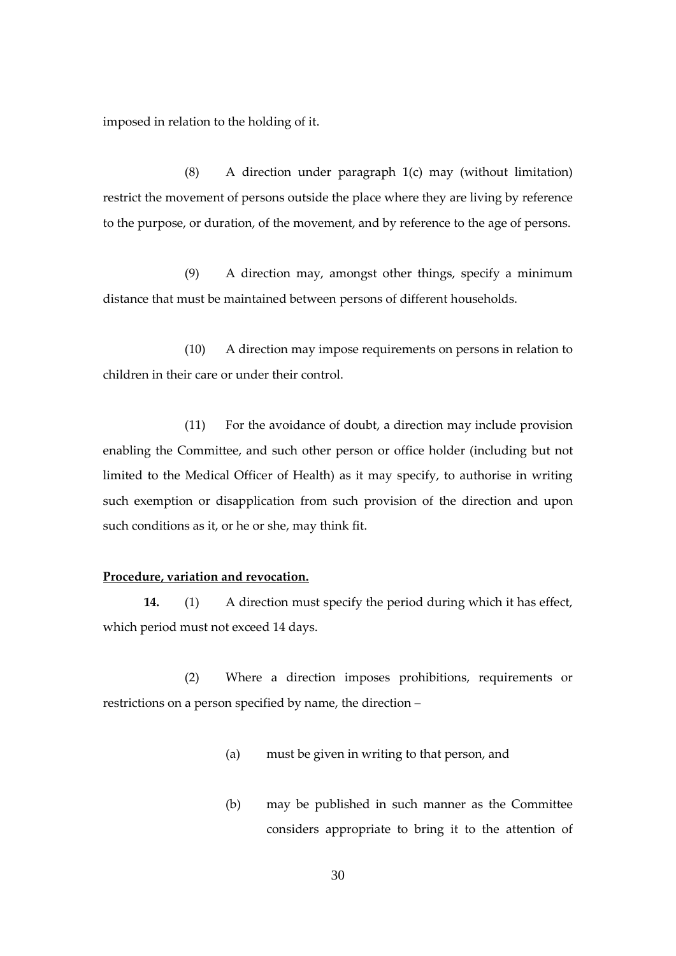imposed in relation to the holding of it.

(8) A direction under paragraph 1(c) may (without limitation) restrict the movement of persons outside the place where they are living by reference to the purpose, or duration, of the movement, and by reference to the age of persons.

(9) A direction may, amongst other things, specify a minimum distance that must be maintained between persons of different households.

(10) A direction may impose requirements on persons in relation to children in their care or under their control.

(11) For the avoidance of doubt, a direction may include provision enabling the Committee, and such other person or office holder (including but not limited to the Medical Officer of Health) as it may specify, to authorise in writing such exemption or disapplication from such provision of the direction and upon such conditions as it, or he or she, may think fit.

#### **Procedure, variation and revocation.**

**14.** (1) A direction must specify the period during which it has effect, which period must not exceed 14 days.

(2) Where a direction imposes prohibitions, requirements or restrictions on a person specified by name, the direction –

- (a) must be given in writing to that person, and
- (b) may be published in such manner as the Committee considers appropriate to bring it to the attention of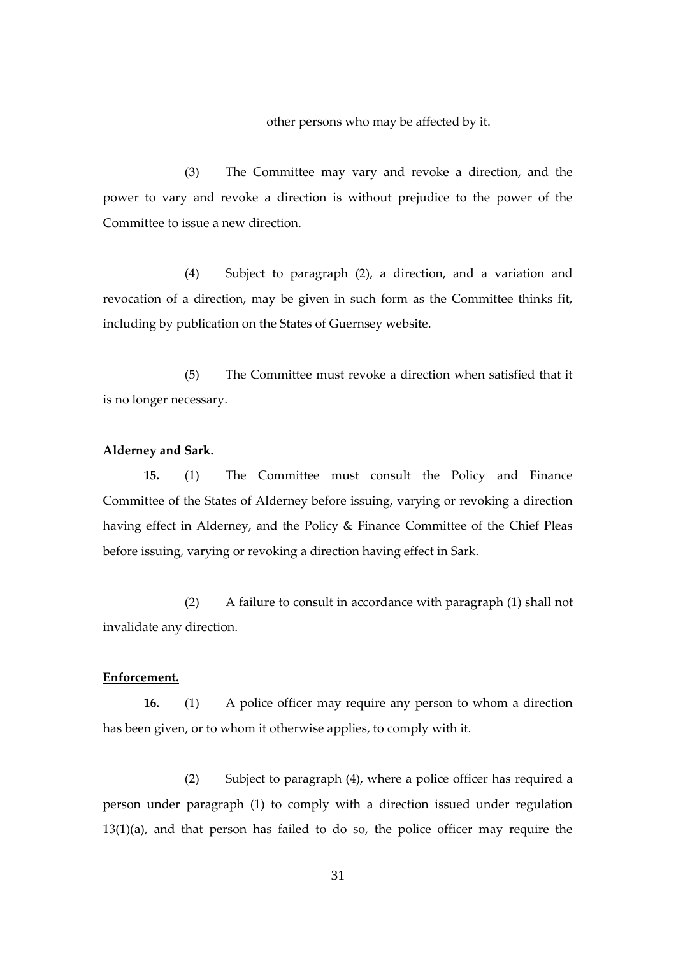other persons who may be affected by it.

(3) The Committee may vary and revoke a direction, and the power to vary and revoke a direction is without prejudice to the power of the Committee to issue a new direction.

(4) Subject to paragraph (2), a direction, and a variation and revocation of a direction, may be given in such form as the Committee thinks fit, including by publication on the States of Guernsey website.

(5) The Committee must revoke a direction when satisfied that it is no longer necessary.

#### **Alderney and Sark.**

**15.** (1) The Committee must consult the Policy and Finance Committee of the States of Alderney before issuing, varying or revoking a direction having effect in Alderney, and the Policy & Finance Committee of the Chief Pleas before issuing, varying or revoking a direction having effect in Sark.

(2) A failure to consult in accordance with paragraph (1) shall not invalidate any direction.

# **Enforcement.**

**16.** (1) A police officer may require any person to whom a direction has been given, or to whom it otherwise applies, to comply with it.

(2) Subject to paragraph (4), where a police officer has required a person under paragraph (1) to comply with a direction issued under regulation 13(1)(a), and that person has failed to do so, the police officer may require the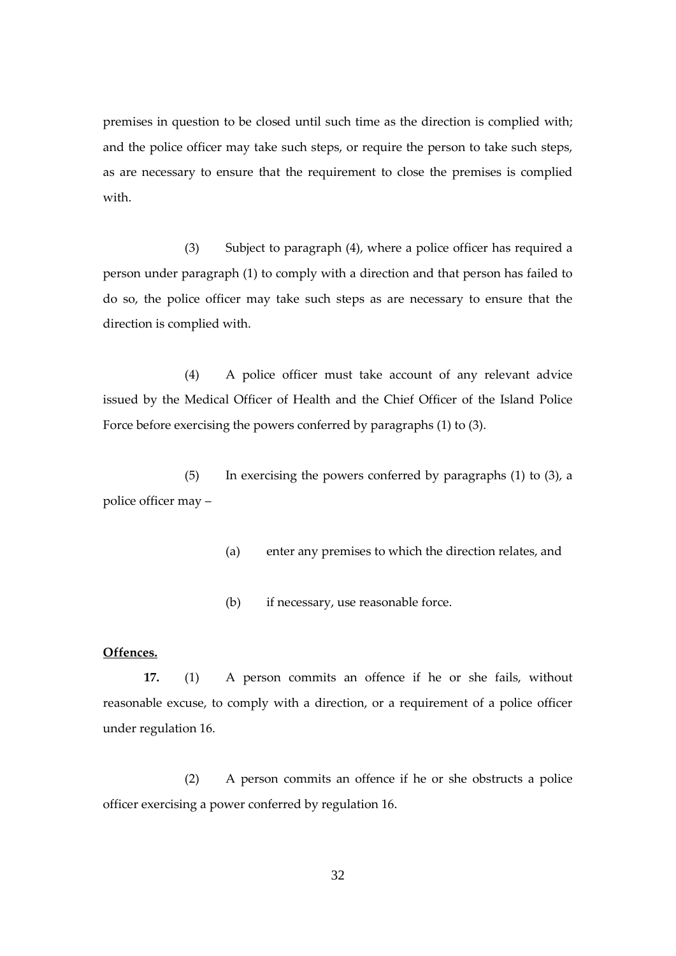premises in question to be closed until such time as the direction is complied with; and the police officer may take such steps, or require the person to take such steps, as are necessary to ensure that the requirement to close the premises is complied with.

(3) Subject to paragraph (4), where a police officer has required a person under paragraph (1) to comply with a direction and that person has failed to do so, the police officer may take such steps as are necessary to ensure that the direction is complied with.

(4) A police officer must take account of any relevant advice issued by the Medical Officer of Health and the Chief Officer of the Island Police Force before exercising the powers conferred by paragraphs (1) to (3).

(5) In exercising the powers conferred by paragraphs (1) to (3), a police officer may –

- (a) enter any premises to which the direction relates, and
- (b) if necessary, use reasonable force.

# **Offences.**

**17.** (1) A person commits an offence if he or she fails, without reasonable excuse, to comply with a direction, or a requirement of a police officer under regulation 16.

(2) A person commits an offence if he or she obstructs a police officer exercising a power conferred by regulation 16.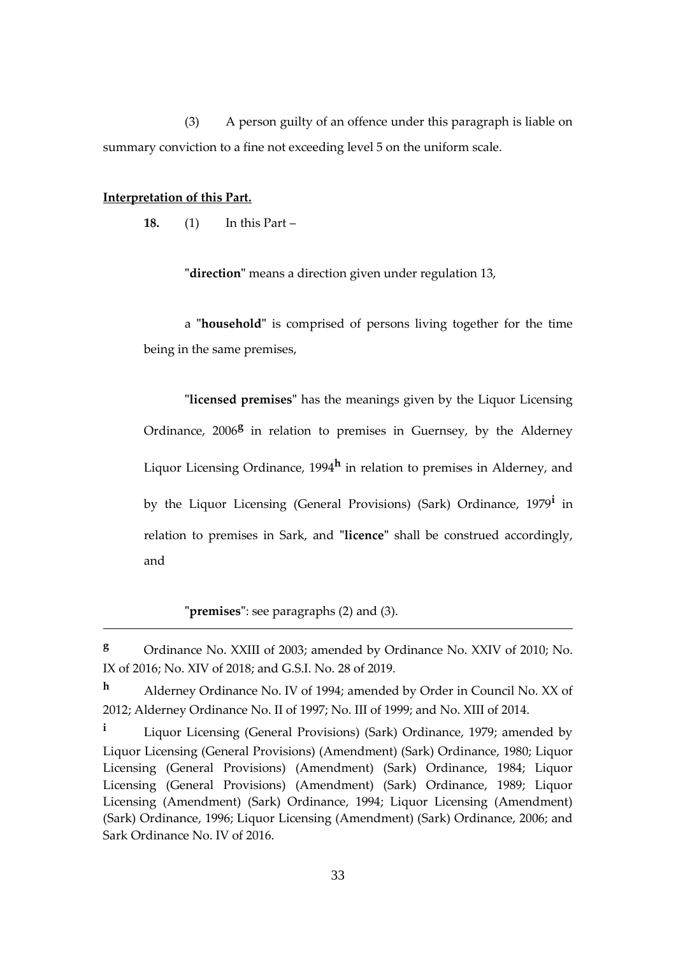(3) A person guilty of an offence under this paragraph is liable on summary conviction to a fine not exceeding level 5 on the uniform scale.

#### **Interpretation of this Part.**

<u>.</u>

**18.** (1) In this Part –

**"direction"** means a direction given under regulation 13,

a **"household"** is comprised of persons living together for the time being in the same premises,

**"licensed premises"** has the meanings given by the Liquor Licensing Ordinance, 2006<sup>8</sup> in relation to premises in Guernsey, by the Alderney Liquor Licensing Ordinance, 1994**<sup>h</sup>** in relation to premises in Alderney, and by the Liquor Licensing (General Provisions) (Sark) Ordinance, 1979**<sup>i</sup>** in relation to premises in Sark, and **"licence"** shall be construed accordingly, and

**"premises"**: see paragraphs (2) and (3).

**<sup>g</sup>** Ordinance No. XXIII of 2003; amended by Ordinance No. XXIV of 2010; No. IX of 2016; No. XIV of 2018; and G.S.I. No. 28 of 2019.

**<sup>h</sup>** Alderney Ordinance No. IV of 1994; amended by Order in Council No. XX of 2012; Alderney Ordinance No. II of 1997; No. III of 1999; and No. XIII of 2014.

**<sup>i</sup>** Liquor Licensing (General Provisions) (Sark) Ordinance, 1979; amended by Liquor Licensing (General Provisions) (Amendment) (Sark) Ordinance, 1980; Liquor Licensing (General Provisions) (Amendment) (Sark) Ordinance, 1984; Liquor Licensing (General Provisions) (Amendment) (Sark) Ordinance, 1989; Liquor Licensing (Amendment) (Sark) Ordinance, 1994; Liquor Licensing (Amendment) (Sark) Ordinance, 1996; Liquor Licensing (Amendment) (Sark) Ordinance, 2006; and Sark Ordinance No. IV of 2016.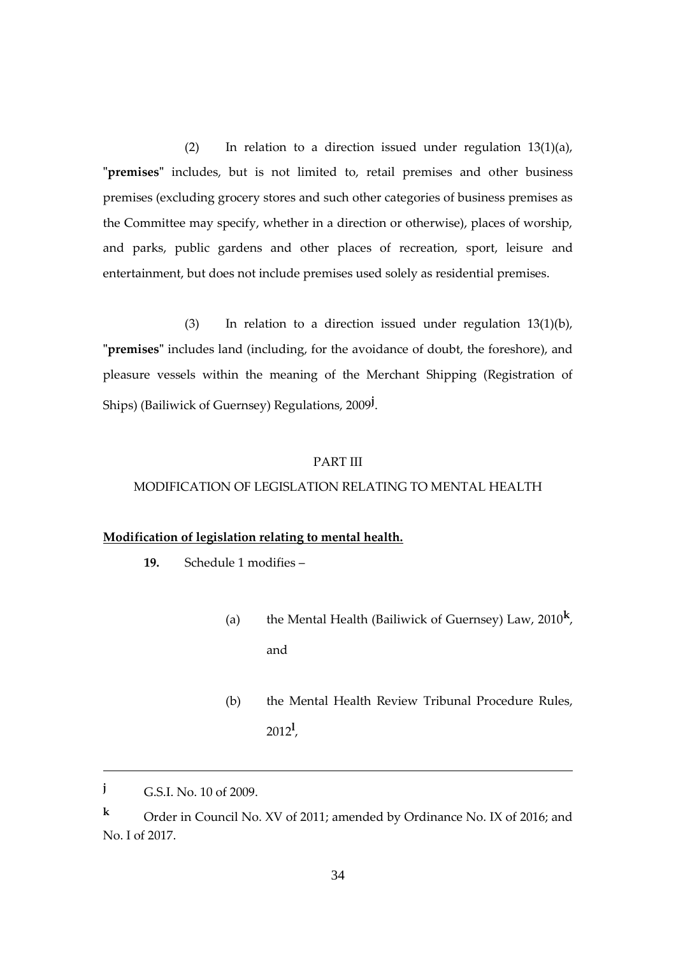(2) In relation to a direction issued under regulation 13(1)(a), **"premises"** includes, but is not limited to, retail premises and other business premises (excluding grocery stores and such other categories of business premises as the Committee may specify, whether in a direction or otherwise), places of worship, and parks, public gardens and other places of recreation, sport, leisure and entertainment, but does not include premises used solely as residential premises.

(3) In relation to a direction issued under regulation 13(1)(b), **"premises"** includes land (including, for the avoidance of doubt, the foreshore), and pleasure vessels within the meaning of the Merchant Shipping (Registration of Ships) (Bailiwick of Guernsey) Regulations, 2009**<sup>j</sup>** .

#### PART III

#### MODIFICATION OF LEGISLATION RELATING TO MENTAL HEALTH

#### **Modification of legislation relating to mental health.**

- **19.** Schedule 1 modifies
	- (a) the Mental Health (Bailiwick of Guernsey) Law, 2010**<sup>k</sup>** , and
	- (b) the Mental Health Review Tribunal Procedure Rules, 2012**<sup>l</sup>** ,

1

**<sup>j</sup>** G.S.I. No. 10 of 2009.

**<sup>k</sup>** Order in Council No. XV of 2011; amended by Ordinance No. IX of 2016; and No. I of 2017.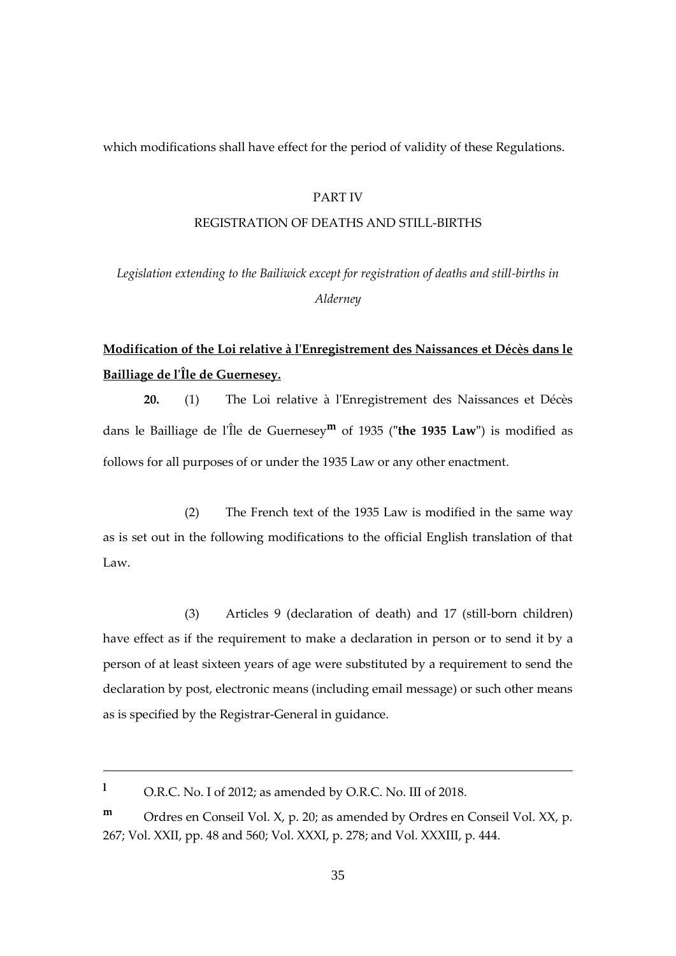which modifications shall have effect for the period of validity of these Regulations.

#### PART IV

#### REGISTRATION OF DEATHS AND STILL-BIRTHS

*Legislation extending to the Bailiwick except for registration of deaths and still-births in Alderney*

# **Modification of the Loi relative à l'Enregistrement des Naissances et Décès dans le Bailliage de l'Île de Guernesey.**

**20.** (1) The Loi relative à l'Enregistrement des Naissances et Décès dans le Bailliage de l'Île de Guernesey**<sup>m</sup>** of 1935 (**"the 1935 Law"**) is modified as follows for all purposes of or under the 1935 Law or any other enactment.

(2) The French text of the 1935 Law is modified in the same way as is set out in the following modifications to the official English translation of that Law.

(3) Articles 9 (declaration of death) and 17 (still-born children) have effect as if the requirement to make a declaration in person or to send it by a person of at least sixteen years of age were substituted by a requirement to send the declaration by post, electronic means (including email message) or such other means as is specified by the Registrar-General in guidance.

**<sup>l</sup>** O.R.C. No. I of 2012; as amended by O.R.C. No. III of 2018.

1

**m** Ordres en Conseil Vol. X, p. 20; as amended by Ordres en Conseil Vol. XX, p. 267; Vol. XXII, pp. 48 and 560; Vol. XXXI, p. 278; and Vol. XXXIII, p. 444.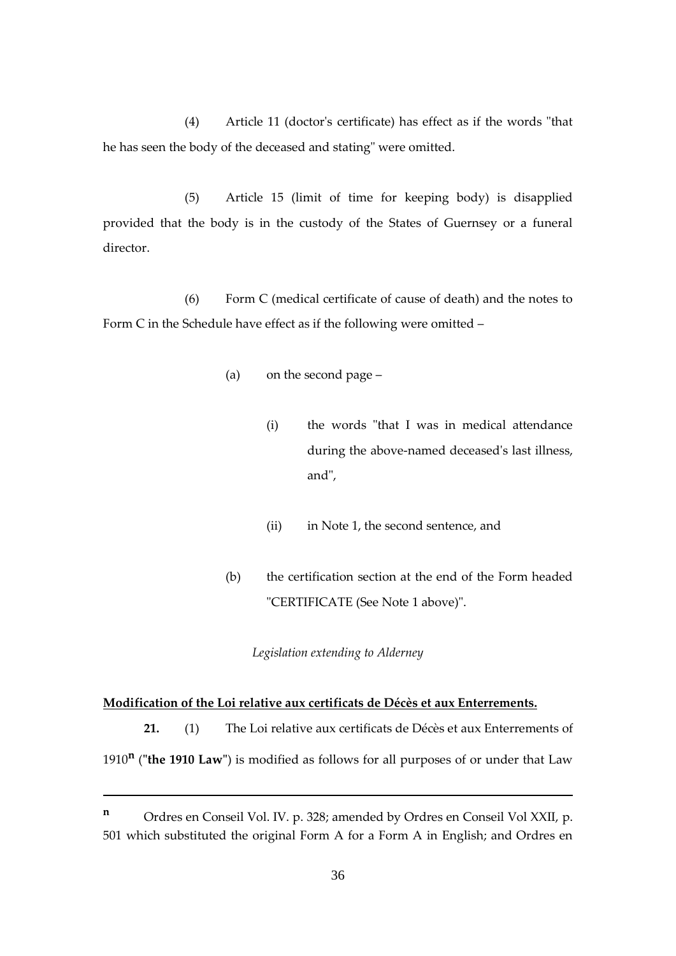(4) Article 11 (doctor's certificate) has effect as if the words "that he has seen the body of the deceased and stating" were omitted.

(5) Article 15 (limit of time for keeping body) is disapplied provided that the body is in the custody of the States of Guernsey or a funeral director.

(6) Form C (medical certificate of cause of death) and the notes to Form C in the Schedule have effect as if the following were omitted –

- (a) on the second page
	- (i) the words "that I was in medical attendance during the above-named deceased's last illness, and",
	- (ii) in Note 1, the second sentence, and
- (b) the certification section at the end of the Form headed "CERTIFICATE (See Note 1 above)".

*Legislation extending to Alderney*

#### **Modification of the Loi relative aux certificats de Décès et aux Enterrements.**

1

**21.** (1) The Loi relative aux certificats de Décès et aux Enterrements of

1910**<sup>n</sup>** (**"the 1910 Law"**) is modified as follows for all purposes of or under that Law

**<sup>n</sup>** Ordres en Conseil Vol. IV. p. 328; amended by Ordres en Conseil Vol XXII, p. 501 which substituted the original Form A for a Form A in English; and Ordres en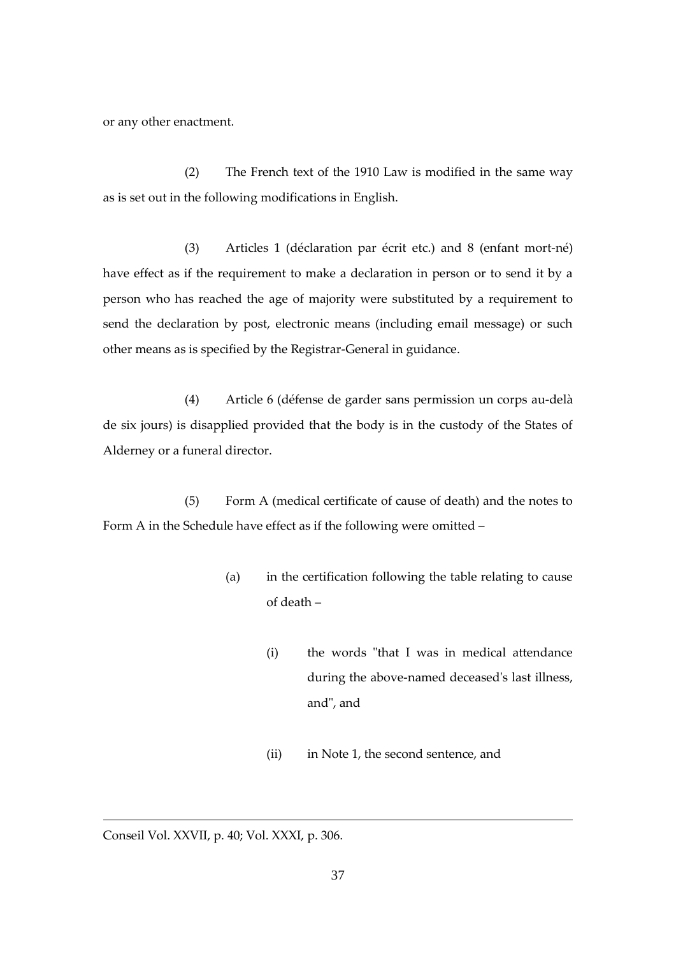or any other enactment.

(2) The French text of the 1910 Law is modified in the same way as is set out in the following modifications in English.

(3) Articles 1 (déclaration par écrit etc.) and 8 (enfant mort-né) have effect as if the requirement to make a declaration in person or to send it by a person who has reached the age of majority were substituted by a requirement to send the declaration by post, electronic means (including email message) or such other means as is specified by the Registrar-General in guidance.

(4) Article 6 (défense de garder sans permission un corps au-delà de six jours) is disapplied provided that the body is in the custody of the States of Alderney or a funeral director.

(5) Form A (medical certificate of cause of death) and the notes to Form A in the Schedule have effect as if the following were omitted –

- (a) in the certification following the table relating to cause of death –
	- (i) the words "that I was in medical attendance during the above-named deceased's last illness, and", and
	- (ii) in Note 1, the second sentence, and

<u>.</u>

Conseil Vol. XXVII, p. 40; Vol. XXXI, p. 306.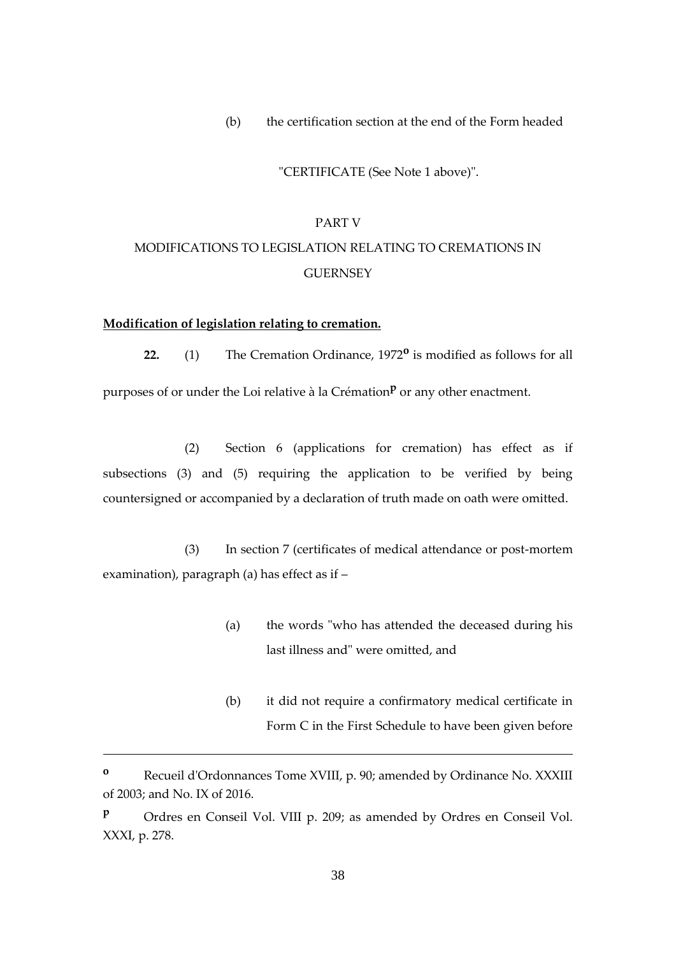(b) the certification section at the end of the Form headed

"CERTIFICATE (See Note 1 above)".

# PART V MODIFICATIONS TO LEGISLATION RELATING TO CREMATIONS IN **GUERNSEY**

#### **Modification of legislation relating to cremation.**

1

**22.** (1) The Cremation Ordinance, 1972**<sup>o</sup>** is modified as follows for all purposes of or under the Loi relative à la Crémation<sup>p</sup> or any other enactment.

(2) Section 6 (applications for cremation) has effect as if subsections (3) and (5) requiring the application to be verified by being countersigned or accompanied by a declaration of truth made on oath were omitted.

(3) In section 7 (certificates of medical attendance or post-mortem examination), paragraph (a) has effect as if –

- (a) the words "who has attended the deceased during his last illness and" were omitted, and
- (b) it did not require a confirmatory medical certificate in Form C in the First Schedule to have been given before

**<sup>o</sup>** Recueil d'Ordonnances Tome XVIII, p. 90; amended by Ordinance No. XXXIII of 2003; and No. IX of 2016.

**<sup>p</sup>** Ordres en Conseil Vol. VIII p. 209; as amended by Ordres en Conseil Vol. XXXI, p. 278.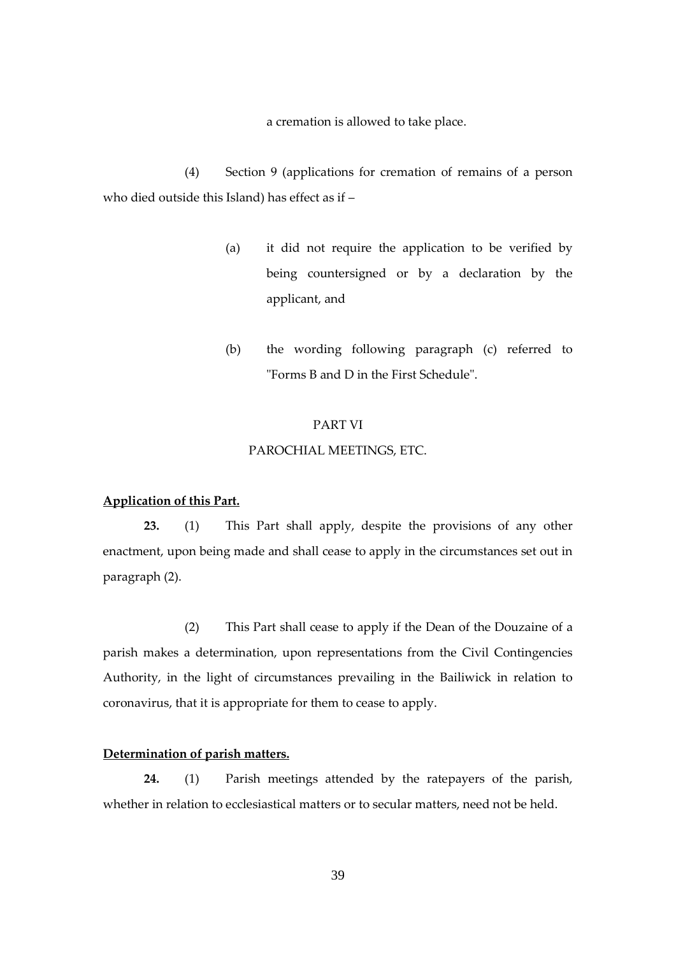a cremation is allowed to take place.

(4) Section 9 (applications for cremation of remains of a person who died outside this Island) has effect as if –

- (a) it did not require the application to be verified by being countersigned or by a declaration by the applicant, and
- (b) the wording following paragraph (c) referred to "Forms B and D in the First Schedule".

#### PART VI

#### PAROCHIAL MEETINGS, ETC.

## **Application of this Part.**

**23.** (1) This Part shall apply, despite the provisions of any other enactment, upon being made and shall cease to apply in the circumstances set out in paragraph (2).

(2) This Part shall cease to apply if the Dean of the Douzaine of a parish makes a determination, upon representations from the Civil Contingencies Authority, in the light of circumstances prevailing in the Bailiwick in relation to coronavirus, that it is appropriate for them to cease to apply.

## **Determination of parish matters.**

**24.** (1) Parish meetings attended by the ratepayers of the parish, whether in relation to ecclesiastical matters or to secular matters, need not be held.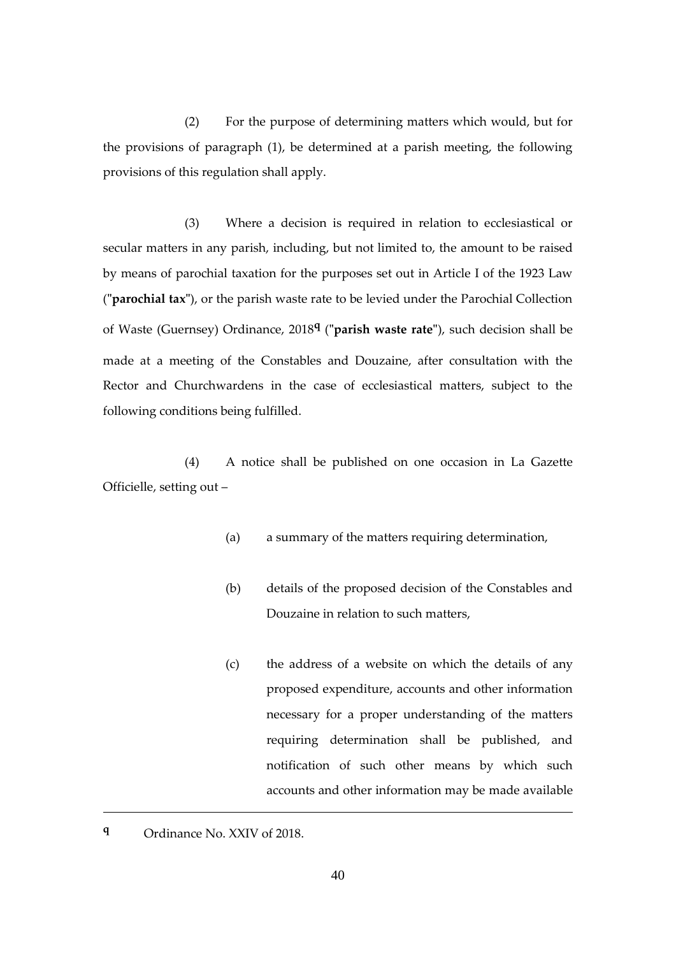(2) For the purpose of determining matters which would, but for the provisions of paragraph (1), be determined at a parish meeting, the following provisions of this regulation shall apply.

(3) Where a decision is required in relation to ecclesiastical or secular matters in any parish, including, but not limited to, the amount to be raised by means of parochial taxation for the purposes set out in Article I of the 1923 Law (**"parochial tax"**), or the parish waste rate to be levied under the Parochial Collection of Waste (Guernsey) Ordinance, 2018**<sup>q</sup>** (**"parish waste rate"**), such decision shall be made at a meeting of the Constables and Douzaine, after consultation with the Rector and Churchwardens in the case of ecclesiastical matters, subject to the following conditions being fulfilled.

(4) A notice shall be published on one occasion in La Gazette Officielle, setting out –

- (a) a summary of the matters requiring determination,
- (b) details of the proposed decision of the Constables and Douzaine in relation to such matters,
- (c) the address of a website on which the details of any proposed expenditure, accounts and other information necessary for a proper understanding of the matters requiring determination shall be published, and notification of such other means by which such accounts and other information may be made available
- **<sup>q</sup>** Ordinance No. XXIV of 2018.

<u>.</u>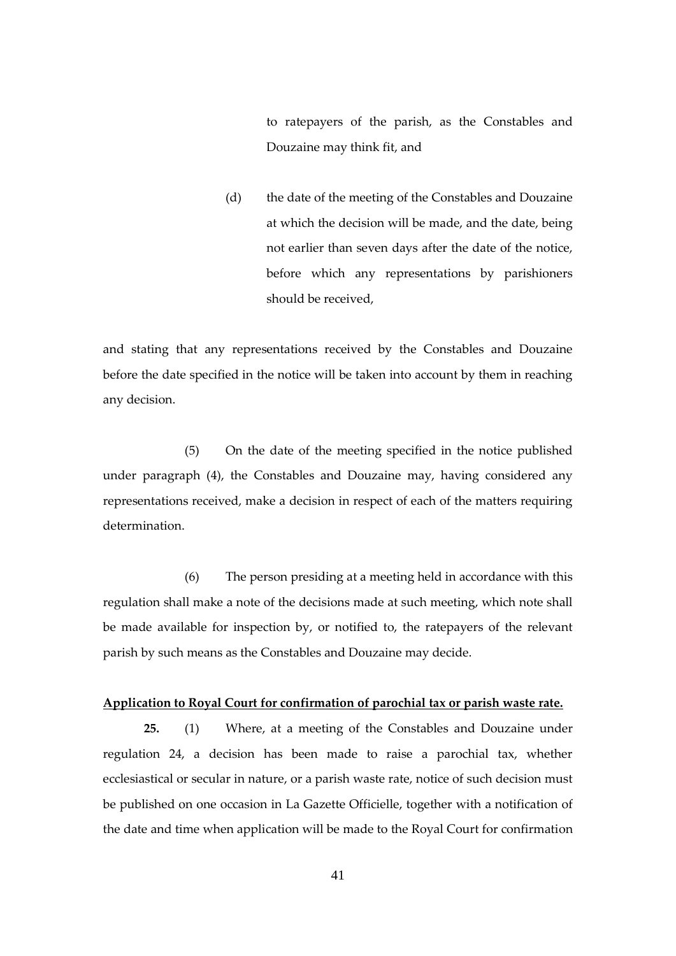to ratepayers of the parish, as the Constables and Douzaine may think fit, and

(d) the date of the meeting of the Constables and Douzaine at which the decision will be made, and the date, being not earlier than seven days after the date of the notice, before which any representations by parishioners should be received,

and stating that any representations received by the Constables and Douzaine before the date specified in the notice will be taken into account by them in reaching any decision.

(5) On the date of the meeting specified in the notice published under paragraph (4), the Constables and Douzaine may, having considered any representations received, make a decision in respect of each of the matters requiring determination.

(6) The person presiding at a meeting held in accordance with this regulation shall make a note of the decisions made at such meeting, which note shall be made available for inspection by, or notified to, the ratepayers of the relevant parish by such means as the Constables and Douzaine may decide.

### **Application to Royal Court for confirmation of parochial tax or parish waste rate.**

**25.** (1) Where, at a meeting of the Constables and Douzaine under regulation 24, a decision has been made to raise a parochial tax, whether ecclesiastical or secular in nature, or a parish waste rate, notice of such decision must be published on one occasion in La Gazette Officielle, together with a notification of the date and time when application will be made to the Royal Court for confirmation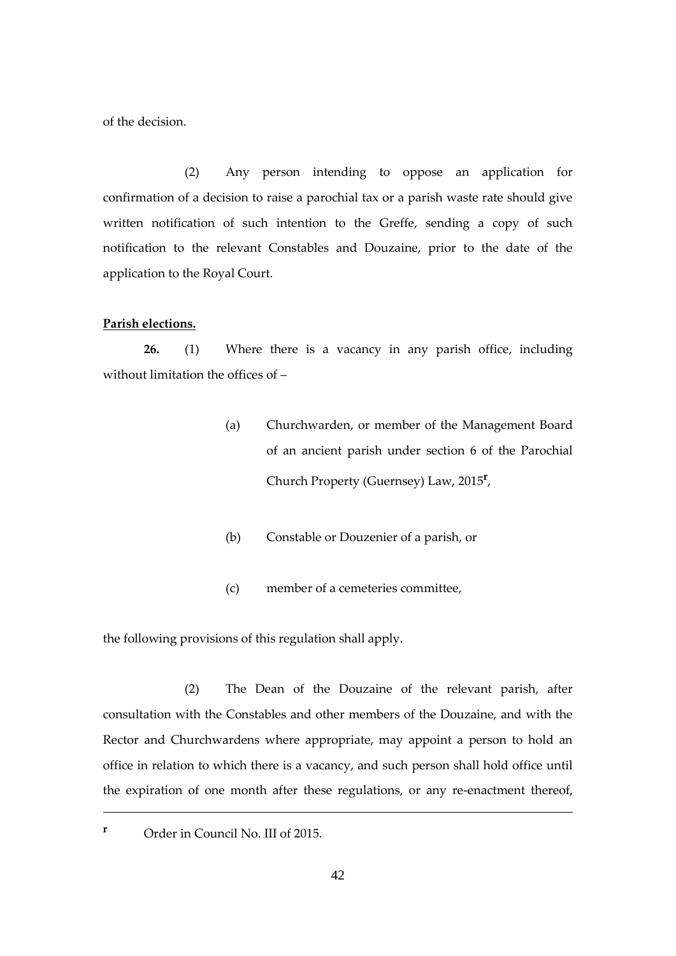of the decision.

(2) Any person intending to oppose an application for confirmation of a decision to raise a parochial tax or a parish waste rate should give written notification of such intention to the Greffe, sending a copy of such notification to the relevant Constables and Douzaine, prior to the date of the application to the Royal Court.

#### **Parish elections.**

**26.** (1) Where there is a vacancy in any parish office, including without limitation the offices of –

- (a) Churchwarden, or member of the Management Board of an ancient parish under section 6 of the Parochial Church Property (Guernsey) Law, 2015**<sup>r</sup>** ,
- (b) Constable or Douzenier of a parish, or
- (c) member of a cemeteries committee,

the following provisions of this regulation shall apply.

(2) The Dean of the Douzaine of the relevant parish, after consultation with the Constables and other members of the Douzaine, and with the Rector and Churchwardens where appropriate, may appoint a person to hold an office in relation to which there is a vacancy, and such person shall hold office until the expiration of one month after these regulations, or any re-enactment thereof,

**<sup>r</sup>** Order in Council No. III of 2015.

<u>.</u>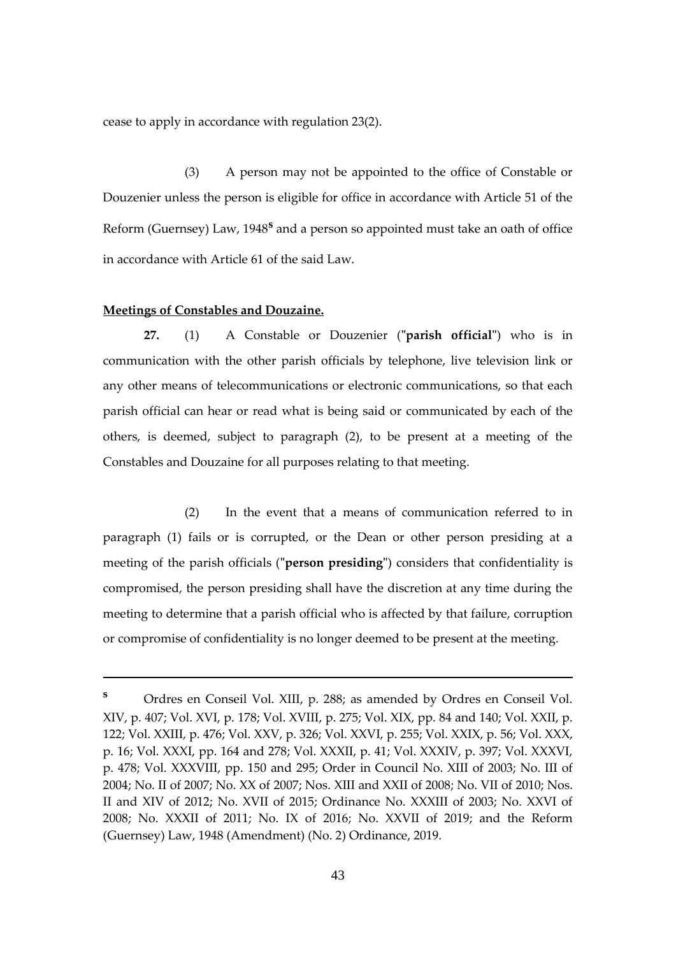cease to apply in accordance with regulation 23(2).

(3) A person may not be appointed to the office of Constable or Douzenier unless the person is eligible for office in accordance with Article 51 of the Reform (Guernsey) Law, 1948<sup>s</sup> and a person so appointed must take an oath of office in accordance with Article 61 of the said Law.

#### **Meetings of Constables and Douzaine.**

1

**27.** (1) A Constable or Douzenier (**"parish official"**) who is in communication with the other parish officials by telephone, live television link or any other means of telecommunications or electronic communications, so that each parish official can hear or read what is being said or communicated by each of the others, is deemed, subject to paragraph (2), to be present at a meeting of the Constables and Douzaine for all purposes relating to that meeting.

(2) In the event that a means of communication referred to in paragraph (1) fails or is corrupted, or the Dean or other person presiding at a meeting of the parish officials (**"person presiding"**) considers that confidentiality is compromised, the person presiding shall have the discretion at any time during the meeting to determine that a parish official who is affected by that failure, corruption or compromise of confidentiality is no longer deemed to be present at the meeting.

**<sup>s</sup>** Ordres en Conseil Vol. XIII, p. 288; as amended by Ordres en Conseil Vol. XIV, p. 407; Vol. XVI, p. 178; Vol. XVIII, p. 275; Vol. XIX, pp. 84 and 140; Vol. XXII, p. 122; Vol. XXIII, p. 476; Vol. XXV, p. 326; Vol. XXVI, p. 255; Vol. XXIX, p. 56; Vol. XXX, p. 16; Vol. XXXI, pp. 164 and 278; Vol. XXXII, p. 41; Vol. XXXIV, p. 397; Vol. XXXVI, p. 478; Vol. XXXVIII, pp. 150 and 295; Order in Council No. XIII of 2003; No. III of 2004; No. II of 2007; No. XX of 2007; Nos. XIII and XXII of 2008; No. VII of 2010; Nos. II and XIV of 2012; No. XVII of 2015; Ordinance No. XXXIII of 2003; No. XXVI of 2008; No. XXXII of 2011; No. IX of 2016; No. XXVII of 2019; and the Reform (Guernsey) Law, 1948 (Amendment) (No. 2) Ordinance, 2019.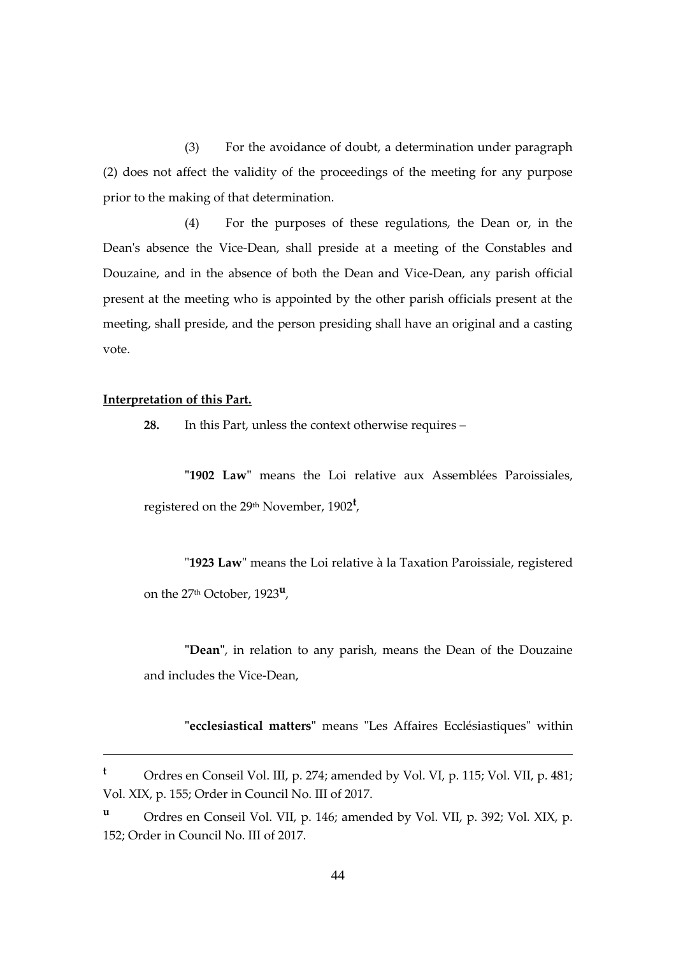(3) For the avoidance of doubt, a determination under paragraph (2) does not affect the validity of the proceedings of the meeting for any purpose prior to the making of that determination.

(4) For the purposes of these regulations, the Dean or, in the Dean's absence the Vice-Dean, shall preside at a meeting of the Constables and Douzaine, and in the absence of both the Dean and Vice-Dean, any parish official present at the meeting who is appointed by the other parish officials present at the meeting, shall preside, and the person presiding shall have an original and a casting vote.

#### **Interpretation of this Part.**

1

**28.** In this Part, unless the context otherwise requires –

**"1902 Law"** means the Loi relative aux Assemblées Paroissiales, registered on the 29th November, 1902**<sup>t</sup>** ,

"**1923 Law**" means the Loi relative à la Taxation Paroissiale, registered on the 27th October, 1923**<sup>u</sup>** ,

**"Dean"**, in relation to any parish, means the Dean of the Douzaine and includes the Vice-Dean,

**"ecclesiastical matters"** means "Les Affaires Ecclésiastiques" within

**<sup>t</sup>** Ordres en Conseil Vol. III, p. 274; amended by Vol. VI, p. 115; Vol. VII, p. 481; Vol. XIX, p. 155; Order in Council No. III of 2017.

**<sup>u</sup>** Ordres en Conseil Vol. VII, p. 146; amended by Vol. VII, p. 392; Vol. XIX, p. 152; Order in Council No. III of 2017.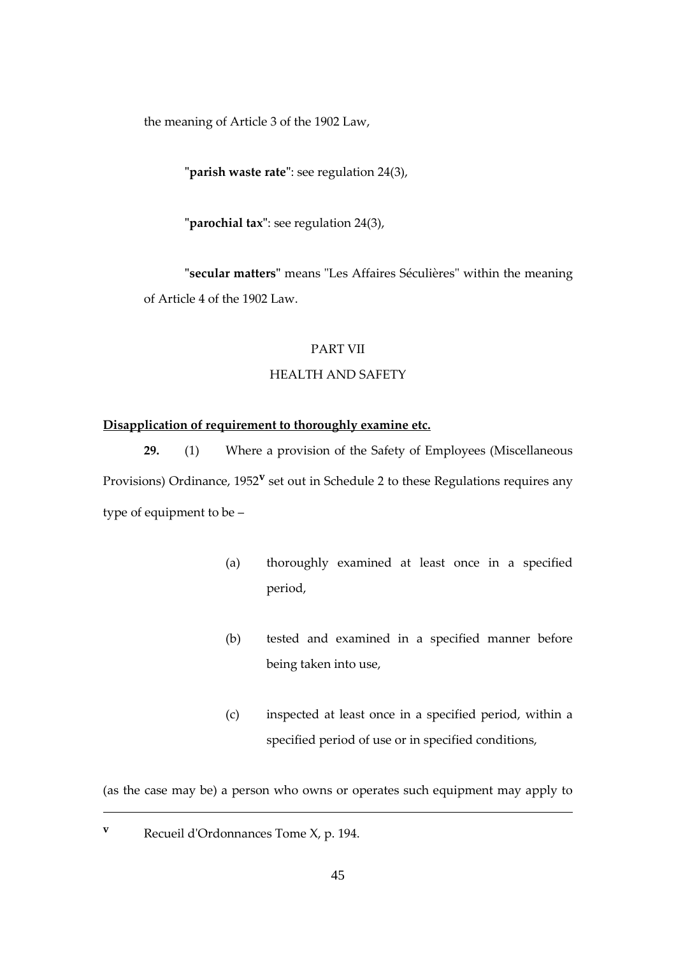the meaning of Article 3 of the 1902 Law,

**"parish waste rate"**: see regulation 24(3),

**"parochial tax"**: see regulation 24(3),

**"secular matters"** means "Les Affaires Séculières" within the meaning of Article 4 of the 1902 Law.

## PART VII

## HEALTH AND SAFETY

## **Disapplication of requirement to thoroughly examine etc.**

**29.** (1) Where a provision of the Safety of Employees (Miscellaneous Provisions) Ordinance, 1952<sup>v</sup> set out in Schedule 2 to these Regulations requires any type of equipment to be –

- (a) thoroughly examined at least once in a specified period,
- (b) tested and examined in a specified manner before being taken into use,
- (c) inspected at least once in a specified period, within a specified period of use or in specified conditions,

(as the case may be) a person who owns or operates such equipment may apply to

**<sup>v</sup>** Recueil d'Ordonnances Tome X, p. 194.

<u>.</u>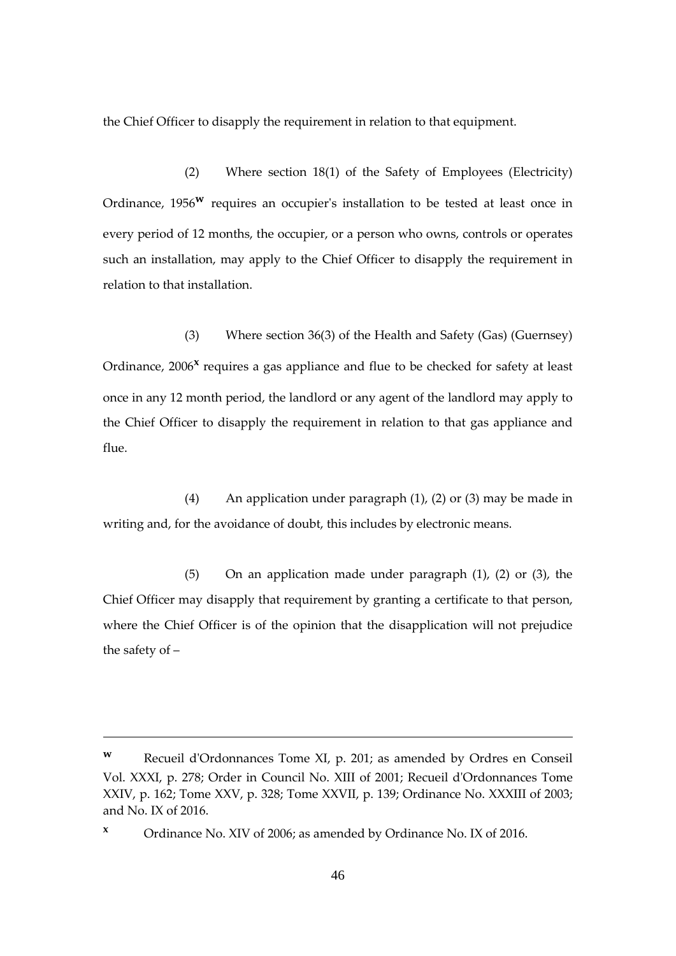the Chief Officer to disapply the requirement in relation to that equipment.

(2) Where section 18(1) of the Safety of Employees (Electricity) Ordinance, 1956**<sup>w</sup>** requires an occupier's installation to be tested at least once in every period of 12 months, the occupier, or a person who owns, controls or operates such an installation, may apply to the Chief Officer to disapply the requirement in relation to that installation.

(3) Where section 36(3) of the Health and Safety (Gas) (Guernsey) Ordinance, 2006<sup>x</sup> requires a gas appliance and flue to be checked for safety at least once in any 12 month period, the landlord or any agent of the landlord may apply to the Chief Officer to disapply the requirement in relation to that gas appliance and flue.

(4) An application under paragraph (1), (2) or (3) may be made in writing and, for the avoidance of doubt, this includes by electronic means.

(5) On an application made under paragraph (1), (2) or (3), the Chief Officer may disapply that requirement by granting a certificate to that person, where the Chief Officer is of the opinion that the disapplication will not prejudice the safety of –

1

**<sup>w</sup>** Recueil d'Ordonnances Tome XI, p. 201; as amended by Ordres en Conseil Vol. XXXI, p. 278; Order in Council No. XIII of 2001; Recueil d'Ordonnances Tome XXIV, p. 162; Tome XXV, p. 328; Tome XXVII, p. 139; Ordinance No. XXXIII of 2003; and No. IX of 2016.

**<sup>x</sup>** Ordinance No. XIV of 2006; as amended by Ordinance No. IX of 2016.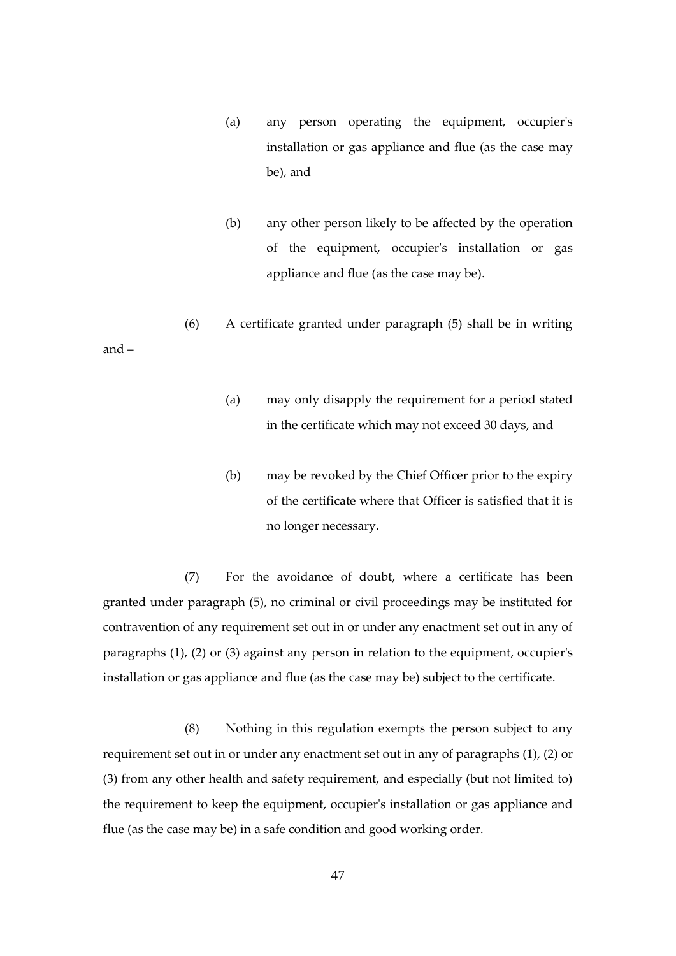- (a) any person operating the equipment, occupier's installation or gas appliance and flue (as the case may be), and
- (b) any other person likely to be affected by the operation of the equipment, occupier's installation or gas appliance and flue (as the case may be).
- (6) A certificate granted under paragraph (5) shall be in writing

and –

- (a) may only disapply the requirement for a period stated in the certificate which may not exceed 30 days, and
- (b) may be revoked by the Chief Officer prior to the expiry of the certificate where that Officer is satisfied that it is no longer necessary.

(7) For the avoidance of doubt, where a certificate has been granted under paragraph (5), no criminal or civil proceedings may be instituted for contravention of any requirement set out in or under any enactment set out in any of paragraphs (1), (2) or (3) against any person in relation to the equipment, occupier's installation or gas appliance and flue (as the case may be) subject to the certificate.

(8) Nothing in this regulation exempts the person subject to any requirement set out in or under any enactment set out in any of paragraphs (1), (2) or (3) from any other health and safety requirement, and especially (but not limited to) the requirement to keep the equipment, occupier's installation or gas appliance and flue (as the case may be) in a safe condition and good working order.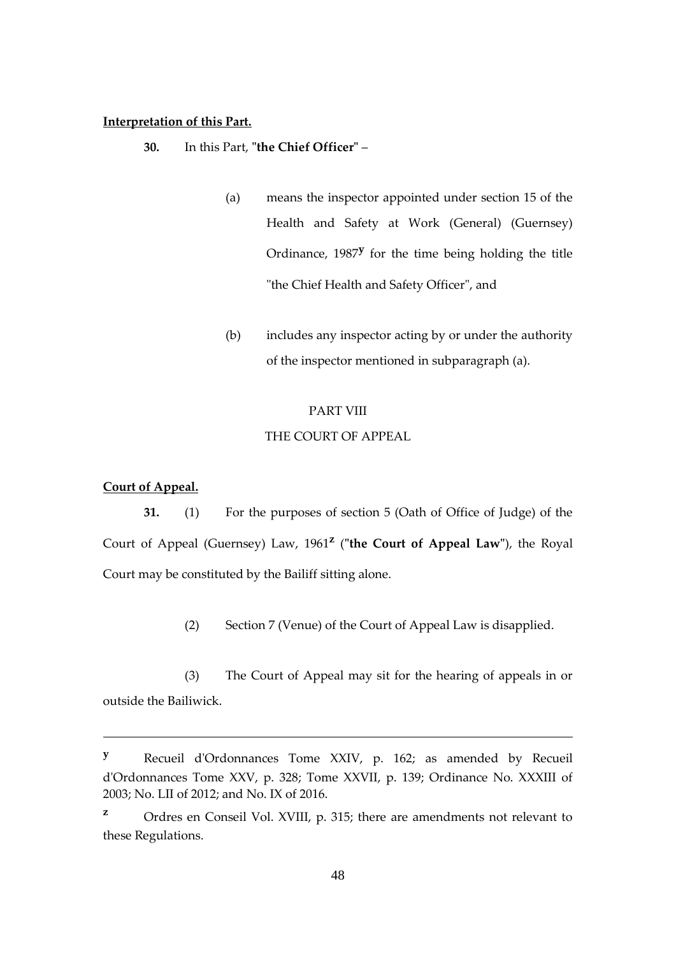#### **Interpretation of this Part.**

- **30.** In this Part, **"the Chief Officer"**
	- (a) means the inspector appointed under section 15 of the Health and Safety at Work (General) (Guernsey) Ordinance, 1987**<sup>y</sup>** for the time being holding the title "the Chief Health and Safety Officer", and
	- (b) includes any inspector acting by or under the authority of the inspector mentioned in subparagraph (a).

#### PART VIII

#### THE COURT OF APPEAL

## **Court of Appeal.**

1

**31.** (1) For the purposes of section 5 (Oath of Office of Judge) of the Court of Appeal (Guernsey) Law, 1961**<sup>z</sup>** (**"the Court of Appeal Law"**), the Royal Court may be constituted by the Bailiff sitting alone.

(2) Section 7 (Venue) of the Court of Appeal Law is disapplied.

(3) The Court of Appeal may sit for the hearing of appeals in or outside the Bailiwick.

**<sup>y</sup>** Recueil d'Ordonnances Tome XXIV, p. 162; as amended by Recueil d'Ordonnances Tome XXV, p. 328; Tome XXVII, p. 139; Ordinance No. XXXIII of 2003; No. LII of 2012; and No. IX of 2016.

**<sup>z</sup>** Ordres en Conseil Vol. XVIII, p. 315; there are amendments not relevant to these Regulations.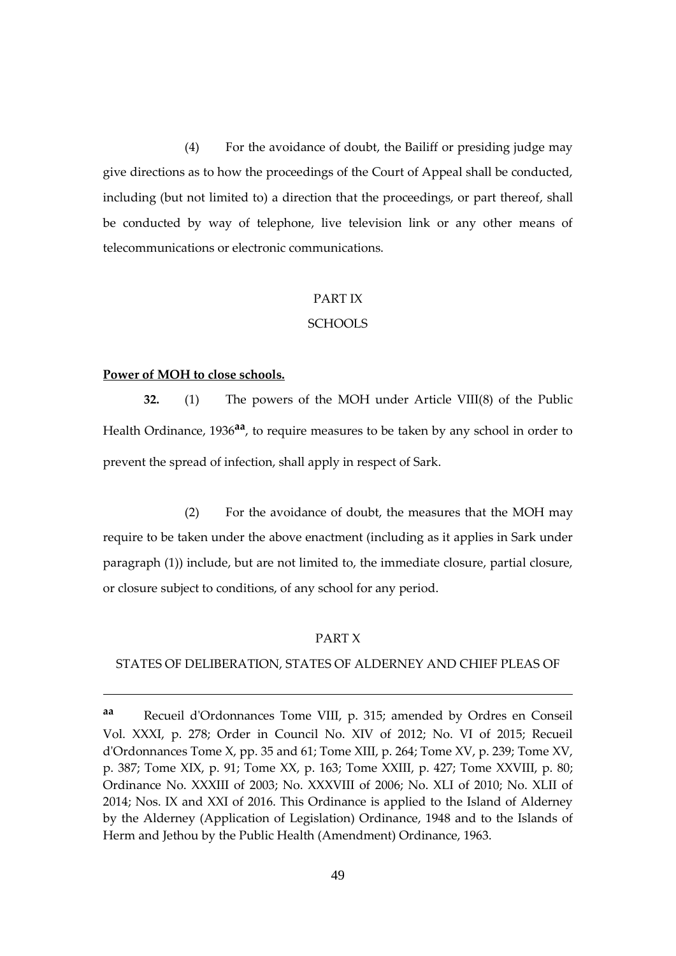(4) For the avoidance of doubt, the Bailiff or presiding judge may give directions as to how the proceedings of the Court of Appeal shall be conducted, including (but not limited to) a direction that the proceedings, or part thereof, shall be conducted by way of telephone, live television link or any other means of telecommunications or electronic communications.

## PART IX

## SCHOOLS

#### **Power of MOH to close schools.**

1

**32.** (1) The powers of the MOH under Article VIII(8) of the Public Health Ordinance, 1936**aa**, to require measures to be taken by any school in order to prevent the spread of infection, shall apply in respect of Sark.

(2) For the avoidance of doubt, the measures that the MOH may require to be taken under the above enactment (including as it applies in Sark under paragraph (1)) include, but are not limited to, the immediate closure, partial closure, or closure subject to conditions, of any school for any period.

## PART X

#### STATES OF DELIBERATION, STATES OF ALDERNEY AND CHIEF PLEAS OF

**aa** Recueil d'Ordonnances Tome VIII, p. 315; amended by Ordres en Conseil Vol. XXXI, p. 278; Order in Council No. XIV of 2012; No. VI of 2015; Recueil d'Ordonnances Tome X, pp. 35 and 61; Tome XIII, p. 264; Tome XV, p. 239; Tome XV, p. 387; Tome XIX, p. 91; Tome XX, p. 163; Tome XXIII, p. 427; Tome XXVIII, p. 80; Ordinance No. XXXIII of 2003; No. XXXVIII of 2006; No. XLI of 2010; No. XLII of 2014; Nos. IX and XXI of 2016. This Ordinance is applied to the Island of Alderney by the Alderney (Application of Legislation) Ordinance, 1948 and to the Islands of Herm and Jethou by the Public Health (Amendment) Ordinance, 1963.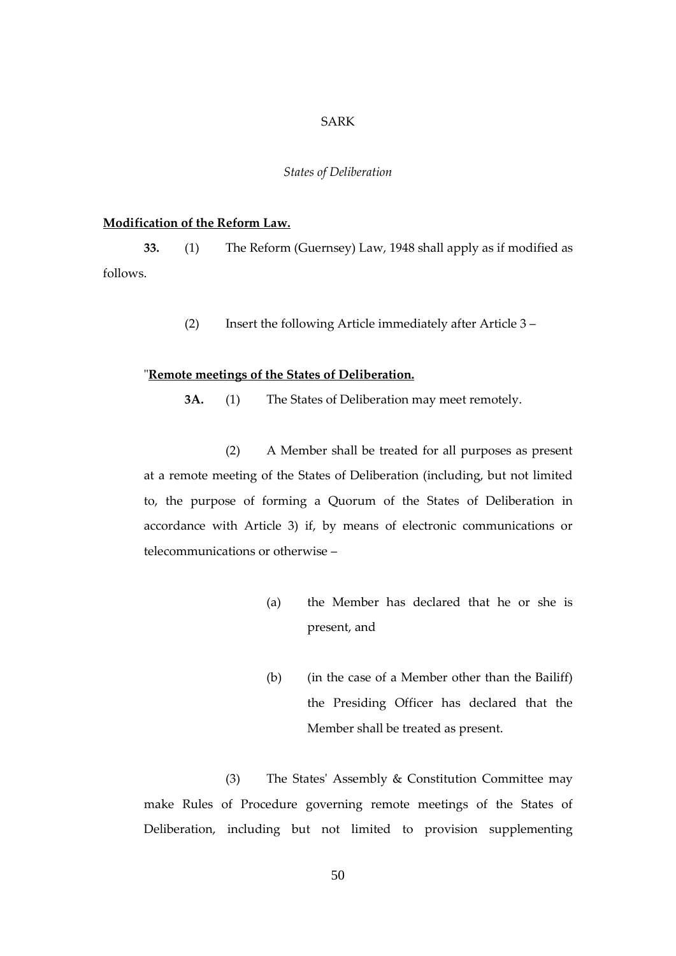#### SARK

#### *States of Deliberation*

## **Modification of the Reform Law.**

**33.** (1) The Reform (Guernsey) Law, 1948 shall apply as if modified as follows.

(2) Insert the following Article immediately after Article 3 –

#### "**Remote meetings of the States of Deliberation.**

**3A.** (1) The States of Deliberation may meet remotely.

(2) A Member shall be treated for all purposes as present at a remote meeting of the States of Deliberation (including, but not limited to, the purpose of forming a Quorum of the States of Deliberation in accordance with Article 3) if, by means of electronic communications or telecommunications or otherwise –

- (a) the Member has declared that he or she is present, and
- (b) (in the case of a Member other than the Bailiff) the Presiding Officer has declared that the Member shall be treated as present.

(3) The States' Assembly & Constitution Committee may make Rules of Procedure governing remote meetings of the States of Deliberation, including but not limited to provision supplementing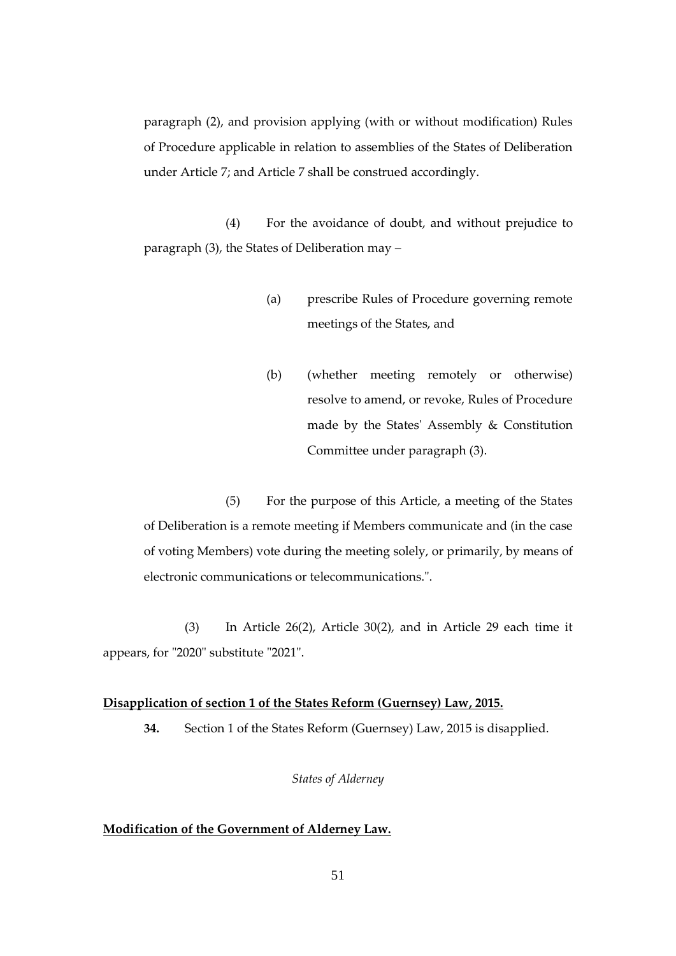paragraph (2), and provision applying (with or without modification) Rules of Procedure applicable in relation to assemblies of the States of Deliberation under Article 7; and Article 7 shall be construed accordingly.

(4) For the avoidance of doubt, and without prejudice to paragraph (3), the States of Deliberation may –

- (a) prescribe Rules of Procedure governing remote meetings of the States, and
- (b) (whether meeting remotely or otherwise) resolve to amend, or revoke, Rules of Procedure made by the States' Assembly & Constitution Committee under paragraph (3).

(5) For the purpose of this Article, a meeting of the States of Deliberation is a remote meeting if Members communicate and (in the case of voting Members) vote during the meeting solely, or primarily, by means of electronic communications or telecommunications.".

 (3) In Article 26(2), Article 30(2), and in Article 29 each time it appears, for "2020" substitute "2021".

### **Disapplication of section 1 of the States Reform (Guernsey) Law, 2015.**

**34.** Section 1 of the States Reform (Guernsey) Law, 2015 is disapplied.

## *States of Alderney*

## **Modification of the Government of Alderney Law.**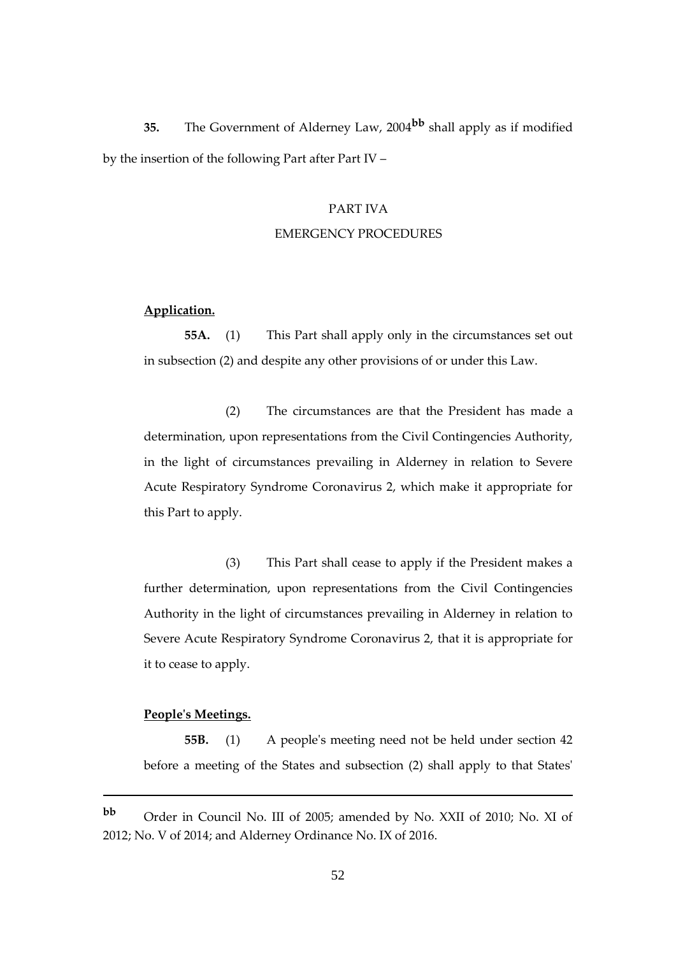**35.** The Government of Alderney Law, 2004**bb** shall apply as if modified by the insertion of the following Part after Part IV –

## PART IVA

#### EMERGENCY PROCEDURES

## **Application.**

**55A.** (1) This Part shall apply only in the circumstances set out in subsection (2) and despite any other provisions of or under this Law.

(2) The circumstances are that the President has made a determination, upon representations from the Civil Contingencies Authority, in the light of circumstances prevailing in Alderney in relation to Severe Acute Respiratory Syndrome Coronavirus 2, which make it appropriate for this Part to apply.

(3) This Part shall cease to apply if the President makes a further determination, upon representations from the Civil Contingencies Authority in the light of circumstances prevailing in Alderney in relation to Severe Acute Respiratory Syndrome Coronavirus 2, that it is appropriate for it to cease to apply.

## **People's Meetings.**

1

**55B.** (1) A people's meeting need not be held under section 42 before a meeting of the States and subsection (2) shall apply to that States'

**bb** Order in Council No. III of 2005; amended by No. XXII of 2010; No. XI of 2012; No. V of 2014; and Alderney Ordinance No. IX of 2016.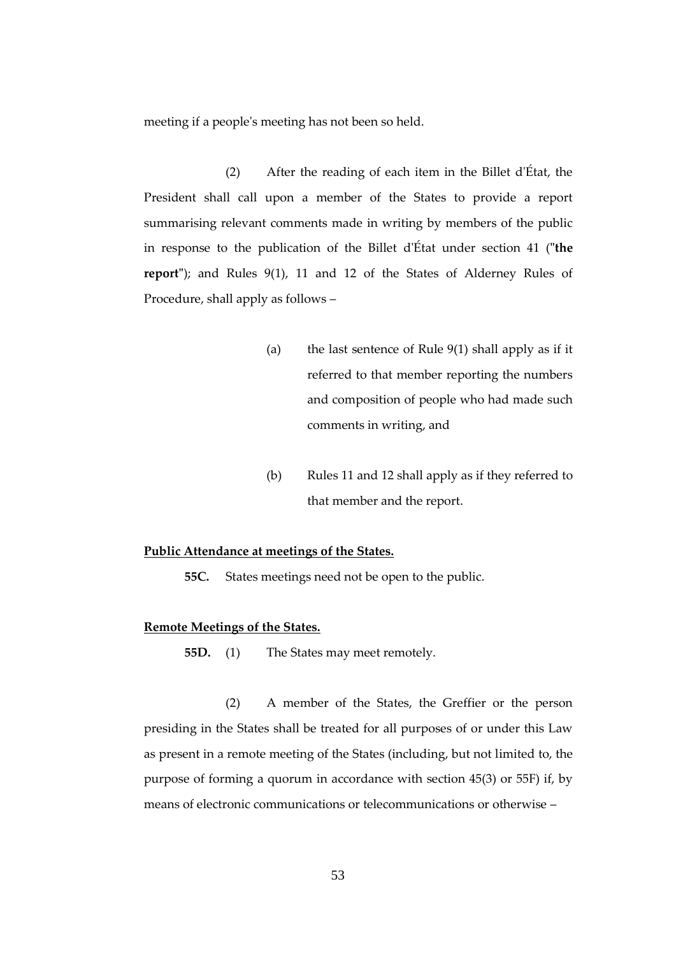meeting if a people's meeting has not been so held.

(2) After the reading of each item in the Billet d'État, the President shall call upon a member of the States to provide a report summarising relevant comments made in writing by members of the public in response to the publication of the Billet d'État under section 41 (**"the report"**); and Rules 9(1), 11 and 12 of the States of Alderney Rules of Procedure, shall apply as follows –

- (a) the last sentence of Rule 9(1) shall apply as if it referred to that member reporting the numbers and composition of people who had made such comments in writing, and
- (b) Rules 11 and 12 shall apply as if they referred to that member and the report.

#### **Public Attendance at meetings of the States.**

**55C.** States meetings need not be open to the public.

## **Remote Meetings of the States.**

**55D.** (1) The States may meet remotely.

(2) A member of the States, the Greffier or the person presiding in the States shall be treated for all purposes of or under this Law as present in a remote meeting of the States (including, but not limited to, the purpose of forming a quorum in accordance with section 45(3) or 55F) if, by means of electronic communications or telecommunications or otherwise –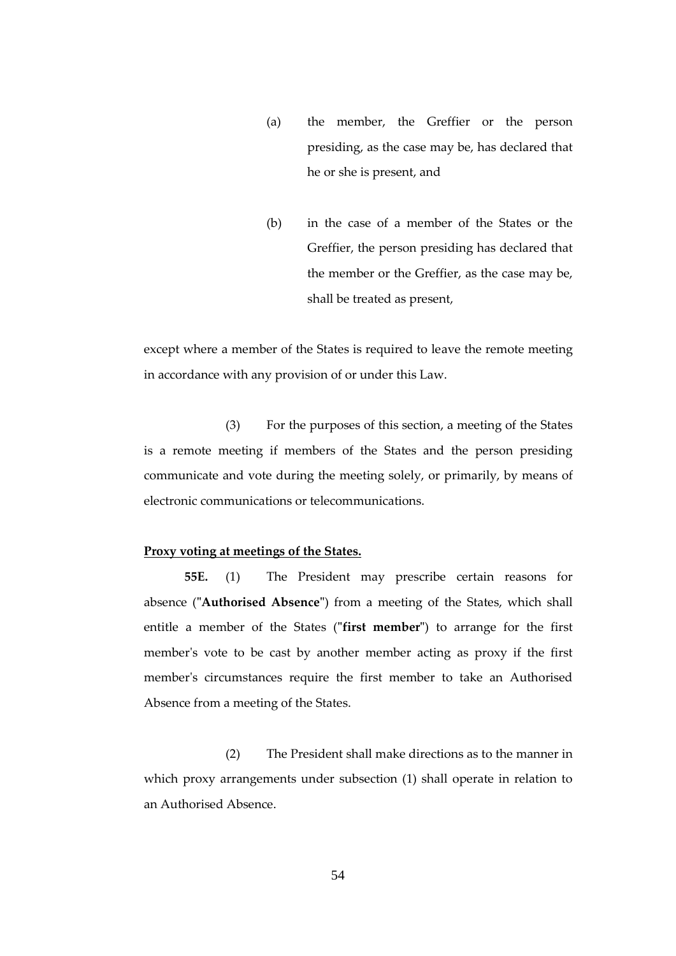- (a) the member, the Greffier or the person presiding, as the case may be, has declared that he or she is present, and
- (b) in the case of a member of the States or the Greffier, the person presiding has declared that the member or the Greffier, as the case may be, shall be treated as present,

except where a member of the States is required to leave the remote meeting in accordance with any provision of or under this Law.

(3) For the purposes of this section, a meeting of the States is a remote meeting if members of the States and the person presiding communicate and vote during the meeting solely, or primarily, by means of electronic communications or telecommunications.

## **Proxy voting at meetings of the States.**

**55E.** (1) The President may prescribe certain reasons for absence (**"Authorised Absence"**) from a meeting of the States, which shall entitle a member of the States (**"first member"**) to arrange for the first member's vote to be cast by another member acting as proxy if the first member's circumstances require the first member to take an Authorised Absence from a meeting of the States.

(2) The President shall make directions as to the manner in which proxy arrangements under subsection (1) shall operate in relation to an Authorised Absence.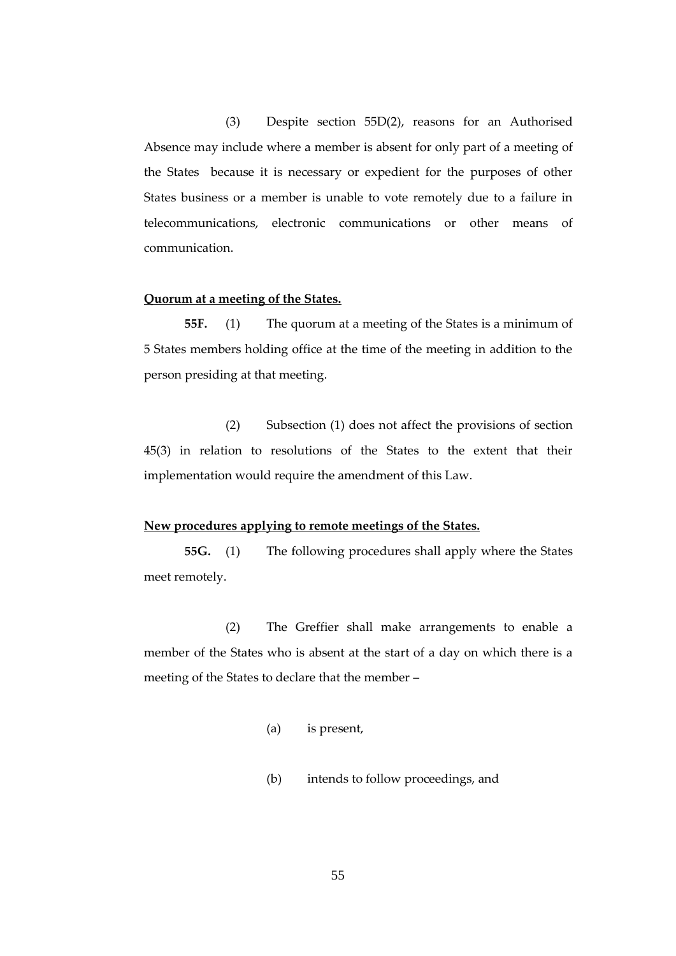(3) Despite section 55D(2), reasons for an Authorised Absence may include where a member is absent for only part of a meeting of the States because it is necessary or expedient for the purposes of other States business or a member is unable to vote remotely due to a failure in telecommunications, electronic communications or other means of communication.

#### **Quorum at a meeting of the States.**

**55F.** (1) The quorum at a meeting of the States is a minimum of 5 States members holding office at the time of the meeting in addition to the person presiding at that meeting.

(2) Subsection (1) does not affect the provisions of section 45(3) in relation to resolutions of the States to the extent that their implementation would require the amendment of this Law.

#### **New procedures applying to remote meetings of the States.**

**55G.** (1) The following procedures shall apply where the States meet remotely.

(2) The Greffier shall make arrangements to enable a member of the States who is absent at the start of a day on which there is a meeting of the States to declare that the member –

- (a) is present,
- (b) intends to follow proceedings, and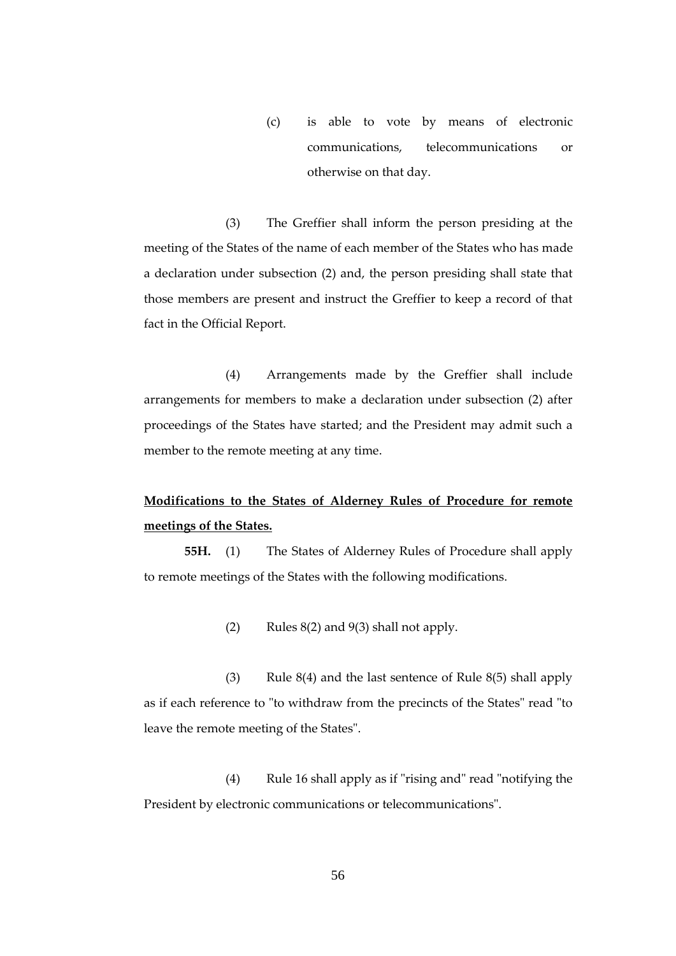(c) is able to vote by means of electronic communications, telecommunications or otherwise on that day.

(3) The Greffier shall inform the person presiding at the meeting of the States of the name of each member of the States who has made a declaration under subsection (2) and, the person presiding shall state that those members are present and instruct the Greffier to keep a record of that fact in the Official Report.

(4) Arrangements made by the Greffier shall include arrangements for members to make a declaration under subsection (2) after proceedings of the States have started; and the President may admit such a member to the remote meeting at any time.

## **Modifications to the States of Alderney Rules of Procedure for remote meetings of the States.**

**55H.** (1) The States of Alderney Rules of Procedure shall apply to remote meetings of the States with the following modifications.

(2) Rules 8(2) and 9(3) shall not apply.

(3) Rule 8(4) and the last sentence of Rule 8(5) shall apply as if each reference to "to withdraw from the precincts of the States" read "to leave the remote meeting of the States".

(4) Rule 16 shall apply as if "rising and" read "notifying the President by electronic communications or telecommunications".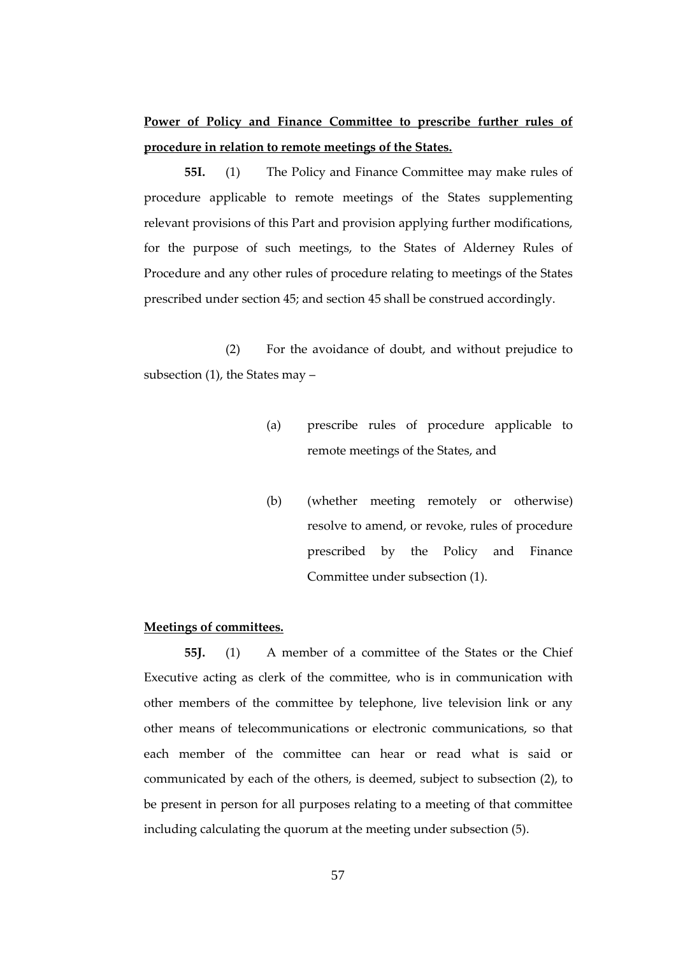## **Power of Policy and Finance Committee to prescribe further rules of procedure in relation to remote meetings of the States.**

**55I.** (1) The Policy and Finance Committee may make rules of procedure applicable to remote meetings of the States supplementing relevant provisions of this Part and provision applying further modifications, for the purpose of such meetings, to the States of Alderney Rules of Procedure and any other rules of procedure relating to meetings of the States prescribed under section 45; and section 45 shall be construed accordingly.

(2) For the avoidance of doubt, and without prejudice to subsection (1), the States may –

- (a) prescribe rules of procedure applicable to remote meetings of the States, and
- (b) (whether meeting remotely or otherwise) resolve to amend, or revoke, rules of procedure prescribed by the Policy and Finance Committee under subsection (1).

## **Meetings of committees.**

**55J.** (1) A member of a committee of the States or the Chief Executive acting as clerk of the committee, who is in communication with other members of the committee by telephone, live television link or any other means of telecommunications or electronic communications, so that each member of the committee can hear or read what is said or communicated by each of the others, is deemed, subject to subsection (2), to be present in person for all purposes relating to a meeting of that committee including calculating the quorum at the meeting under subsection (5).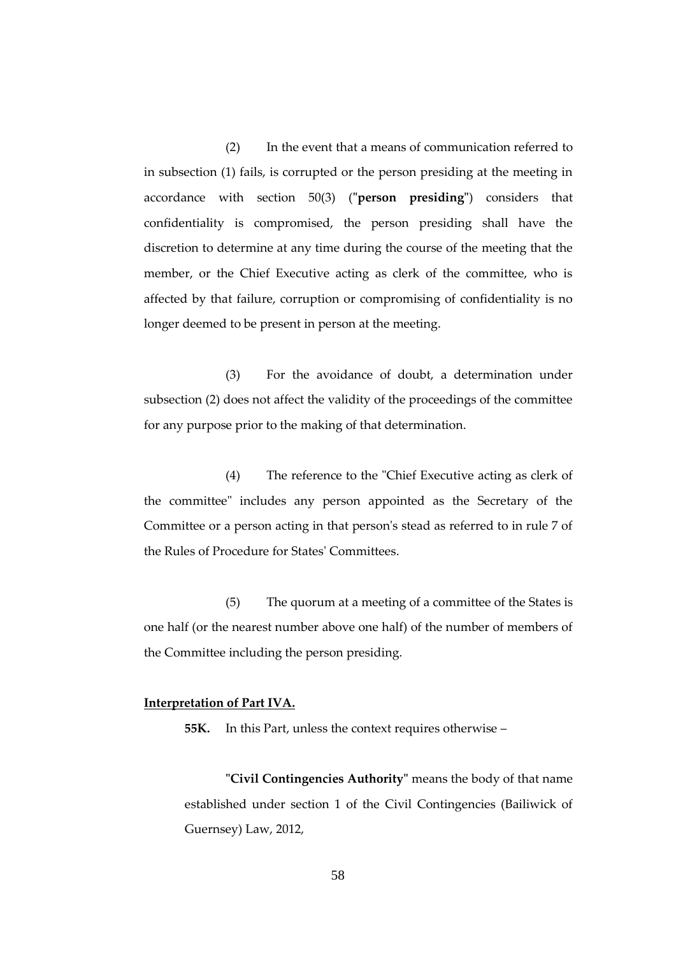(2) In the event that a means of communication referred to in subsection (1) fails, is corrupted or the person presiding at the meeting in accordance with section 50(3) (**"person presiding"**) considers that confidentiality is compromised, the person presiding shall have the discretion to determine at any time during the course of the meeting that the member, or the Chief Executive acting as clerk of the committee, who is affected by that failure, corruption or compromising of confidentiality is no longer deemed to be present in person at the meeting.

(3) For the avoidance of doubt, a determination under subsection (2) does not affect the validity of the proceedings of the committee for any purpose prior to the making of that determination.

(4) The reference to the "Chief Executive acting as clerk of the committee" includes any person appointed as the Secretary of the Committee or a person acting in that person's stead as referred to in rule 7 of the Rules of Procedure for States' Committees.

(5) The quorum at a meeting of a committee of the States is one half (or the nearest number above one half) of the number of members of the Committee including the person presiding.

## **Interpretation of Part IVA.**

**55K.** In this Part, unless the context requires otherwise –

**"Civil Contingencies Authority"** means the body of that name established under section 1 of the Civil Contingencies (Bailiwick of Guernsey) Law, 2012,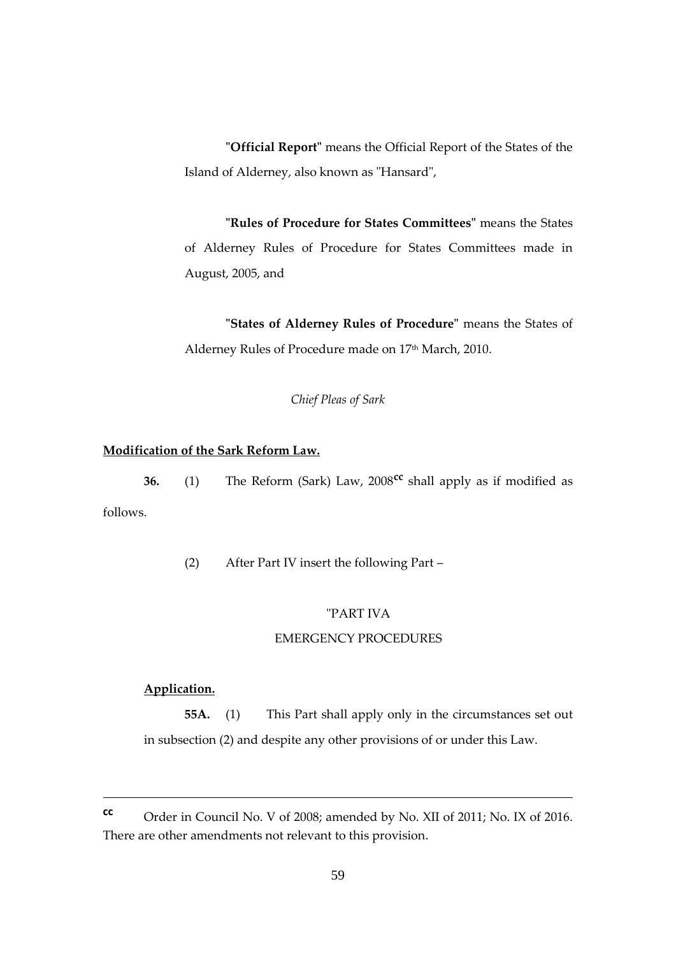**"Official Report"** means the Official Report of the States of the Island of Alderney, also known as "Hansard",

**"Rules of Procedure for States Committees"** means the States of Alderney Rules of Procedure for States Committees made in August, 2005, and

**"States of Alderney Rules of Procedure"** means the States of Alderney Rules of Procedure made on 17<sup>th</sup> March, 2010.

*Chief Pleas of Sark*

## **Modification of the Sark Reform Law.**

**36.** (1) The Reform (Sark) Law, 2008**cc** shall apply as if modified as follows.

(2) After Part IV insert the following Part –

## "PART IVA

#### EMERGENCY PROCEDURES

## **Application.**

1

**55A.** (1) This Part shall apply only in the circumstances set out in subsection (2) and despite any other provisions of or under this Law.

**cc** Order in Council No. V of 2008; amended by No. XII of 2011; No. IX of 2016. There are other amendments not relevant to this provision.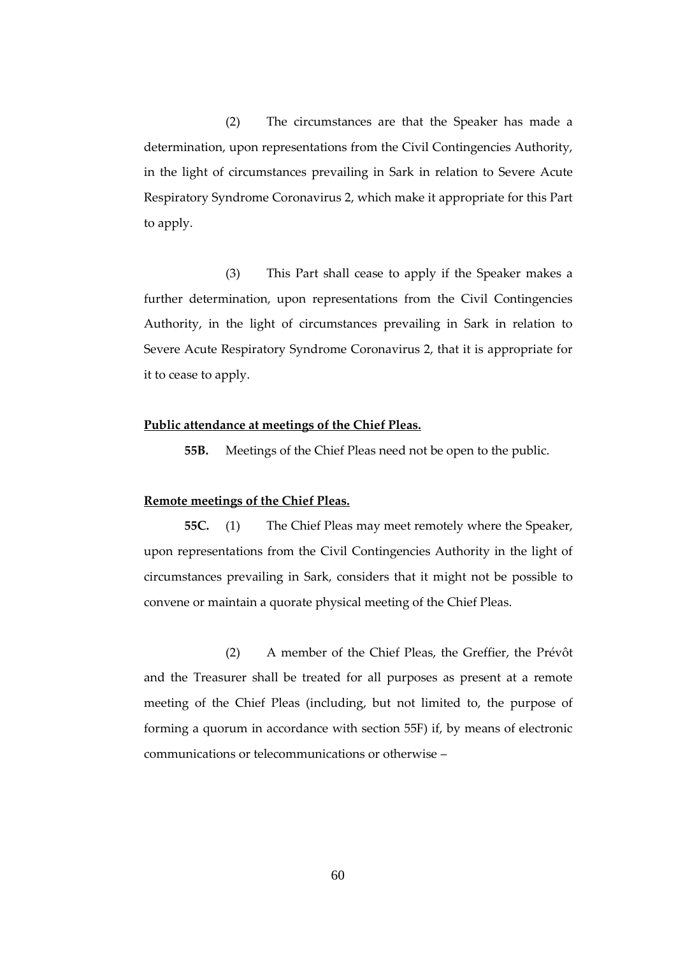(2) The circumstances are that the Speaker has made a determination, upon representations from the Civil Contingencies Authority, in the light of circumstances prevailing in Sark in relation to Severe Acute Respiratory Syndrome Coronavirus 2, which make it appropriate for this Part to apply.

(3) This Part shall cease to apply if the Speaker makes a further determination, upon representations from the Civil Contingencies Authority, in the light of circumstances prevailing in Sark in relation to Severe Acute Respiratory Syndrome Coronavirus 2, that it is appropriate for it to cease to apply.

#### **Public attendance at meetings of the Chief Pleas.**

**55B.** Meetings of the Chief Pleas need not be open to the public.

#### **Remote meetings of the Chief Pleas.**

**55C.** (1) The Chief Pleas may meet remotely where the Speaker, upon representations from the Civil Contingencies Authority in the light of circumstances prevailing in Sark, considers that it might not be possible to convene or maintain a quorate physical meeting of the Chief Pleas.

(2) A member of the Chief Pleas, the Greffier, the Prévôt and the Treasurer shall be treated for all purposes as present at a remote meeting of the Chief Pleas (including, but not limited to, the purpose of forming a quorum in accordance with section 55F) if, by means of electronic communications or telecommunications or otherwise –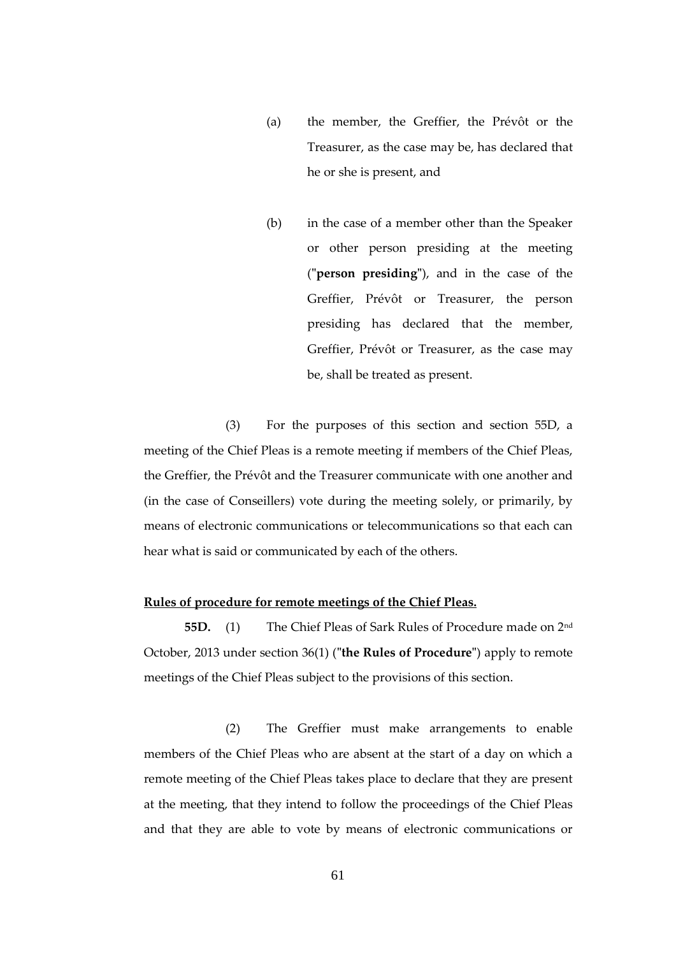- (a) the member, the Greffier, the Prévôt or the Treasurer, as the case may be, has declared that he or she is present, and
- (b) in the case of a member other than the Speaker or other person presiding at the meeting (**"person presiding"**), and in the case of the Greffier, Prévôt or Treasurer, the person presiding has declared that the member, Greffier, Prévôt or Treasurer, as the case may be, shall be treated as present.

(3) For the purposes of this section and section 55D, a meeting of the Chief Pleas is a remote meeting if members of the Chief Pleas, the Greffier, the Prévôt and the Treasurer communicate with one another and (in the case of Conseillers) vote during the meeting solely, or primarily, by means of electronic communications or telecommunications so that each can hear what is said or communicated by each of the others.

## **Rules of procedure for remote meetings of the Chief Pleas.**

**55D.** (1) The Chief Pleas of Sark Rules of Procedure made on 2nd October, 2013 under section 36(1) (**"the Rules of Procedure"**) apply to remote meetings of the Chief Pleas subject to the provisions of this section.

(2) The Greffier must make arrangements to enable members of the Chief Pleas who are absent at the start of a day on which a remote meeting of the Chief Pleas takes place to declare that they are present at the meeting, that they intend to follow the proceedings of the Chief Pleas and that they are able to vote by means of electronic communications or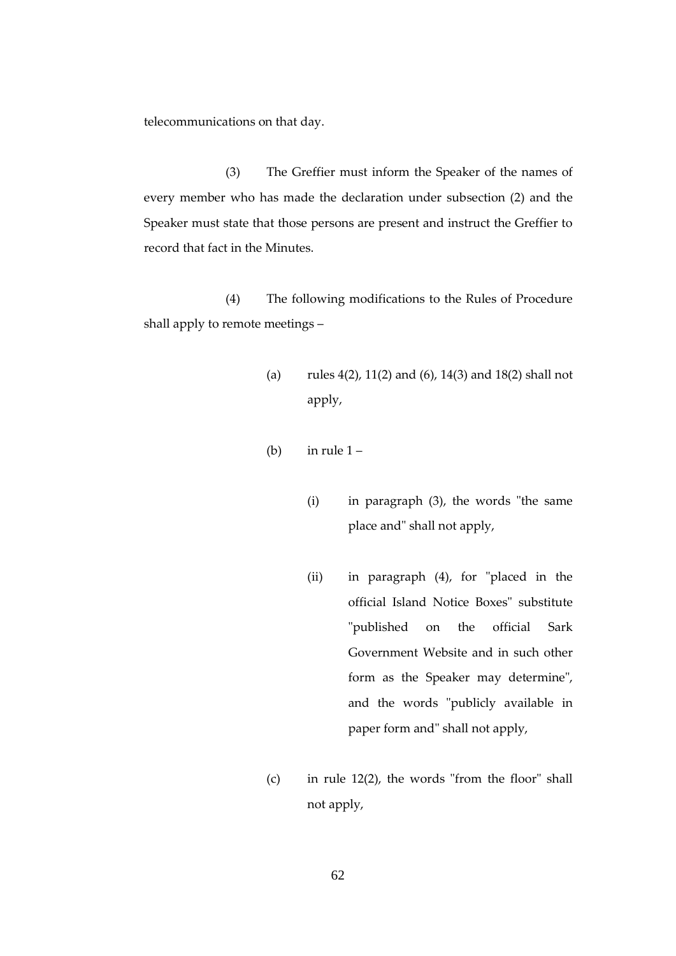telecommunications on that day.

(3) The Greffier must inform the Speaker of the names of every member who has made the declaration under subsection (2) and the Speaker must state that those persons are present and instruct the Greffier to record that fact in the Minutes.

(4) The following modifications to the Rules of Procedure shall apply to remote meetings –

- (a) rules 4(2), 11(2) and (6), 14(3) and 18(2) shall not apply,
- (b) in rule  $1 -$ 
	- (i) in paragraph (3), the words "the same place and" shall not apply,
	- (ii) in paragraph (4), for "placed in the official Island Notice Boxes" substitute "published on the official Sark Government Website and in such other form as the Speaker may determine", and the words "publicly available in paper form and" shall not apply,
- (c) in rule 12(2), the words "from the floor" shall not apply,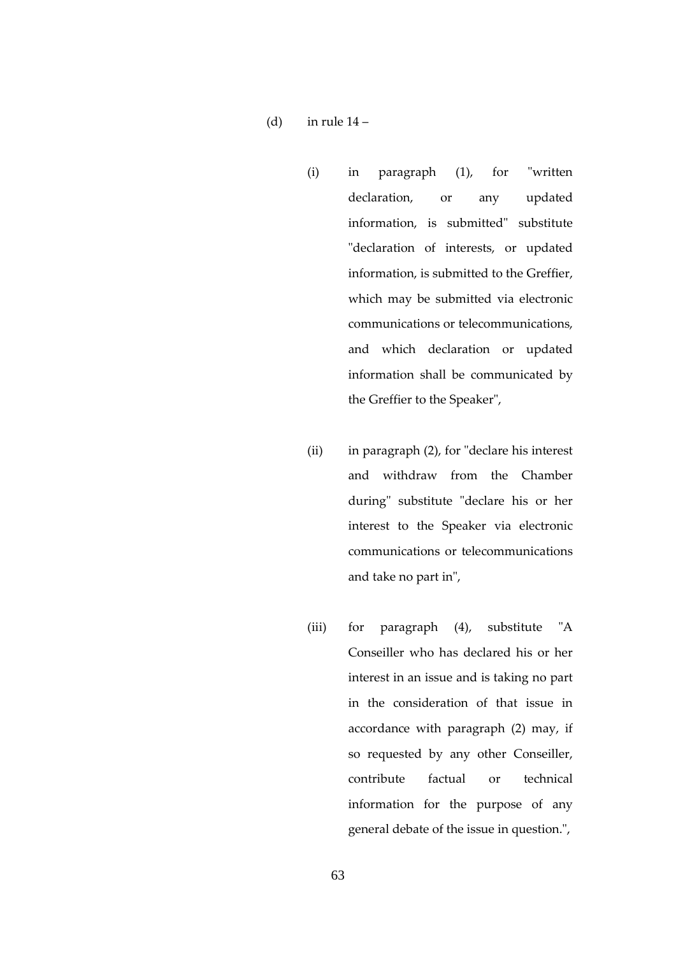- (d) in rule  $14$ 
	- (i) in paragraph (1), for "written declaration, or any updated information, is submitted" substitute "declaration of interests, or updated information, is submitted to the Greffier, which may be submitted via electronic communications or telecommunications, and which declaration or updated information shall be communicated by the Greffier to the Speaker",
	- (ii) in paragraph (2), for "declare his interest and withdraw from the Chamber during" substitute "declare his or her interest to the Speaker via electronic communications or telecommunications and take no part in",
	- (iii) for paragraph (4), substitute "A Conseiller who has declared his or her interest in an issue and is taking no part in the consideration of that issue in accordance with paragraph (2) may, if so requested by any other Conseiller, contribute factual or technical information for the purpose of any general debate of the issue in question.",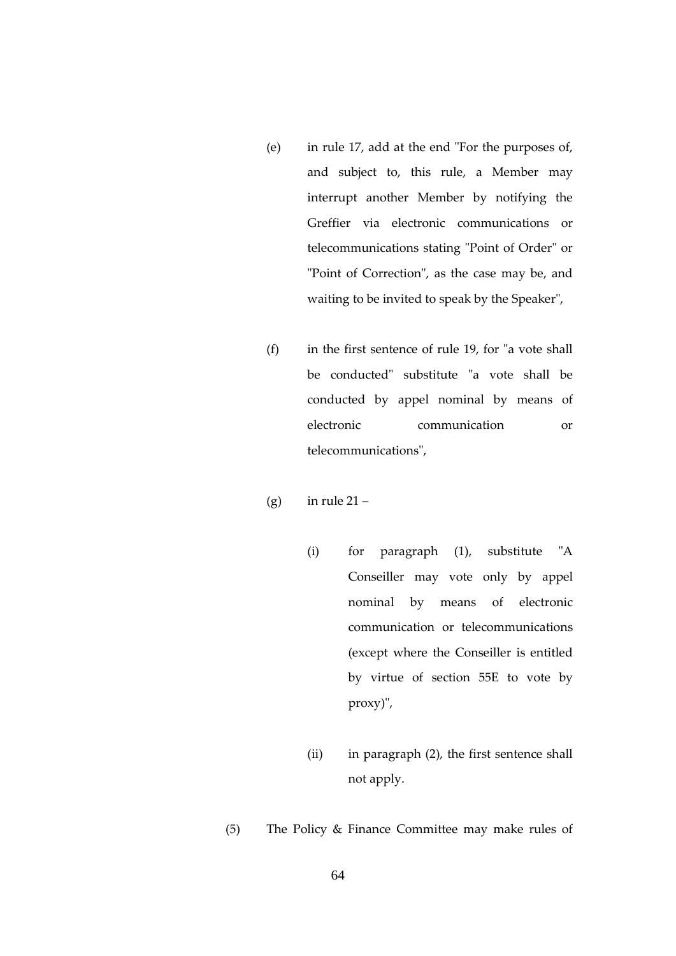- (e) in rule 17, add at the end "For the purposes of, and subject to, this rule, a Member may interrupt another Member by notifying the Greffier via electronic communications or telecommunications stating "Point of Order" or "Point of Correction", as the case may be, and waiting to be invited to speak by the Speaker",
- (f) in the first sentence of rule 19, for "a vote shall be conducted" substitute "a vote shall be conducted by appel nominal by means of electronic communication or telecommunications",
- (g) in rule  $21 -$ 
	- (i) for paragraph (1), substitute "A Conseiller may vote only by appel nominal by means of electronic communication or telecommunications (except where the Conseiller is entitled by virtue of section 55E to vote by proxy)",
	- (ii) in paragraph (2), the first sentence shall not apply.
- (5) The Policy & Finance Committee may make rules of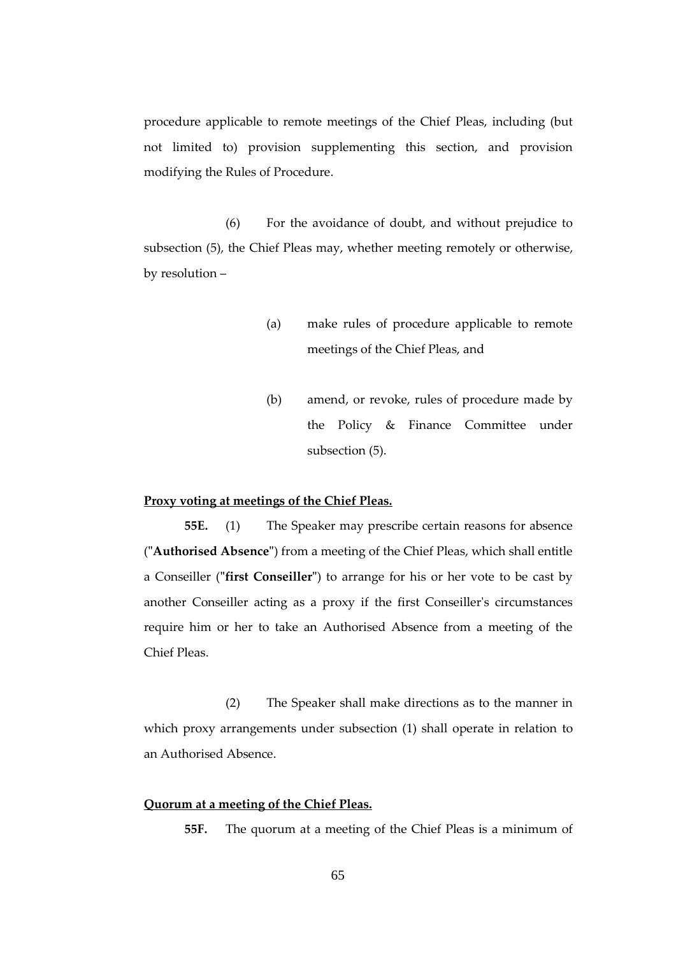procedure applicable to remote meetings of the Chief Pleas, including (but not limited to) provision supplementing this section, and provision modifying the Rules of Procedure.

(6) For the avoidance of doubt, and without prejudice to subsection (5), the Chief Pleas may, whether meeting remotely or otherwise, by resolution –

- (a) make rules of procedure applicable to remote meetings of the Chief Pleas, and
- (b) amend, or revoke, rules of procedure made by the Policy & Finance Committee under subsection (5).

#### **Proxy voting at meetings of the Chief Pleas.**

**55E.** (1) The Speaker may prescribe certain reasons for absence (**"Authorised Absence"**) from a meeting of the Chief Pleas, which shall entitle a Conseiller (**"first Conseiller"**) to arrange for his or her vote to be cast by another Conseiller acting as a proxy if the first Conseiller's circumstances require him or her to take an Authorised Absence from a meeting of the Chief Pleas.

(2) The Speaker shall make directions as to the manner in which proxy arrangements under subsection (1) shall operate in relation to an Authorised Absence.

### **Quorum at a meeting of the Chief Pleas.**

**55F.** The quorum at a meeting of the Chief Pleas is a minimum of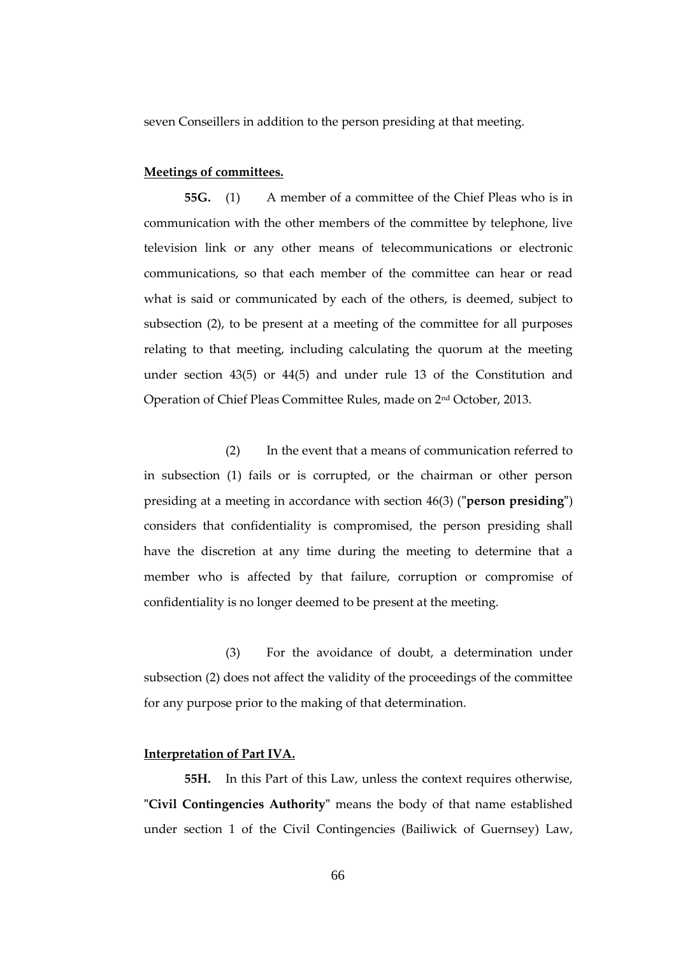seven Conseillers in addition to the person presiding at that meeting.

#### **Meetings of committees.**

**55G.** (1) A member of a committee of the Chief Pleas who is in communication with the other members of the committee by telephone, live television link or any other means of telecommunications or electronic communications, so that each member of the committee can hear or read what is said or communicated by each of the others, is deemed, subject to subsection (2), to be present at a meeting of the committee for all purposes relating to that meeting, including calculating the quorum at the meeting under section 43(5) or 44(5) and under rule 13 of the Constitution and Operation of Chief Pleas Committee Rules, made on 2nd October, 2013.

(2) In the event that a means of communication referred to in subsection (1) fails or is corrupted, or the chairman or other person presiding at a meeting in accordance with section 46(3) (**"person presiding"**) considers that confidentiality is compromised, the person presiding shall have the discretion at any time during the meeting to determine that a member who is affected by that failure, corruption or compromise of confidentiality is no longer deemed to be present at the meeting.

(3) For the avoidance of doubt, a determination under subsection (2) does not affect the validity of the proceedings of the committee for any purpose prior to the making of that determination.

## **Interpretation of Part IVA.**

**55H.** In this Part of this Law, unless the context requires otherwise, **"Civil Contingencies Authority"** means the body of that name established under section 1 of the Civil Contingencies (Bailiwick of Guernsey) Law,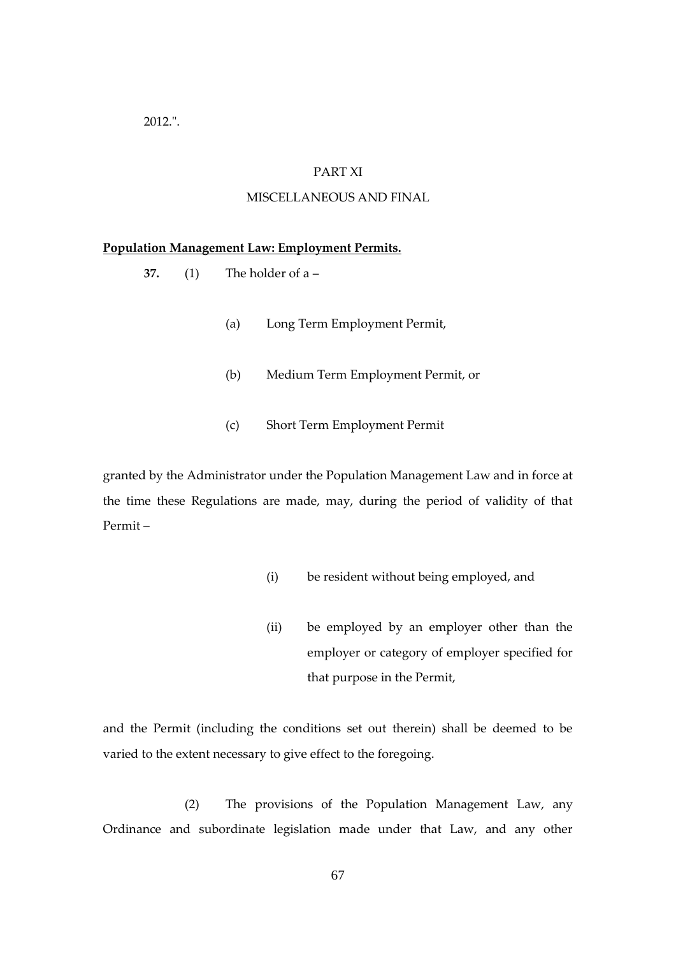2012.".

## PART XI

## MISCELLANEOUS AND FINAL

#### **Population Management Law: Employment Permits.**

- **37.** (1) The holder of a
	- (a) Long Term Employment Permit,
	- (b) Medium Term Employment Permit, or
	- (c) Short Term Employment Permit

granted by the Administrator under the Population Management Law and in force at the time these Regulations are made, may, during the period of validity of that Permit –

- (i) be resident without being employed, and
- (ii) be employed by an employer other than the employer or category of employer specified for that purpose in the Permit,

and the Permit (including the conditions set out therein) shall be deemed to be varied to the extent necessary to give effect to the foregoing.

(2) The provisions of the Population Management Law, any Ordinance and subordinate legislation made under that Law, and any other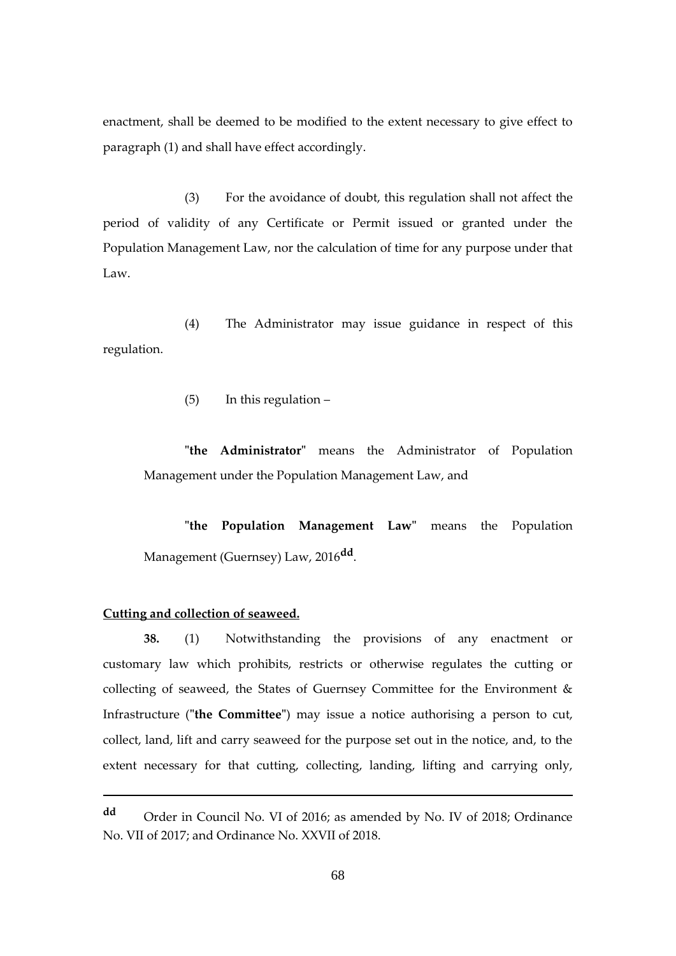enactment, shall be deemed to be modified to the extent necessary to give effect to paragraph (1) and shall have effect accordingly.

(3) For the avoidance of doubt, this regulation shall not affect the period of validity of any Certificate or Permit issued or granted under the Population Management Law, nor the calculation of time for any purpose under that Law.

(4) The Administrator may issue guidance in respect of this regulation.

(5) In this regulation –

**"the Administrator"** means the Administrator of Population Management under the Population Management Law, and

**"the Population Management Law"** means the Population Management (Guernsey) Law, 2016**dd** .

## **Cutting and collection of seaweed.**

1

**38.** (1) Notwithstanding the provisions of any enactment or customary law which prohibits, restricts or otherwise regulates the cutting or collecting of seaweed, the States of Guernsey Committee for the Environment & Infrastructure (**"the Committee"**) may issue a notice authorising a person to cut, collect, land, lift and carry seaweed for the purpose set out in the notice, and, to the extent necessary for that cutting, collecting, landing, lifting and carrying only,

**dd** Order in Council No. VI of 2016; as amended by No. IV of 2018; Ordinance No. VII of 2017; and Ordinance No. XXVII of 2018.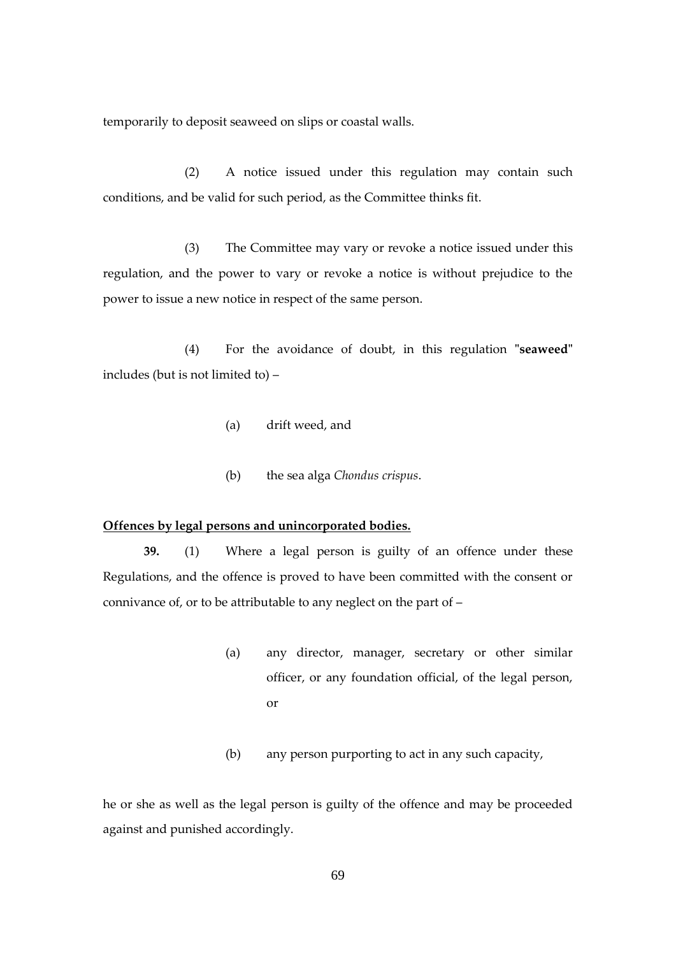temporarily to deposit seaweed on slips or coastal walls.

(2) A notice issued under this regulation may contain such conditions, and be valid for such period, as the Committee thinks fit.

(3) The Committee may vary or revoke a notice issued under this regulation, and the power to vary or revoke a notice is without prejudice to the power to issue a new notice in respect of the same person.

(4) For the avoidance of doubt, in this regulation **"seaweed"** includes (but is not limited to) –

- (a) drift weed, and
- (b) the sea alga *Chondus crispus*.

#### **Offences by legal persons and unincorporated bodies.**

**39.** (1) Where a legal person is guilty of an offence under these Regulations, and the offence is proved to have been committed with the consent or connivance of, or to be attributable to any neglect on the part of –

- (a) any director, manager, secretary or other similar officer, or any foundation official, of the legal person, or
- (b) any person purporting to act in any such capacity,

he or she as well as the legal person is guilty of the offence and may be proceeded against and punished accordingly.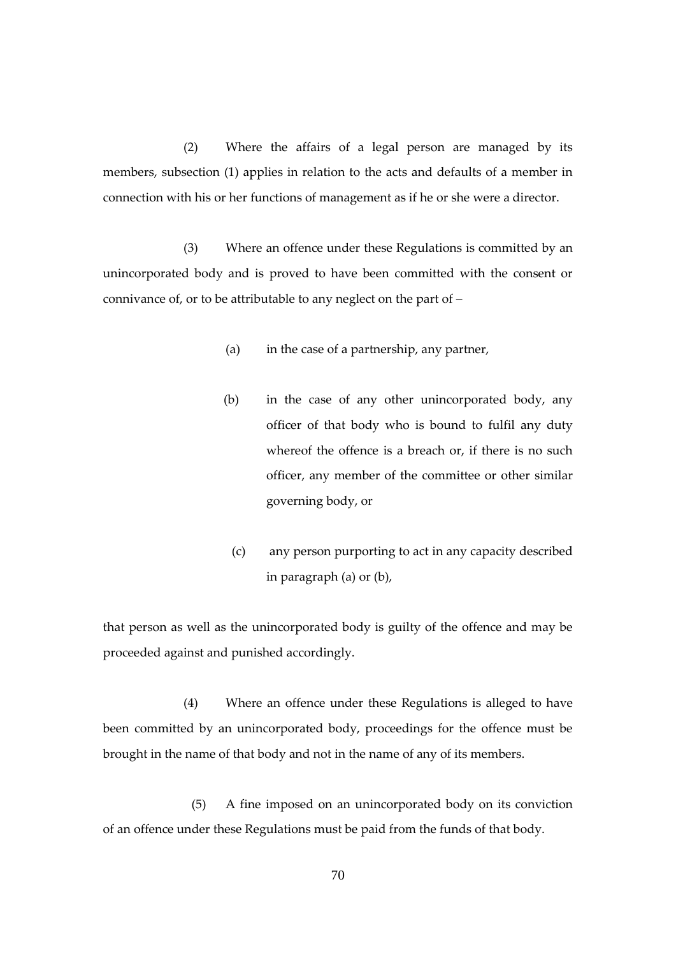(2) Where the affairs of a legal person are managed by its members, subsection (1) applies in relation to the acts and defaults of a member in connection with his or her functions of management as if he or she were a director.

(3) Where an offence under these Regulations is committed by an unincorporated body and is proved to have been committed with the consent or connivance of, or to be attributable to any neglect on the part of –

- (a) in the case of a partnership, any partner,
- (b) in the case of any other unincorporated body, any officer of that body who is bound to fulfil any duty whereof the offence is a breach or, if there is no such officer, any member of the committee or other similar governing body, or
	- (c) any person purporting to act in any capacity described in paragraph (a) or (b),

that person as well as the unincorporated body is guilty of the offence and may be proceeded against and punished accordingly.

(4) Where an offence under these Regulations is alleged to have been committed by an unincorporated body, proceedings for the offence must be brought in the name of that body and not in the name of any of its members.

(5) A fine imposed on an unincorporated body on its conviction of an offence under these Regulations must be paid from the funds of that body.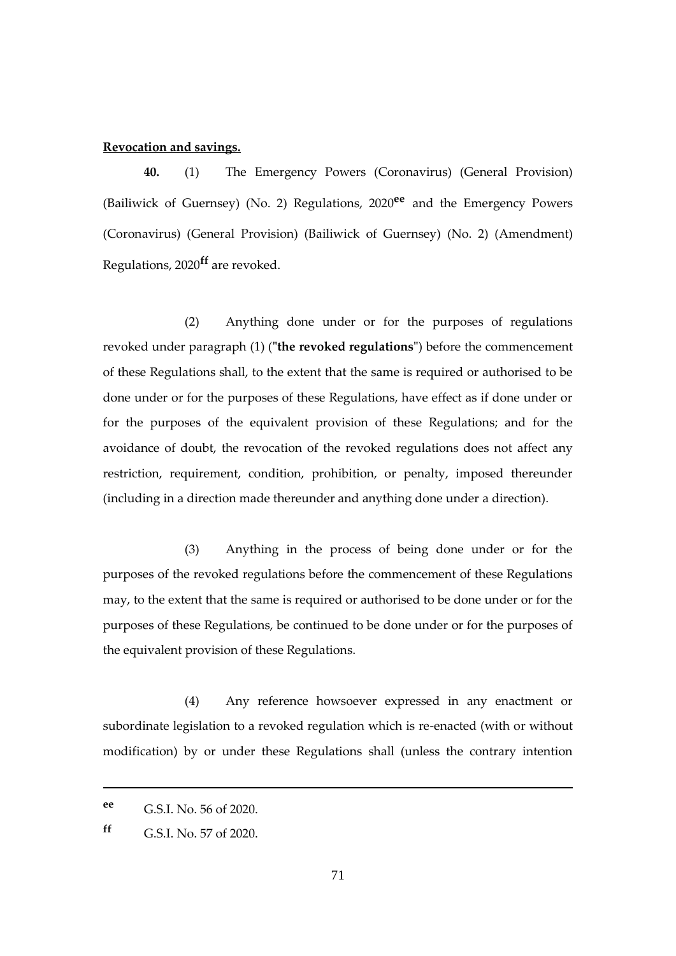## **Revocation and savings.**

**40.** (1) The Emergency Powers (Coronavirus) (General Provision) (Bailiwick of Guernsey) (No. 2) Regulations, 2020**ee** and the Emergency Powers (Coronavirus) (General Provision) (Bailiwick of Guernsey) (No. 2) (Amendment) Regulations, 2020**ff** are revoked.

(2) Anything done under or for the purposes of regulations revoked under paragraph (1) (**"the revoked regulations"**) before the commencement of these Regulations shall, to the extent that the same is required or authorised to be done under or for the purposes of these Regulations, have effect as if done under or for the purposes of the equivalent provision of these Regulations; and for the avoidance of doubt, the revocation of the revoked regulations does not affect any restriction, requirement, condition, prohibition, or penalty, imposed thereunder (including in a direction made thereunder and anything done under a direction).

(3) Anything in the process of being done under or for the purposes of the revoked regulations before the commencement of these Regulations may, to the extent that the same is required or authorised to be done under or for the purposes of these Regulations, be continued to be done under or for the purposes of the equivalent provision of these Regulations.

(4) Any reference howsoever expressed in any enactment or subordinate legislation to a revoked regulation which is re-enacted (with or without modification) by or under these Regulations shall (unless the contrary intention

1

**ee** G.S.I. No. 56 of 2020.

**ff** G.S.I. No. 57 of 2020.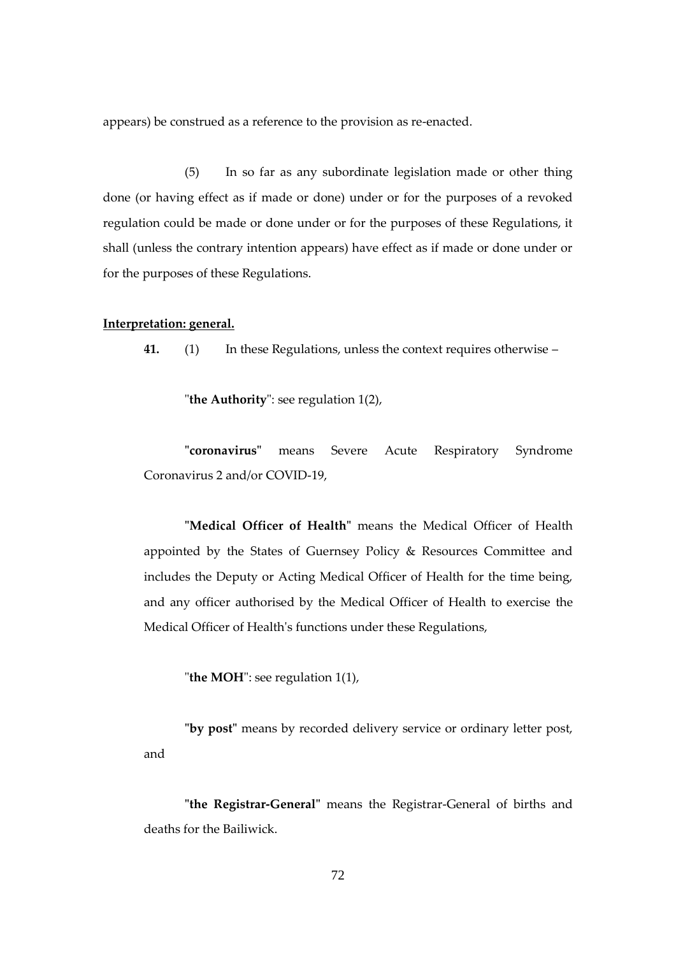appears) be construed as a reference to the provision as re-enacted.

(5) In so far as any subordinate legislation made or other thing done (or having effect as if made or done) under or for the purposes of a revoked regulation could be made or done under or for the purposes of these Regulations, it shall (unless the contrary intention appears) have effect as if made or done under or for the purposes of these Regulations.

#### **Interpretation: general.**

**41.** (1) In these Regulations, unless the context requires otherwise –

"**the Authority**": see regulation 1(2),

**"coronavirus"** means Severe Acute Respiratory Syndrome Coronavirus 2 and/or COVID-19,

**"Medical Officer of Health"** means the Medical Officer of Health appointed by the States of Guernsey Policy & Resources Committee and includes the Deputy or Acting Medical Officer of Health for the time being, and any officer authorised by the Medical Officer of Health to exercise the Medical Officer of Health's functions under these Regulations,

"**the MOH**": see regulation 1(1),

**"by post"** means by recorded delivery service or ordinary letter post, and

**"the Registrar-General"** means the Registrar-General of births and deaths for the Bailiwick.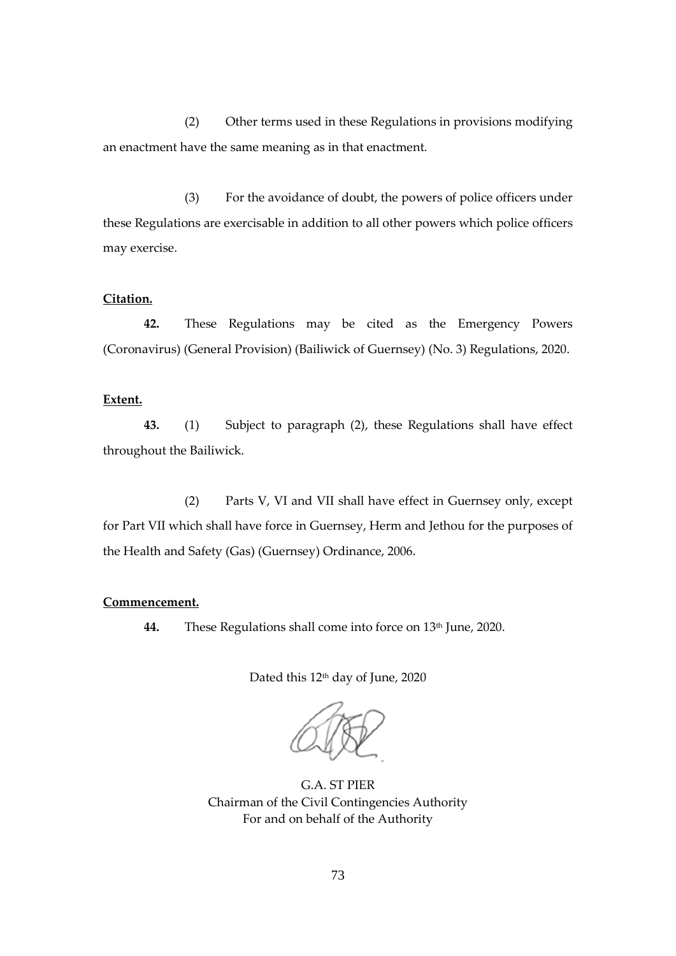(2) Other terms used in these Regulations in provisions modifying an enactment have the same meaning as in that enactment.

(3) For the avoidance of doubt, the powers of police officers under these Regulations are exercisable in addition to all other powers which police officers may exercise.

# **Citation.**

**42.** These Regulations may be cited as the Emergency Powers (Coronavirus) (General Provision) (Bailiwick of Guernsey) (No. 3) Regulations, 2020.

## **Extent.**

**43.** (1) Subject to paragraph (2), these Regulations shall have effect throughout the Bailiwick.

(2) Parts V, VI and VII shall have effect in Guernsey only, except for Part VII which shall have force in Guernsey, Herm and Jethou for the purposes of the Health and Safety (Gas) (Guernsey) Ordinance, 2006.

# **Commencement.**

**44.** These Regulations shall come into force on 13<sup>th</sup> June*,* 2020.

Dated this 12<sup>th</sup> day of June, 2020

G.A. ST PIER Chairman of the Civil Contingencies Authority For and on behalf of the Authority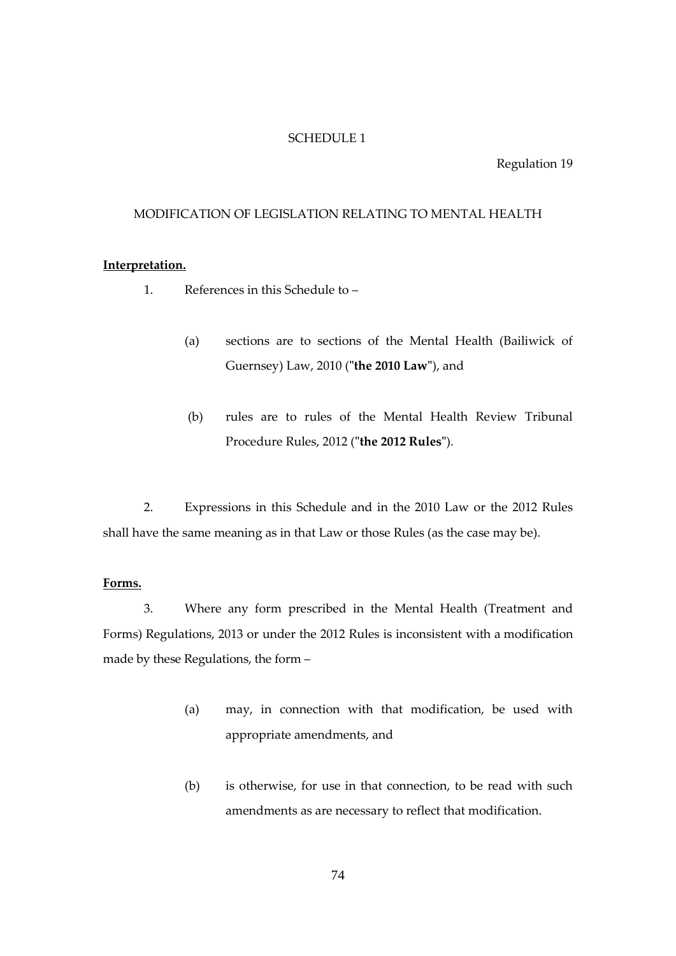## SCHEDULE 1

Regulation 19

## MODIFICATION OF LEGISLATION RELATING TO MENTAL HEALTH

## **Interpretation.**

- 1. References in this Schedule to
	- (a) sections are to sections of the Mental Health (Bailiwick of Guernsey) Law, 2010 (**"the 2010 Law"**), and
	- (b) rules are to rules of the Mental Health Review Tribunal Procedure Rules, 2012 (**"the 2012 Rules"**).

2. Expressions in this Schedule and in the 2010 Law or the 2012 Rules shall have the same meaning as in that Law or those Rules (as the case may be).

#### **Forms.**

3. Where any form prescribed in the Mental Health (Treatment and Forms) Regulations, 2013 or under the 2012 Rules is inconsistent with a modification made by these Regulations, the form –

- (a) may, in connection with that modification, be used with appropriate amendments, and
- (b) is otherwise, for use in that connection, to be read with such amendments as are necessary to reflect that modification.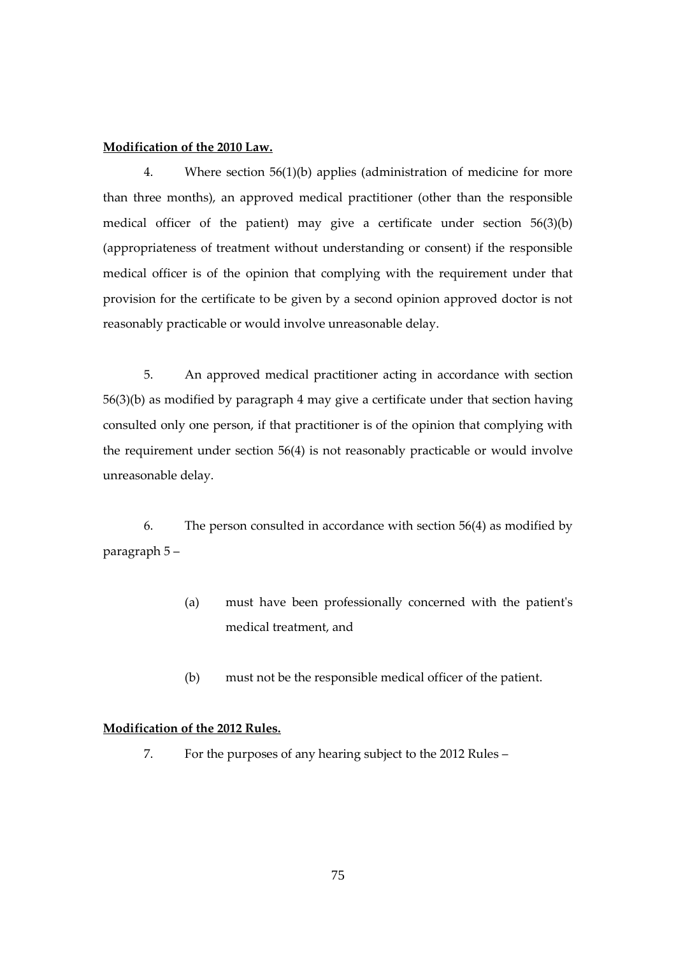## **Modification of the 2010 Law.**

4. Where section 56(1)(b) applies (administration of medicine for more than three months), an approved medical practitioner (other than the responsible medical officer of the patient) may give a certificate under section 56(3)(b) (appropriateness of treatment without understanding or consent) if the responsible medical officer is of the opinion that complying with the requirement under that provision for the certificate to be given by a second opinion approved doctor is not reasonably practicable or would involve unreasonable delay.

5. An approved medical practitioner acting in accordance with section 56(3)(b) as modified by paragraph 4 may give a certificate under that section having consulted only one person, if that practitioner is of the opinion that complying with the requirement under section 56(4) is not reasonably practicable or would involve unreasonable delay.

6. The person consulted in accordance with section 56(4) as modified by paragraph 5 –

- (a) must have been professionally concerned with the patient's medical treatment, and
- (b) must not be the responsible medical officer of the patient.

## **Modification of the 2012 Rules.**

7. For the purposes of any hearing subject to the 2012 Rules –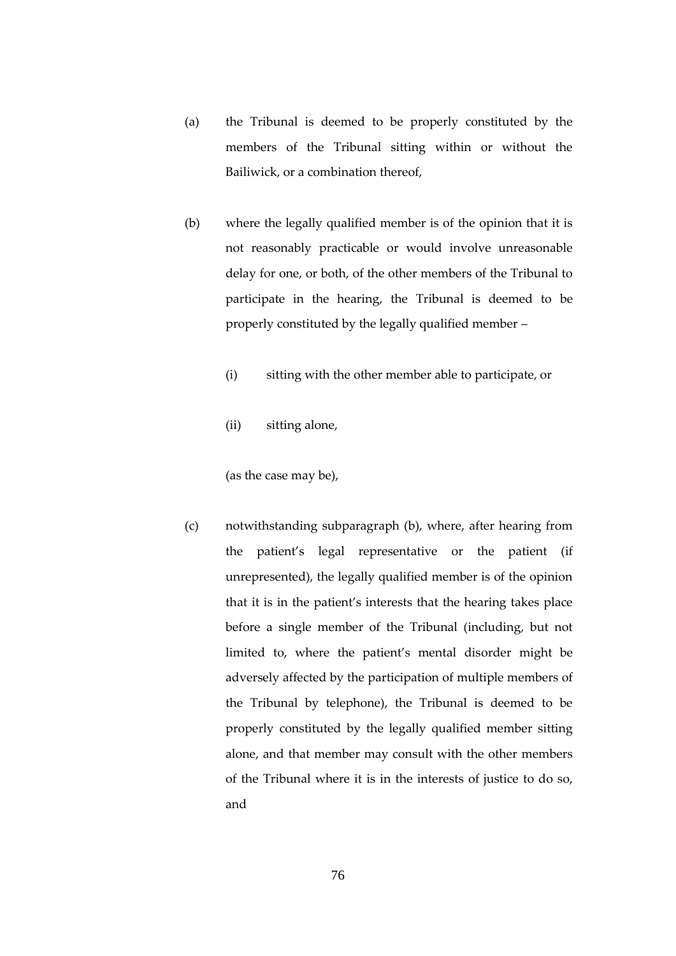- (a) the Tribunal is deemed to be properly constituted by the members of the Tribunal sitting within or without the Bailiwick, or a combination thereof,
- (b) where the legally qualified member is of the opinion that it is not reasonably practicable or would involve unreasonable delay for one, or both, of the other members of the Tribunal to participate in the hearing, the Tribunal is deemed to be properly constituted by the legally qualified member –
	- (i) sitting with the other member able to participate, or
	- (ii) sitting alone,

(as the case may be),

(c) notwithstanding subparagraph (b), where, after hearing from the patient's legal representative or the patient (if unrepresented), the legally qualified member is of the opinion that it is in the patient's interests that the hearing takes place before a single member of the Tribunal (including, but not limited to, where the patient's mental disorder might be adversely affected by the participation of multiple members of the Tribunal by telephone), the Tribunal is deemed to be properly constituted by the legally qualified member sitting alone, and that member may consult with the other members of the Tribunal where it is in the interests of justice to do so, and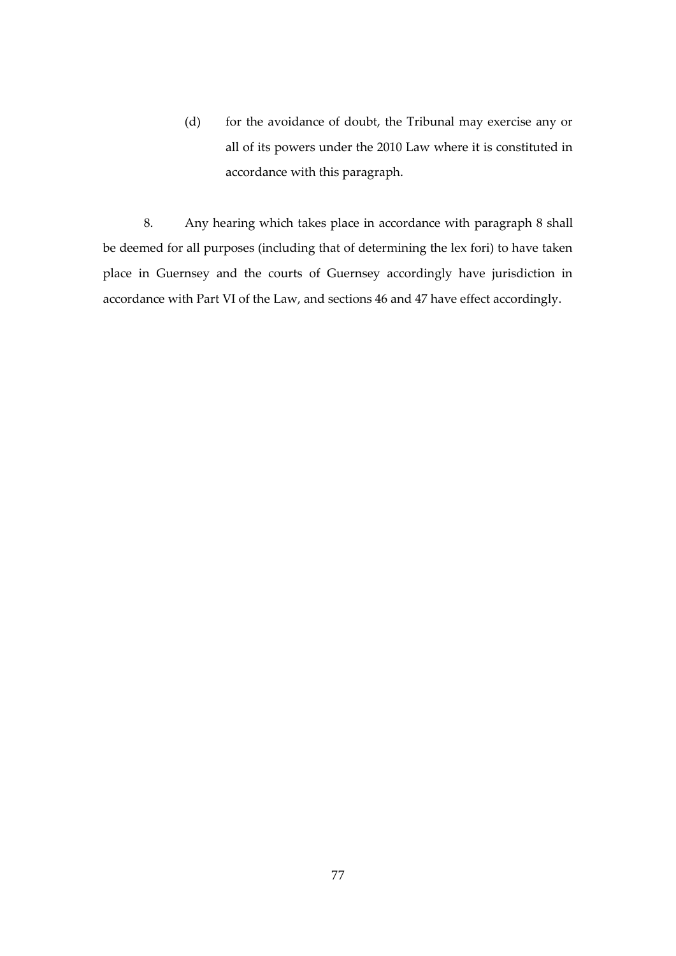(d) for the avoidance of doubt, the Tribunal may exercise any or all of its powers under the 2010 Law where it is constituted in accordance with this paragraph.

8. Any hearing which takes place in accordance with paragraph 8 shall be deemed for all purposes (including that of determining the lex fori) to have taken place in Guernsey and the courts of Guernsey accordingly have jurisdiction in accordance with Part VI of the Law, and sections 46 and 47 have effect accordingly.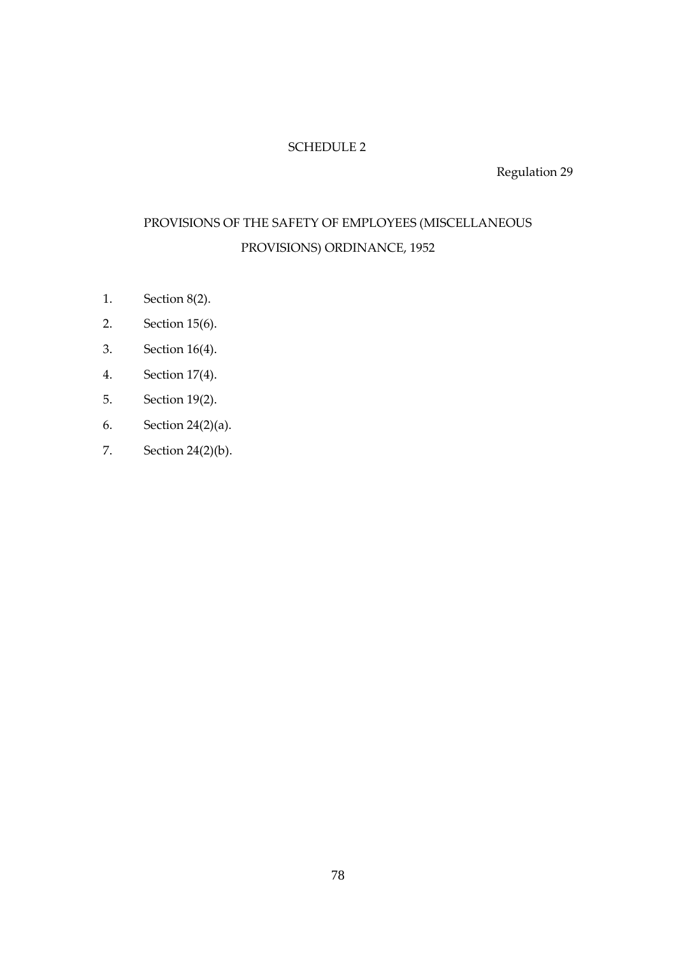# SCHEDULE 2

Regulation 29

# PROVISIONS OF THE SAFETY OF EMPLOYEES (MISCELLANEOUS PROVISIONS) ORDINANCE, 1952

- 1. Section 8(2).
- 2. Section 15(6).
- 3. Section 16(4).
- 4. Section 17(4).
- 5. Section 19(2).
- 6. Section 24(2)(a).
- 7. Section 24(2)(b).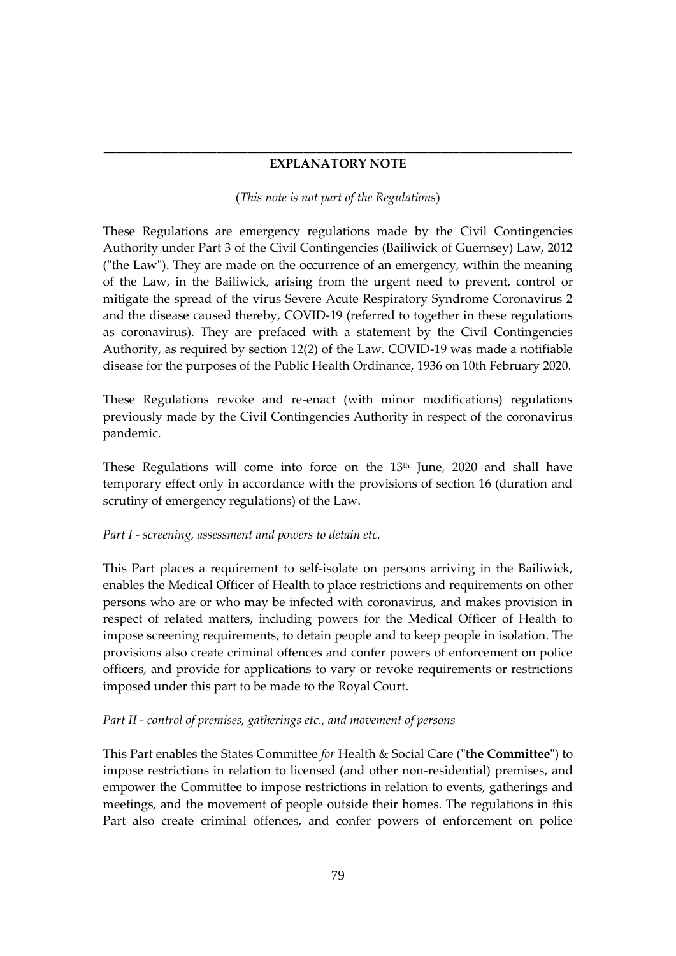# \_\_\_\_\_\_\_\_\_\_\_\_\_\_\_\_\_\_\_\_\_\_\_\_\_\_\_\_\_\_\_\_\_\_\_\_\_\_\_\_\_\_\_\_\_\_\_\_\_\_\_\_\_\_\_\_\_\_\_\_\_\_\_\_\_\_\_\_\_\_\_\_\_\_\_ **EXPLANATORY NOTE**

## (*This note is not part of the Regulations*)

These Regulations are emergency regulations made by the Civil Contingencies Authority under Part 3 of the Civil Contingencies (Bailiwick of Guernsey) Law, 2012 ("the Law"). They are made on the occurrence of an emergency, within the meaning of the Law, in the Bailiwick, arising from the urgent need to prevent, control or mitigate the spread of the virus Severe Acute Respiratory Syndrome Coronavirus 2 and the disease caused thereby, COVID-19 (referred to together in these regulations as coronavirus). They are prefaced with a statement by the Civil Contingencies Authority, as required by section 12(2) of the Law. COVID-19 was made a notifiable disease for the purposes of the Public Health Ordinance, 1936 on 10th February 2020.

These Regulations revoke and re-enact (with minor modifications) regulations previously made by the Civil Contingencies Authority in respect of the coronavirus pandemic.

These Regulations will come into force on the 13<sup>th</sup> June, 2020 and shall have temporary effect only in accordance with the provisions of section 16 (duration and scrutiny of emergency regulations) of the Law.

# *Part I - screening, assessment and powers to detain etc.*

This Part places a requirement to self-isolate on persons arriving in the Bailiwick, enables the Medical Officer of Health to place restrictions and requirements on other persons who are or who may be infected with coronavirus, and makes provision in respect of related matters, including powers for the Medical Officer of Health to impose screening requirements, to detain people and to keep people in isolation. The provisions also create criminal offences and confer powers of enforcement on police officers, and provide for applications to vary or revoke requirements or restrictions imposed under this part to be made to the Royal Court.

# *Part II - control of premises, gatherings etc., and movement of persons*

This Part enables the States Committee *for* Health & Social Care (**"the Committee"**) to impose restrictions in relation to licensed (and other non-residential) premises, and empower the Committee to impose restrictions in relation to events, gatherings and meetings, and the movement of people outside their homes. The regulations in this Part also create criminal offences, and confer powers of enforcement on police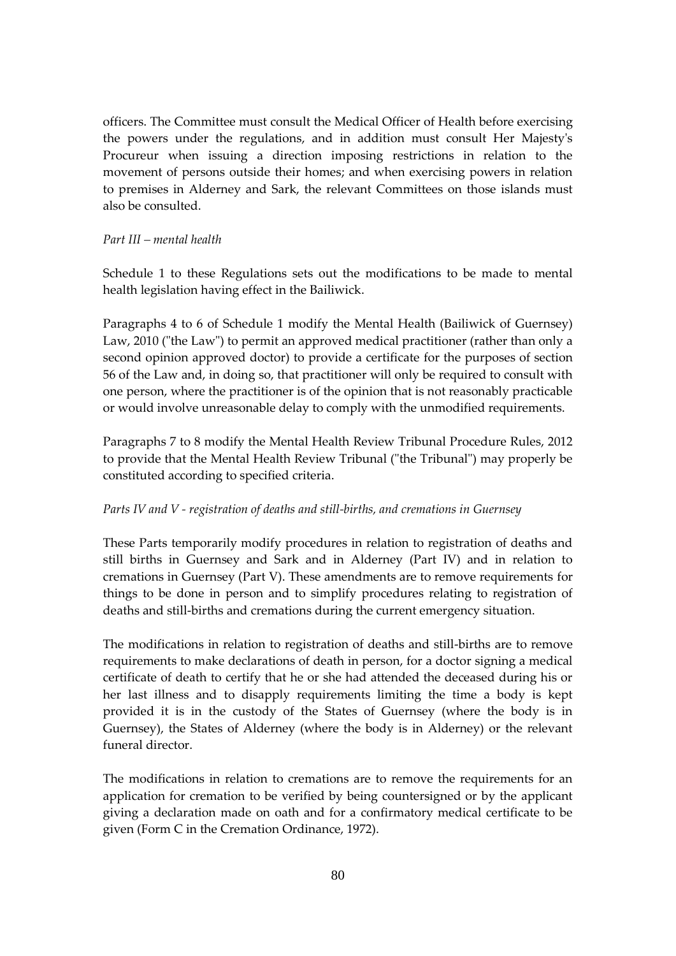officers. The Committee must consult the Medical Officer of Health before exercising the powers under the regulations, and in addition must consult Her Majesty's Procureur when issuing a direction imposing restrictions in relation to the movement of persons outside their homes; and when exercising powers in relation to premises in Alderney and Sark, the relevant Committees on those islands must also be consulted.

## *Part III – mental health*

Schedule 1 to these Regulations sets out the modifications to be made to mental health legislation having effect in the Bailiwick.

Paragraphs 4 to 6 of Schedule 1 modify the Mental Health (Bailiwick of Guernsey) Law, 2010 ("the Law") to permit an approved medical practitioner (rather than only a second opinion approved doctor) to provide a certificate for the purposes of section 56 of the Law and, in doing so, that practitioner will only be required to consult with one person, where the practitioner is of the opinion that is not reasonably practicable or would involve unreasonable delay to comply with the unmodified requirements.

Paragraphs 7 to 8 modify the Mental Health Review Tribunal Procedure Rules, 2012 to provide that the Mental Health Review Tribunal ("the Tribunal") may properly be constituted according to specified criteria.

#### *Parts IV and V - registration of deaths and still-births, and cremations in Guernsey*

These Parts temporarily modify procedures in relation to registration of deaths and still births in Guernsey and Sark and in Alderney (Part IV) and in relation to cremations in Guernsey (Part V). These amendments are to remove requirements for things to be done in person and to simplify procedures relating to registration of deaths and still-births and cremations during the current emergency situation.

The modifications in relation to registration of deaths and still-births are to remove requirements to make declarations of death in person, for a doctor signing a medical certificate of death to certify that he or she had attended the deceased during his or her last illness and to disapply requirements limiting the time a body is kept provided it is in the custody of the States of Guernsey (where the body is in Guernsey), the States of Alderney (where the body is in Alderney) or the relevant funeral director.

The modifications in relation to cremations are to remove the requirements for an application for cremation to be verified by being countersigned or by the applicant giving a declaration made on oath and for a confirmatory medical certificate to be given (Form C in the Cremation Ordinance, 1972).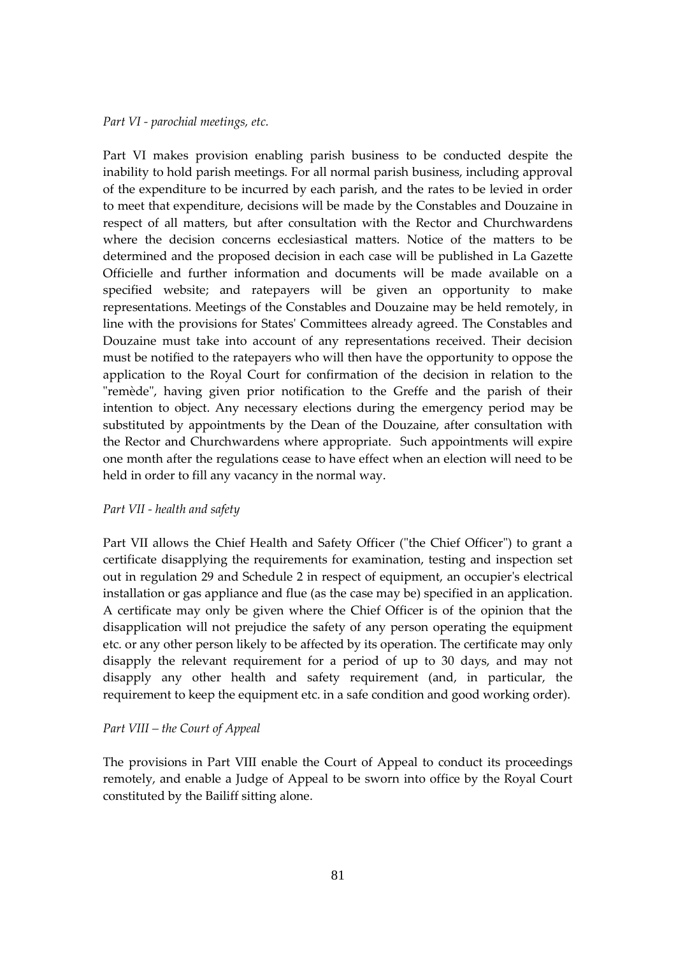#### *Part VI - parochial meetings, etc.*

Part VI makes provision enabling parish business to be conducted despite the inability to hold parish meetings. For all normal parish business, including approval of the expenditure to be incurred by each parish, and the rates to be levied in order to meet that expenditure, decisions will be made by the Constables and Douzaine in respect of all matters, but after consultation with the Rector and Churchwardens where the decision concerns ecclesiastical matters. Notice of the matters to be determined and the proposed decision in each case will be published in La Gazette Officielle and further information and documents will be made available on a specified website; and ratepayers will be given an opportunity to make representations. Meetings of the Constables and Douzaine may be held remotely, in line with the provisions for States' Committees already agreed. The Constables and Douzaine must take into account of any representations received. Their decision must be notified to the ratepayers who will then have the opportunity to oppose the application to the Royal Court for confirmation of the decision in relation to the "remède", having given prior notification to the Greffe and the parish of their intention to object. Any necessary elections during the emergency period may be substituted by appointments by the Dean of the Douzaine, after consultation with the Rector and Churchwardens where appropriate. Such appointments will expire one month after the regulations cease to have effect when an election will need to be held in order to fill any vacancy in the normal way.

#### *Part VII - health and safety*

Part VII allows the Chief Health and Safety Officer ("the Chief Officer") to grant a certificate disapplying the requirements for examination, testing and inspection set out in regulation 29 and Schedule 2 in respect of equipment, an occupier's electrical installation or gas appliance and flue (as the case may be) specified in an application. A certificate may only be given where the Chief Officer is of the opinion that the disapplication will not prejudice the safety of any person operating the equipment etc. or any other person likely to be affected by its operation. The certificate may only disapply the relevant requirement for a period of up to 30 days, and may not disapply any other health and safety requirement (and, in particular, the requirement to keep the equipment etc. in a safe condition and good working order).

## *Part VIII – the Court of Appeal*

The provisions in Part VIII enable the Court of Appeal to conduct its proceedings remotely, and enable a Judge of Appeal to be sworn into office by the Royal Court constituted by the Bailiff sitting alone.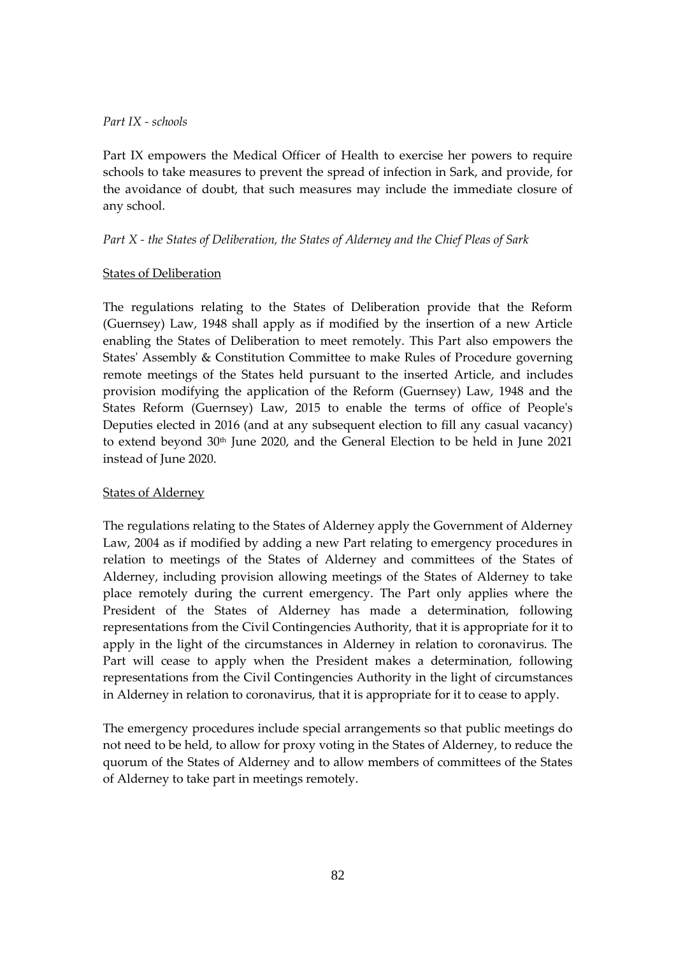# *Part IX - schools*

Part IX empowers the Medical Officer of Health to exercise her powers to require schools to take measures to prevent the spread of infection in Sark, and provide, for the avoidance of doubt, that such measures may include the immediate closure of any school.

# *Part X - the States of Deliberation, the States of Alderney and the Chief Pleas of Sark*

# States of Deliberation

The regulations relating to the States of Deliberation provide that the Reform (Guernsey) Law, 1948 shall apply as if modified by the insertion of a new Article enabling the States of Deliberation to meet remotely. This Part also empowers the States' Assembly & Constitution Committee to make Rules of Procedure governing remote meetings of the States held pursuant to the inserted Article, and includes provision modifying the application of the Reform (Guernsey) Law, 1948 and the States Reform (Guernsey) Law, 2015 to enable the terms of office of People's Deputies elected in 2016 (and at any subsequent election to fill any casual vacancy) to extend beyond 30<sup>th</sup> June 2020, and the General Election to be held in June 2021 instead of June 2020.

# States of Alderney

The regulations relating to the States of Alderney apply the Government of Alderney Law, 2004 as if modified by adding a new Part relating to emergency procedures in relation to meetings of the States of Alderney and committees of the States of Alderney, including provision allowing meetings of the States of Alderney to take place remotely during the current emergency. The Part only applies where the President of the States of Alderney has made a determination, following representations from the Civil Contingencies Authority, that it is appropriate for it to apply in the light of the circumstances in Alderney in relation to coronavirus. The Part will cease to apply when the President makes a determination, following representations from the Civil Contingencies Authority in the light of circumstances in Alderney in relation to coronavirus, that it is appropriate for it to cease to apply.

The emergency procedures include special arrangements so that public meetings do not need to be held, to allow for proxy voting in the States of Alderney, to reduce the quorum of the States of Alderney and to allow members of committees of the States of Alderney to take part in meetings remotely.